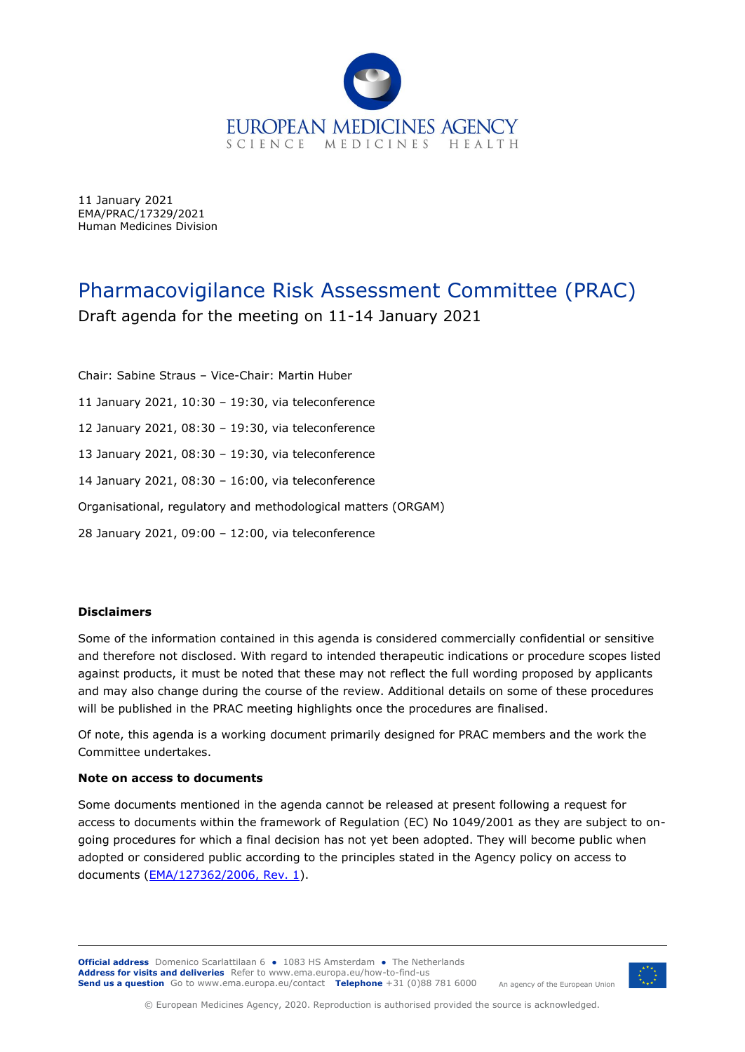

11 January 2021 EMA/PRAC/17329/2021 Human Medicines Division

# Pharmacovigilance Risk Assessment Committee (PRAC) Draft agenda for the meeting on 11-14 January 2021

Chair: Sabine Straus – Vice-Chair: Martin Huber 11 January 2021, 10:30 – 19:30, via teleconference 12 January 2021, 08:30 – 19:30, via teleconference 13 January 2021, 08:30 – 19:30, via teleconference 14 January 2021, 08:30 – 16:00, via teleconference Organisational, regulatory and methodological matters (ORGAM) 28 January 2021, 09:00 – 12:00, via teleconference

#### **Disclaimers**

Some of the information contained in this agenda is considered commercially confidential or sensitive and therefore not disclosed. With regard to intended therapeutic indications or procedure scopes listed against products, it must be noted that these may not reflect the full wording proposed by applicants and may also change during the course of the review. Additional details on some of these procedures will be published in the [PRAC meeting](http://www.ema.europa.eu/ema/index.jsp?curl=pages/about_us/general/general_content_000508.jsp&mid=WC0b01ac0580028d2a) highlights once the procedures are finalised.

Of note, this agenda is a working document primarily designed for PRAC members and the work the Committee undertakes.

#### **Note on access to documents**

Some documents mentioned in the agenda cannot be released at present following a request for access to documents within the framework of Regulation (EC) No 1049/2001 as they are subject to ongoing procedures for which a final decision has not yet been adopted. They will become public when adopted or considered public according to the principles stated in the Agency policy on access to documents [\(EMA/127362/2006, Rev. 1\)](http://www.ema.europa.eu/docs/en_GB/document_library/Other/2017/02/WC500221816.pdf).

**Official address** Domenico Scarlattilaan 6 **●** 1083 HS Amsterdam **●** The Netherlands An agency of the European Union **Address for visits and deliveries** Refer to [www.ema.europa.eu/how-to-find-us](http://www.ema.europa.eu/how-to-find-us) **Send us a question** Go to [www.ema.europa.eu/contact](http://www.ema.europa.eu/contact) **Telephone** +31 (0)88 781 6000



© European Medicines Agency, 2020. Reproduction is authorised provided the source is acknowledged.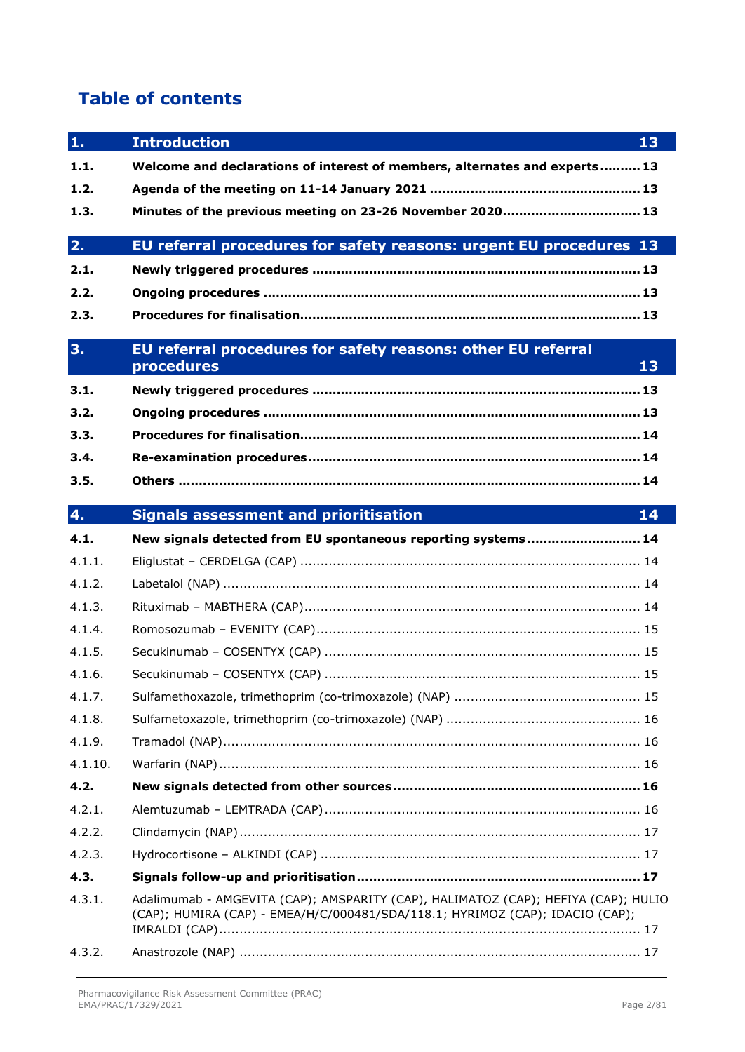# **Table of contents**

| 1.      | <b>Introduction</b><br>13                                                                                                                                           |
|---------|---------------------------------------------------------------------------------------------------------------------------------------------------------------------|
| 1.1.    | Welcome and declarations of interest of members, alternates and experts 13                                                                                          |
| 1.2.    |                                                                                                                                                                     |
| 1.3.    | Minutes of the previous meeting on 23-26 November 2020 13                                                                                                           |
| 2.      | EU referral procedures for safety reasons: urgent EU procedures 13                                                                                                  |
| 2.1.    |                                                                                                                                                                     |
| 2.2.    |                                                                                                                                                                     |
| 2.3.    |                                                                                                                                                                     |
| 3.      | EU referral procedures for safety reasons: other EU referral<br>procedures<br>13                                                                                    |
| 3.1.    |                                                                                                                                                                     |
| 3.2.    |                                                                                                                                                                     |
| 3.3.    |                                                                                                                                                                     |
| 3.4.    |                                                                                                                                                                     |
| 3.5.    |                                                                                                                                                                     |
| 4.      | <b>Signals assessment and prioritisation</b><br>14                                                                                                                  |
| 4.1.    | New signals detected from EU spontaneous reporting systems 14                                                                                                       |
| 4.1.1.  |                                                                                                                                                                     |
| 4.1.2.  |                                                                                                                                                                     |
| 4.1.3.  |                                                                                                                                                                     |
| 4.1.4.  |                                                                                                                                                                     |
| 4.1.5.  |                                                                                                                                                                     |
| 4.1.6.  |                                                                                                                                                                     |
| 4.1.7.  |                                                                                                                                                                     |
| 4.1.8.  |                                                                                                                                                                     |
| 4.1.9.  |                                                                                                                                                                     |
| 4.1.10. |                                                                                                                                                                     |
| 4.2.    |                                                                                                                                                                     |
| 4.2.1.  |                                                                                                                                                                     |
| 4.2.2.  |                                                                                                                                                                     |
| 4.2.3.  |                                                                                                                                                                     |
| 4.3.    |                                                                                                                                                                     |
| 4.3.1.  | Adalimumab - AMGEVITA (CAP); AMSPARITY (CAP), HALIMATOZ (CAP); HEFIYA (CAP); HULIO<br>(CAP); HUMIRA (CAP) - EMEA/H/C/000481/SDA/118.1; HYRIMOZ (CAP); IDACIO (CAP); |
| 4.3.2.  |                                                                                                                                                                     |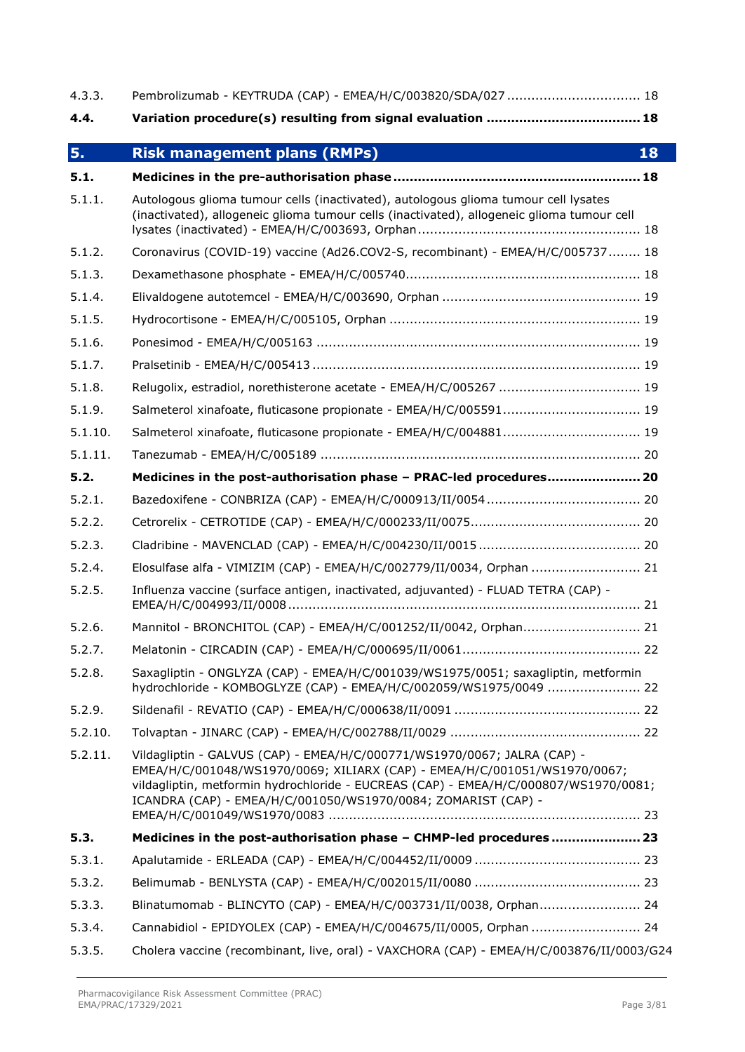| 4.3.3.  | Pembrolizumab - KEYTRUDA (CAP) - EMEA/H/C/003820/SDA/027  18                                                                                                                                                                                                                                                   |
|---------|----------------------------------------------------------------------------------------------------------------------------------------------------------------------------------------------------------------------------------------------------------------------------------------------------------------|
| 4.4.    |                                                                                                                                                                                                                                                                                                                |
| 5.      | <b>Risk management plans (RMPs)</b><br>18                                                                                                                                                                                                                                                                      |
| 5.1.    |                                                                                                                                                                                                                                                                                                                |
| 5.1.1.  | Autologous glioma tumour cells (inactivated), autologous glioma tumour cell lysates<br>(inactivated), allogeneic glioma tumour cells (inactivated), allogeneic glioma tumour cell                                                                                                                              |
| 5.1.2.  | Coronavirus (COVID-19) vaccine (Ad26.COV2-S, recombinant) - EMEA/H/C/005737 18                                                                                                                                                                                                                                 |
| 5.1.3.  |                                                                                                                                                                                                                                                                                                                |
| 5.1.4.  |                                                                                                                                                                                                                                                                                                                |
| 5.1.5.  |                                                                                                                                                                                                                                                                                                                |
| 5.1.6.  |                                                                                                                                                                                                                                                                                                                |
| 5.1.7.  |                                                                                                                                                                                                                                                                                                                |
| 5.1.8.  | Relugolix, estradiol, norethisterone acetate - EMEA/H/C/005267  19                                                                                                                                                                                                                                             |
| 5.1.9.  | Salmeterol xinafoate, fluticasone propionate - EMEA/H/C/005591 19                                                                                                                                                                                                                                              |
| 5.1.10. | Salmeterol xinafoate, fluticasone propionate - EMEA/H/C/004881 19                                                                                                                                                                                                                                              |
| 5.1.11. |                                                                                                                                                                                                                                                                                                                |
| 5.2.    | Medicines in the post-authorisation phase - PRAC-led procedures 20                                                                                                                                                                                                                                             |
| 5.2.1.  |                                                                                                                                                                                                                                                                                                                |
| 5.2.2.  |                                                                                                                                                                                                                                                                                                                |
| 5.2.3.  |                                                                                                                                                                                                                                                                                                                |
| 5.2.4.  | Elosulfase alfa - VIMIZIM (CAP) - EMEA/H/C/002779/II/0034, Orphan  21                                                                                                                                                                                                                                          |
| 5.2.5.  | Influenza vaccine (surface antigen, inactivated, adjuvanted) - FLUAD TETRA (CAP) -                                                                                                                                                                                                                             |
| 5.2.6.  | Mannitol - BRONCHITOL (CAP) - EMEA/H/C/001252/II/0042, Orphan 21                                                                                                                                                                                                                                               |
| 5.2.7.  |                                                                                                                                                                                                                                                                                                                |
| 5.2.8.  | Saxagliptin - ONGLYZA (CAP) - EMEA/H/C/001039/WS1975/0051; saxagliptin, metformin<br>hydrochloride - KOMBOGLYZE (CAP) - EMEA/H/C/002059/WS1975/0049  22                                                                                                                                                        |
| 5.2.9.  |                                                                                                                                                                                                                                                                                                                |
| 5.2.10. |                                                                                                                                                                                                                                                                                                                |
| 5.2.11. | Vildagliptin - GALVUS (CAP) - EMEA/H/C/000771/WS1970/0067; JALRA (CAP) -<br>EMEA/H/C/001048/WS1970/0069; XILIARX (CAP) - EMEA/H/C/001051/WS1970/0067;<br>vildagliptin, metformin hydrochloride - EUCREAS (CAP) - EMEA/H/C/000807/WS1970/0081;<br>ICANDRA (CAP) - EMEA/H/C/001050/WS1970/0084; ZOMARIST (CAP) - |
| 5.3.    | Medicines in the post-authorisation phase - CHMP-led procedures  23                                                                                                                                                                                                                                            |
| 5.3.1.  |                                                                                                                                                                                                                                                                                                                |
| 5.3.2.  |                                                                                                                                                                                                                                                                                                                |
| 5.3.3.  | Blinatumomab - BLINCYTO (CAP) - EMEA/H/C/003731/II/0038, Orphan 24                                                                                                                                                                                                                                             |
| 5.3.4.  | Cannabidiol - EPIDYOLEX (CAP) - EMEA/H/C/004675/II/0005, Orphan  24                                                                                                                                                                                                                                            |
| 5.3.5.  | Cholera vaccine (recombinant, live, oral) - VAXCHORA (CAP) - EMEA/H/C/003876/II/0003/G24                                                                                                                                                                                                                       |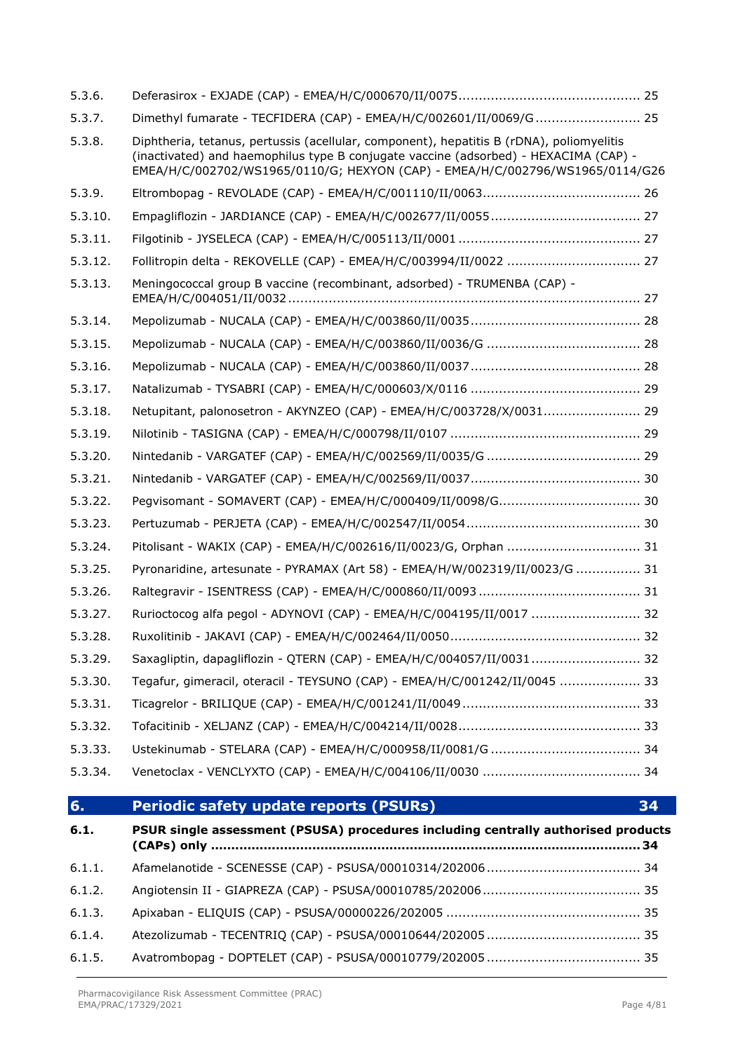| 5.3.6.  |                                                                                                                                                                                                                                                                   |
|---------|-------------------------------------------------------------------------------------------------------------------------------------------------------------------------------------------------------------------------------------------------------------------|
| 5.3.7.  | Dimethyl fumarate - TECFIDERA (CAP) - EMEA/H/C/002601/II/0069/G 25                                                                                                                                                                                                |
| 5.3.8.  | Diphtheria, tetanus, pertussis (acellular, component), hepatitis B (rDNA), poliomyelitis<br>(inactivated) and haemophilus type B conjugate vaccine (adsorbed) - HEXACIMA (CAP) -<br>EMEA/H/C/002702/WS1965/0110/G; HEXYON (CAP) - EMEA/H/C/002796/WS1965/0114/G26 |
| 5.3.9.  |                                                                                                                                                                                                                                                                   |
| 5.3.10. |                                                                                                                                                                                                                                                                   |
| 5.3.11. |                                                                                                                                                                                                                                                                   |
| 5.3.12. |                                                                                                                                                                                                                                                                   |
| 5.3.13. | Meningococcal group B vaccine (recombinant, adsorbed) - TRUMENBA (CAP) -                                                                                                                                                                                          |
| 5.3.14. |                                                                                                                                                                                                                                                                   |
| 5.3.15. |                                                                                                                                                                                                                                                                   |
| 5.3.16. |                                                                                                                                                                                                                                                                   |
| 5.3.17. |                                                                                                                                                                                                                                                                   |
| 5.3.18. | Netupitant, palonosetron - AKYNZEO (CAP) - EMEA/H/C/003728/X/0031 29                                                                                                                                                                                              |
| 5.3.19. |                                                                                                                                                                                                                                                                   |
| 5.3.20. |                                                                                                                                                                                                                                                                   |
| 5.3.21. |                                                                                                                                                                                                                                                                   |
| 5.3.22. |                                                                                                                                                                                                                                                                   |
| 5.3.23. |                                                                                                                                                                                                                                                                   |
| 5.3.24. | Pitolisant - WAKIX (CAP) - EMEA/H/C/002616/II/0023/G, Orphan  31                                                                                                                                                                                                  |
| 5.3.25. | Pyronaridine, artesunate - PYRAMAX (Art 58) - EMEA/H/W/002319/II/0023/G  31                                                                                                                                                                                       |
| 5.3.26. |                                                                                                                                                                                                                                                                   |
| 5.3.27. | Rurioctocog alfa pegol - ADYNOVI (CAP) - EMEA/H/C/004195/II/0017  32                                                                                                                                                                                              |
| 5.3.28. |                                                                                                                                                                                                                                                                   |
| 5.3.29. | Saxaqliptin, dapaqliflozin - QTERN (CAP) - EMEA/H/C/004057/II/0031 32                                                                                                                                                                                             |
| 5.3.30. | Tegafur, gimeracil, oteracil - TEYSUNO (CAP) - EMEA/H/C/001242/II/0045  33                                                                                                                                                                                        |
| 5.3.31. |                                                                                                                                                                                                                                                                   |
| 5.3.32. |                                                                                                                                                                                                                                                                   |
| 5.3.33. |                                                                                                                                                                                                                                                                   |
| 5.3.34. |                                                                                                                                                                                                                                                                   |
| 6.      | Periodic safety update reports (PSURs)<br>34                                                                                                                                                                                                                      |
| 6.1.    | PSUR single assessment (PSUSA) procedures including centrally authorised products                                                                                                                                                                                 |
| 6.1.1.  |                                                                                                                                                                                                                                                                   |
| 6.1.2.  |                                                                                                                                                                                                                                                                   |
| 6.1.3.  |                                                                                                                                                                                                                                                                   |
| 6.1.4.  |                                                                                                                                                                                                                                                                   |
| 6.1.5.  |                                                                                                                                                                                                                                                                   |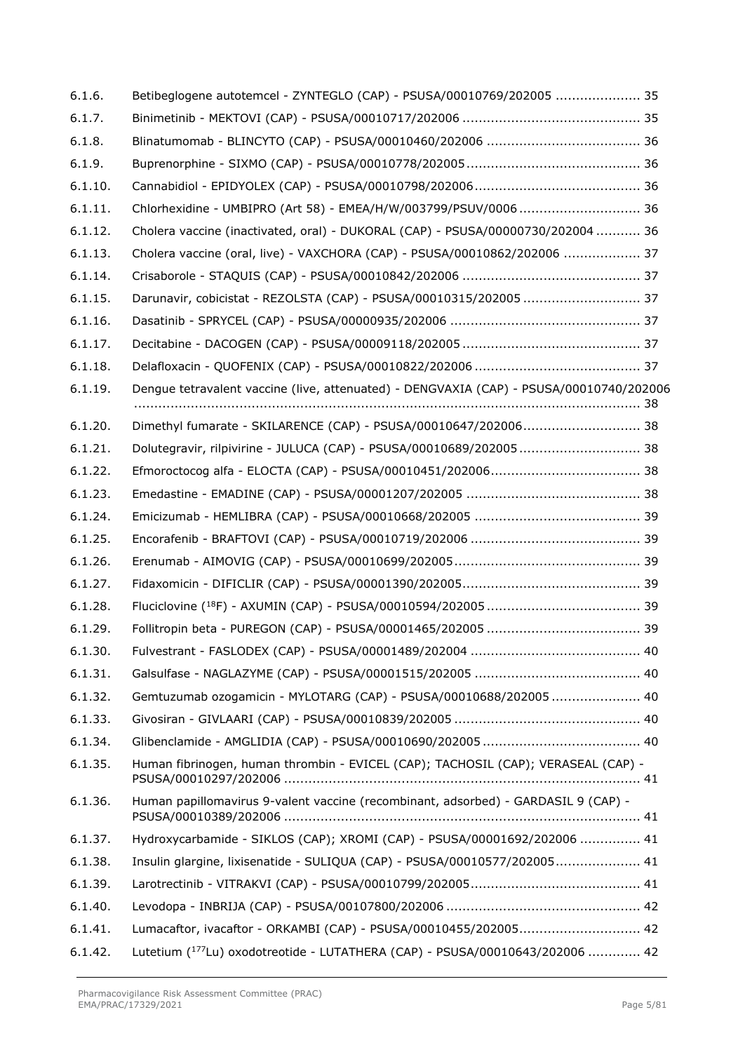| 6.1.6.  | Betibeglogene autotemcel - ZYNTEGLO (CAP) - PSUSA/00010769/202005  35                   |
|---------|-----------------------------------------------------------------------------------------|
| 6.1.7.  |                                                                                         |
| 6.1.8.  |                                                                                         |
| 6.1.9.  |                                                                                         |
| 6.1.10. |                                                                                         |
| 6.1.11. | Chlorhexidine - UMBIPRO (Art 58) - EMEA/H/W/003799/PSUV/0006  36                        |
| 6.1.12. | Cholera vaccine (inactivated, oral) - DUKORAL (CAP) - PSUSA/00000730/202004  36         |
| 6.1.13. | Cholera vaccine (oral, live) - VAXCHORA (CAP) - PSUSA/00010862/202006  37               |
| 6.1.14. |                                                                                         |
| 6.1.15. | Darunavir, cobicistat - REZOLSTA (CAP) - PSUSA/00010315/202005  37                      |
| 6.1.16. |                                                                                         |
| 6.1.17. |                                                                                         |
| 6.1.18. |                                                                                         |
| 6.1.19. | Dengue tetravalent vaccine (live, attenuated) - DENGVAXIA (CAP) - PSUSA/00010740/202006 |
| 6.1.20. | Dimethyl fumarate - SKILARENCE (CAP) - PSUSA/00010647/202006 38                         |
| 6.1.21. | Dolutegravir, rilpivirine - JULUCA (CAP) - PSUSA/00010689/202005 38                     |
| 6.1.22. |                                                                                         |
| 6.1.23. |                                                                                         |
| 6.1.24. |                                                                                         |
| 6.1.25. |                                                                                         |
| 6.1.26. |                                                                                         |
| 6.1.27. |                                                                                         |
| 6.1.28. |                                                                                         |
| 6.1.29. |                                                                                         |
| 6.1.30. |                                                                                         |
| 6.1.31. |                                                                                         |
| 6.1.32. | Gemtuzumab ozogamicin - MYLOTARG (CAP) - PSUSA/00010688/202005  40                      |
| 6.1.33. |                                                                                         |
| 6.1.34. |                                                                                         |
| 6.1.35. | Human fibrinogen, human thrombin - EVICEL (CAP); TACHOSIL (CAP); VERASEAL (CAP) -       |
| 6.1.36. | Human papillomavirus 9-valent vaccine (recombinant, adsorbed) - GARDASIL 9 (CAP) -      |
| 6.1.37. | Hydroxycarbamide - SIKLOS (CAP); XROMI (CAP) - PSUSA/00001692/202006  41                |
| 6.1.38. | Insulin glargine, lixisenatide - SULIQUA (CAP) - PSUSA/00010577/202005 41               |
| 6.1.39. |                                                                                         |
| 6.1.40. |                                                                                         |
| 6.1.41. | Lumacaftor, ivacaftor - ORKAMBI (CAP) - PSUSA/00010455/202005 42                        |
| 6.1.42. | Lutetium (177Lu) oxodotreotide - LUTATHERA (CAP) - PSUSA/00010643/202006  42            |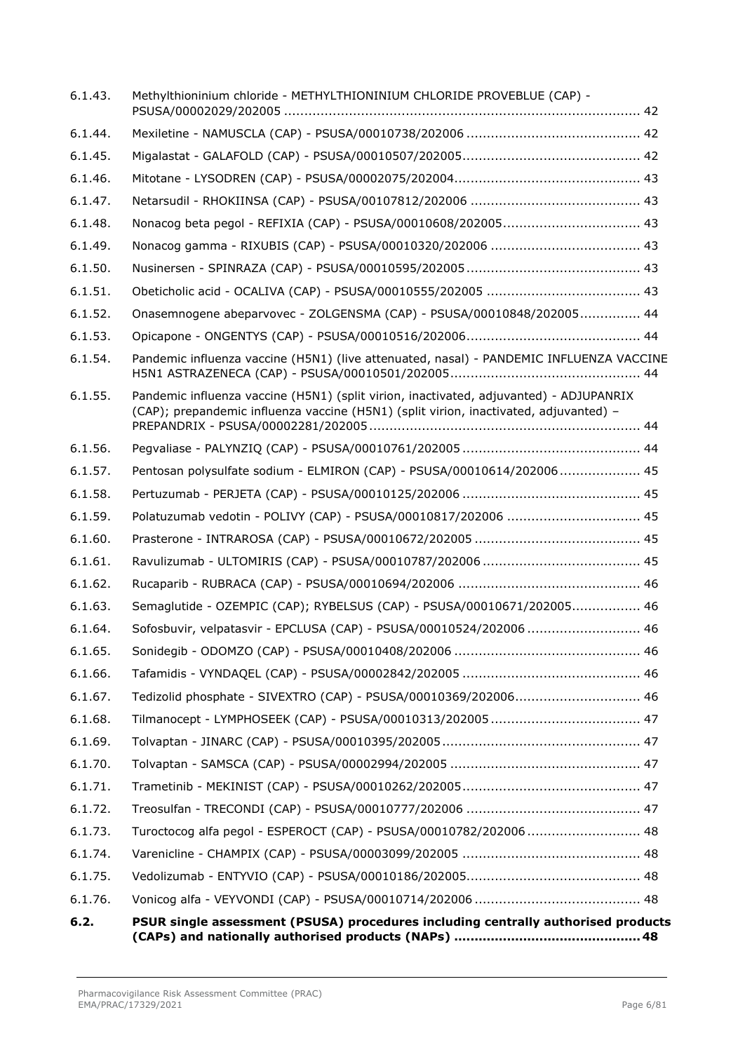| 6.1.43. | Methylthioninium chloride - METHYLTHIONINIUM CHLORIDE PROVEBLUE (CAP) -                                                                                                         |
|---------|---------------------------------------------------------------------------------------------------------------------------------------------------------------------------------|
| 6.1.44. |                                                                                                                                                                                 |
| 6.1.45. |                                                                                                                                                                                 |
| 6.1.46. |                                                                                                                                                                                 |
| 6.1.47. |                                                                                                                                                                                 |
| 6.1.48. |                                                                                                                                                                                 |
| 6.1.49. |                                                                                                                                                                                 |
| 6.1.50. |                                                                                                                                                                                 |
| 6.1.51. |                                                                                                                                                                                 |
| 6.1.52. | Onasemnogene abeparvovec - ZOLGENSMA (CAP) - PSUSA/00010848/202005 44                                                                                                           |
| 6.1.53. |                                                                                                                                                                                 |
| 6.1.54. | Pandemic influenza vaccine (H5N1) (live attenuated, nasal) - PANDEMIC INFLUENZA VACCINE                                                                                         |
| 6.1.55. | Pandemic influenza vaccine (H5N1) (split virion, inactivated, adjuvanted) - ADJUPANRIX<br>(CAP); prepandemic influenza vaccine (H5N1) (split virion, inactivated, adjuvanted) - |
| 6.1.56. |                                                                                                                                                                                 |
| 6.1.57. | Pentosan polysulfate sodium - ELMIRON (CAP) - PSUSA/00010614/202006 45                                                                                                          |
| 6.1.58. |                                                                                                                                                                                 |
| 6.1.59. | Polatuzumab vedotin - POLIVY (CAP) - PSUSA/00010817/202006  45                                                                                                                  |
| 6.1.60. |                                                                                                                                                                                 |
| 6.1.61. |                                                                                                                                                                                 |
| 6.1.62. |                                                                                                                                                                                 |
| 6.1.63. | Semaglutide - OZEMPIC (CAP); RYBELSUS (CAP) - PSUSA/00010671/202005 46                                                                                                          |
| 6.1.64. | Sofosbuvir, velpatasvir - EPCLUSA (CAP) - PSUSA/00010524/202006  46                                                                                                             |
| 6.1.65. |                                                                                                                                                                                 |
| 6.1.66. |                                                                                                                                                                                 |
| 6.1.67. | Tedizolid phosphate - SIVEXTRO (CAP) - PSUSA/00010369/202006 46                                                                                                                 |
| 6.1.68. |                                                                                                                                                                                 |
| 6.1.69. |                                                                                                                                                                                 |
| 6.1.70. |                                                                                                                                                                                 |
| 6.1.71. |                                                                                                                                                                                 |
| 6.1.72. |                                                                                                                                                                                 |
| 6.1.73. | Turoctocog alfa pegol - ESPEROCT (CAP) - PSUSA/00010782/202006  48                                                                                                              |
| 6.1.74. |                                                                                                                                                                                 |
| 6.1.75. |                                                                                                                                                                                 |
| 6.1.76. |                                                                                                                                                                                 |
| 6.2.    | PSUR single assessment (PSUSA) procedures including centrally authorised products                                                                                               |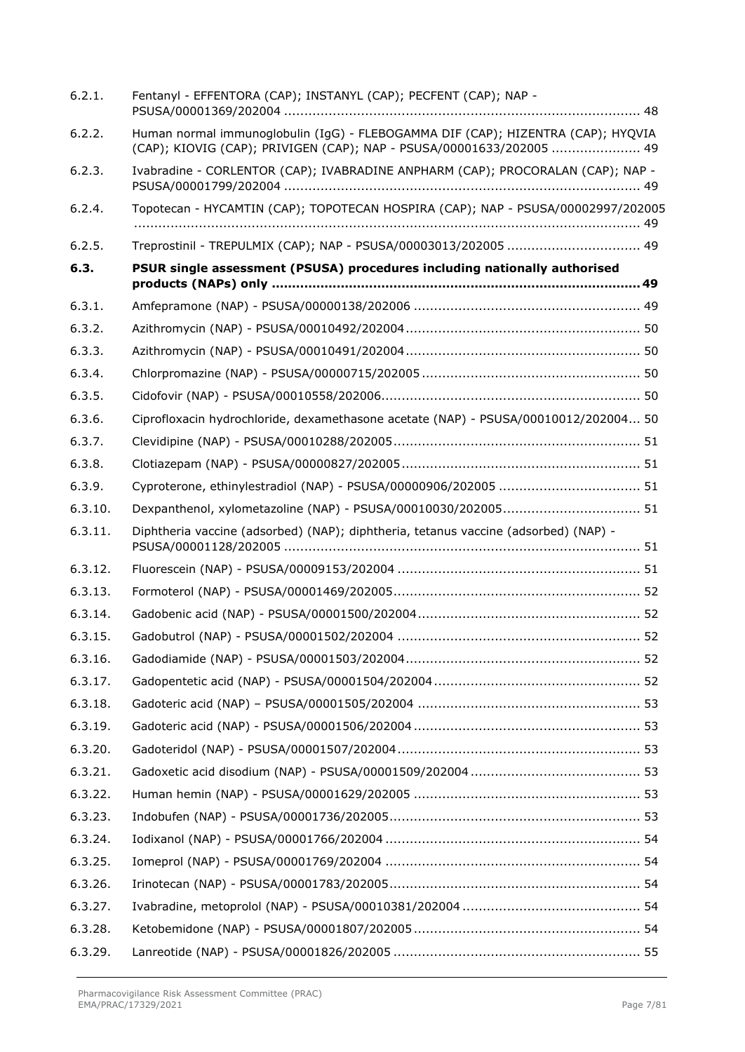| 6.2.1.  | Fentanyl - EFFENTORA (CAP); INSTANYL (CAP); PECFENT (CAP); NAP -                                                                                         |  |
|---------|----------------------------------------------------------------------------------------------------------------------------------------------------------|--|
| 6.2.2.  | Human normal immunoglobulin (IgG) - FLEBOGAMMA DIF (CAP); HIZENTRA (CAP); HYQVIA<br>(CAP); KIOVIG (CAP); PRIVIGEN (CAP); NAP - PSUSA/00001633/202005  49 |  |
| 6.2.3.  | Ivabradine - CORLENTOR (CAP); IVABRADINE ANPHARM (CAP); PROCORALAN (CAP); NAP -                                                                          |  |
| 6.2.4.  | Topotecan - HYCAMTIN (CAP); TOPOTECAN HOSPIRA (CAP); NAP - PSUSA/00002997/202005                                                                         |  |
| 6.2.5.  | Treprostinil - TREPULMIX (CAP); NAP - PSUSA/00003013/202005  49                                                                                          |  |
| 6.3.    | PSUR single assessment (PSUSA) procedures including nationally authorised                                                                                |  |
| 6.3.1.  |                                                                                                                                                          |  |
| 6.3.2.  |                                                                                                                                                          |  |
| 6.3.3.  |                                                                                                                                                          |  |
| 6.3.4.  |                                                                                                                                                          |  |
| 6.3.5.  |                                                                                                                                                          |  |
| 6.3.6.  | Ciprofloxacin hydrochloride, dexamethasone acetate (NAP) - PSUSA/00010012/202004 50                                                                      |  |
| 6.3.7.  |                                                                                                                                                          |  |
| 6.3.8.  |                                                                                                                                                          |  |
| 6.3.9.  |                                                                                                                                                          |  |
| 6.3.10. |                                                                                                                                                          |  |
| 6.3.11. | Diphtheria vaccine (adsorbed) (NAP); diphtheria, tetanus vaccine (adsorbed) (NAP) -                                                                      |  |
| 6.3.12. |                                                                                                                                                          |  |
| 6.3.13. |                                                                                                                                                          |  |
| 6.3.14. |                                                                                                                                                          |  |
| 6.3.15. |                                                                                                                                                          |  |
| 6.3.16. |                                                                                                                                                          |  |
| 6.3.17. |                                                                                                                                                          |  |
| 6.3.18. |                                                                                                                                                          |  |
| 6.3.19. |                                                                                                                                                          |  |
| 6.3.20. |                                                                                                                                                          |  |
| 6.3.21. |                                                                                                                                                          |  |
| 6.3.22. |                                                                                                                                                          |  |
| 6.3.23. |                                                                                                                                                          |  |
| 6.3.24. |                                                                                                                                                          |  |
| 6.3.25. |                                                                                                                                                          |  |
| 6.3.26. |                                                                                                                                                          |  |
| 6.3.27. |                                                                                                                                                          |  |
| 6.3.28. |                                                                                                                                                          |  |
| 6.3.29. |                                                                                                                                                          |  |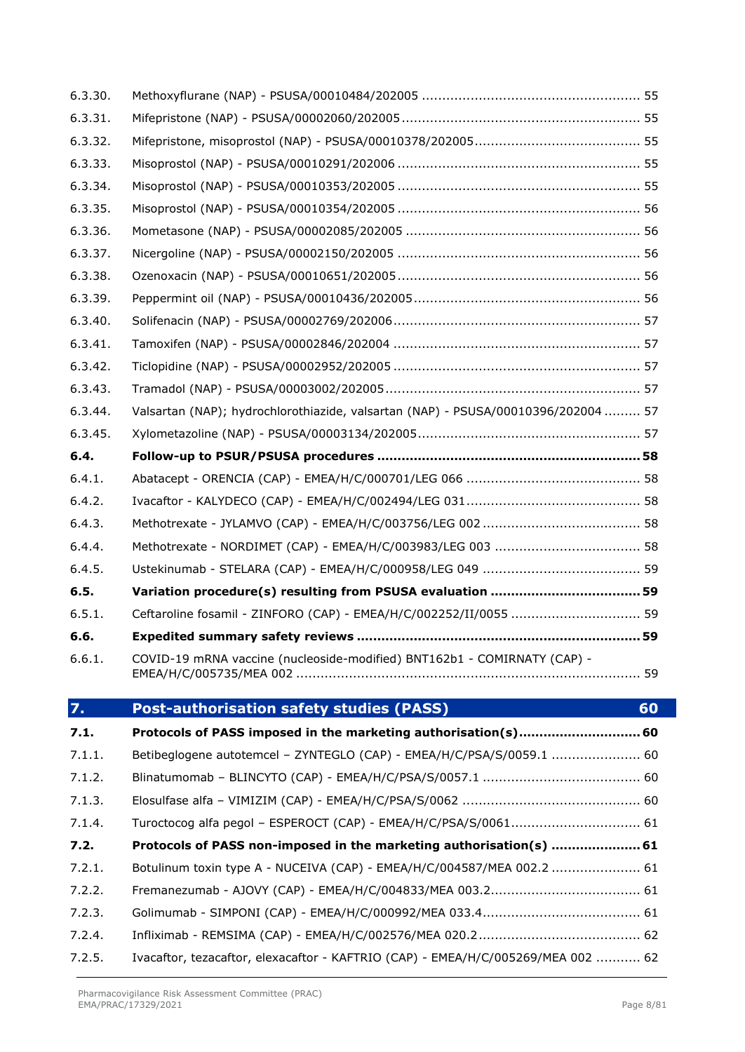| 6.3.31. |                                                                                   |    |
|---------|-----------------------------------------------------------------------------------|----|
| 6.3.32. |                                                                                   |    |
| 6.3.33. |                                                                                   |    |
| 6.3.34. |                                                                                   |    |
| 6.3.35. |                                                                                   |    |
| 6.3.36. |                                                                                   |    |
| 6.3.37. |                                                                                   |    |
| 6.3.38. |                                                                                   |    |
| 6.3.39. |                                                                                   |    |
| 6.3.40. |                                                                                   |    |
| 6.3.41. |                                                                                   |    |
| 6.3.42. |                                                                                   |    |
| 6.3.43. |                                                                                   |    |
| 6.3.44. | Valsartan (NAP); hydrochlorothiazide, valsartan (NAP) - PSUSA/00010396/202004  57 |    |
| 6.3.45. |                                                                                   |    |
| 6.4.    |                                                                                   |    |
| 6.4.1.  |                                                                                   |    |
| 6.4.2.  |                                                                                   |    |
| 6.4.3.  |                                                                                   |    |
| 6.4.4.  |                                                                                   |    |
| 6.4.5.  |                                                                                   |    |
| 6.5.    |                                                                                   |    |
| 6.5.1.  | Ceftaroline fosamil - ZINFORO (CAP) - EMEA/H/C/002252/II/0055  59                 |    |
| 6.6.    |                                                                                   |    |
| 6.6.1.  | COVID-19 mRNA vaccine (nucleoside-modified) BNT162b1 - COMIRNATY (CAP) -          |    |
| 7.      | <b>Post-authorisation safety studies (PASS)</b>                                   | 60 |
| 7.1.    | Protocols of PASS imposed in the marketing authorisation(s) 60                    |    |
| 7.1.1.  | Betibeglogene autotemcel - ZYNTEGLO (CAP) - EMEA/H/C/PSA/S/0059.1  60             |    |
| 7.1.2.  |                                                                                   |    |
| 7.1.3.  |                                                                                   |    |
| 7.1.4.  | Turoctocog alfa pegol - ESPEROCT (CAP) - EMEA/H/C/PSA/S/0061 61                   |    |
| 7.2.    | Protocols of PASS non-imposed in the marketing authorisation(s)  61               |    |
| 7.2.1.  | Botulinum toxin type A - NUCEIVA (CAP) - EMEA/H/C/004587/MEA 002.2  61            |    |
| 7.2.2.  |                                                                                   |    |
| 7.2.3.  |                                                                                   |    |
| 7.2.4.  |                                                                                   |    |
| 7.2.5.  | Ivacaftor, tezacaftor, elexacaftor - KAFTRIO (CAP) - EMEA/H/C/005269/MEA 002  62  |    |

6.3.30. Methoxyflurane (NAP) - PSUSA/00010484/202005 [......................................................](#page-54-1) 55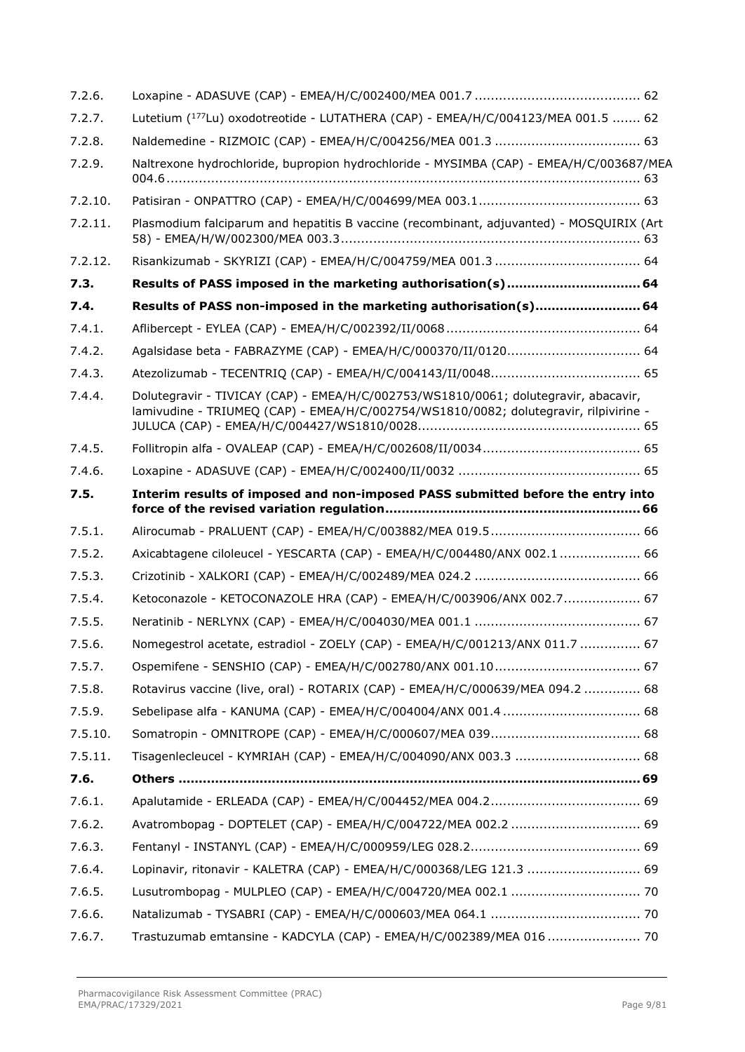| 7.2.6.  |                                                                                                                                                                              |
|---------|------------------------------------------------------------------------------------------------------------------------------------------------------------------------------|
| 7.2.7.  | Lutetium (177Lu) oxodotreotide - LUTATHERA (CAP) - EMEA/H/C/004123/MEA 001.5  62                                                                                             |
| 7.2.8.  |                                                                                                                                                                              |
| 7.2.9.  | Naltrexone hydrochloride, bupropion hydrochloride - MYSIMBA (CAP) - EMEA/H/C/003687/MEA                                                                                      |
| 7.2.10. |                                                                                                                                                                              |
| 7.2.11. | Plasmodium falciparum and hepatitis B vaccine (recombinant, adjuvanted) - MOSQUIRIX (Art                                                                                     |
| 7.2.12. |                                                                                                                                                                              |
| 7.3.    | Results of PASS imposed in the marketing authorisation(s) 64                                                                                                                 |
| 7.4.    | Results of PASS non-imposed in the marketing authorisation(s) 64                                                                                                             |
| 7.4.1.  |                                                                                                                                                                              |
| 7.4.2.  | Agalsidase beta - FABRAZYME (CAP) - EMEA/H/C/000370/II/0120 64                                                                                                               |
| 7.4.3.  |                                                                                                                                                                              |
| 7.4.4.  | Dolutegravir - TIVICAY (CAP) - EMEA/H/C/002753/WS1810/0061; dolutegravir, abacavir,<br>lamivudine - TRIUMEQ (CAP) - EMEA/H/C/002754/WS1810/0082; dolutegravir, rilpivirine - |
| 7.4.5.  |                                                                                                                                                                              |
| 7.4.6.  |                                                                                                                                                                              |
| 7.5.    | Interim results of imposed and non-imposed PASS submitted before the entry into                                                                                              |
| 7.5.1.  |                                                                                                                                                                              |
| 7.5.2.  | Axicabtagene ciloleucel - YESCARTA (CAP) - EMEA/H/C/004480/ANX 002.1  66                                                                                                     |
| 7.5.3.  |                                                                                                                                                                              |
| 7.5.4.  | Ketoconazole - KETOCONAZOLE HRA (CAP) - EMEA/H/C/003906/ANX 002.7 67                                                                                                         |
| 7.5.5.  |                                                                                                                                                                              |
| 7.5.6.  | Nomegestrol acetate, estradiol - ZOELY (CAP) - EMEA/H/C/001213/ANX 011.7  67                                                                                                 |
| 7.5.7.  |                                                                                                                                                                              |
| 7.5.8.  | Rotavirus vaccine (live, oral) - ROTARIX (CAP) - EMEA/H/C/000639/MEA 094.2  68                                                                                               |
| 7.5.9.  |                                                                                                                                                                              |
| 7.5.10. |                                                                                                                                                                              |
| 7.5.11. |                                                                                                                                                                              |
| 7.6.    |                                                                                                                                                                              |
| 7.6.1.  |                                                                                                                                                                              |
| 7.6.2.  | Avatrombopag - DOPTELET (CAP) - EMEA/H/C/004722/MEA 002.2  69                                                                                                                |
| 7.6.3.  |                                                                                                                                                                              |
| 7.6.4.  | Lopinavir, ritonavir - KALETRA (CAP) - EMEA/H/C/000368/LEG 121.3  69                                                                                                         |
| 7.6.5.  |                                                                                                                                                                              |
| 7.6.6.  |                                                                                                                                                                              |
| 7.6.7.  | Trastuzumab emtansine - KADCYLA (CAP) - EMEA/H/C/002389/MEA 016  70                                                                                                          |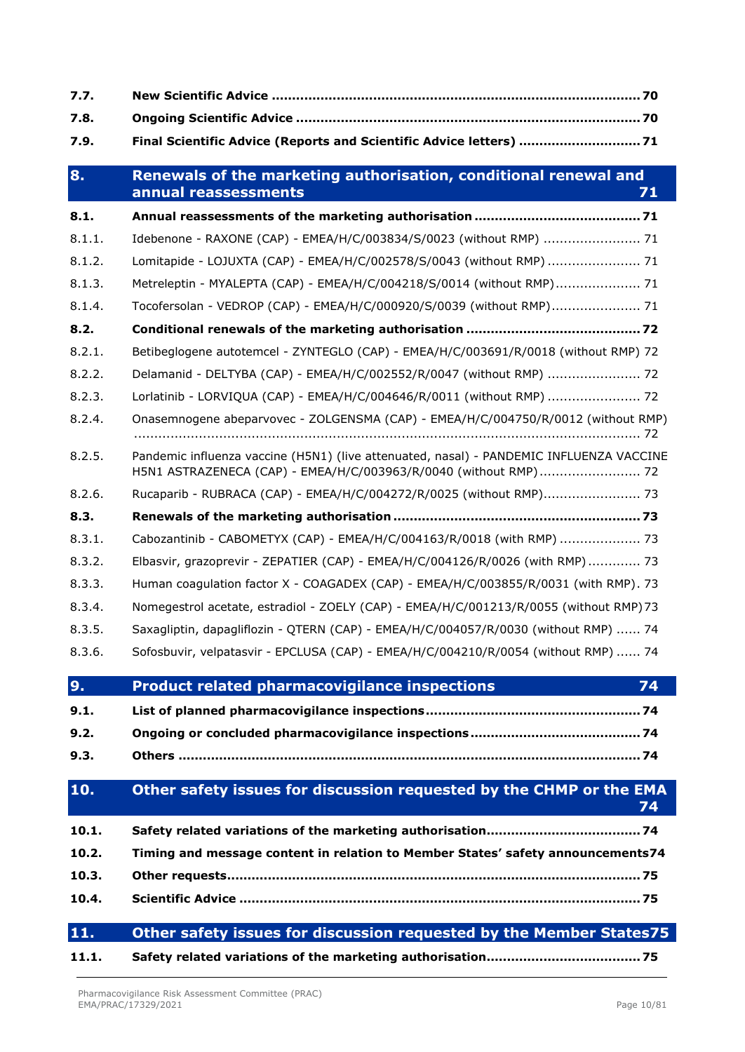| 7.7.   |                                                                                                                                                             |
|--------|-------------------------------------------------------------------------------------------------------------------------------------------------------------|
| 7.8.   |                                                                                                                                                             |
| 7.9.   | Final Scientific Advice (Reports and Scientific Advice letters)  71                                                                                         |
| 8.     | Renewals of the marketing authorisation, conditional renewal and<br>annual reassessments<br>71                                                              |
| 8.1.   |                                                                                                                                                             |
| 8.1.1. | Idebenone - RAXONE (CAP) - EMEA/H/C/003834/S/0023 (without RMP)  71                                                                                         |
| 8.1.2. | Lomitapide - LOJUXTA (CAP) - EMEA/H/C/002578/S/0043 (without RMP)  71                                                                                       |
| 8.1.3. | Metreleptin - MYALEPTA (CAP) - EMEA/H/C/004218/S/0014 (without RMP) 71                                                                                      |
| 8.1.4. | Tocofersolan - VEDROP (CAP) - EMEA/H/C/000920/S/0039 (without RMP) 71                                                                                       |
| 8.2.   |                                                                                                                                                             |
| 8.2.1. | Betibeglogene autotemcel - ZYNTEGLO (CAP) - EMEA/H/C/003691/R/0018 (without RMP) 72                                                                         |
| 8.2.2. | Delamanid - DELTYBA (CAP) - EMEA/H/C/002552/R/0047 (without RMP)  72                                                                                        |
| 8.2.3. | Lorlatinib - LORVIQUA (CAP) - EMEA/H/C/004646/R/0011 (without RMP)  72                                                                                      |
| 8.2.4. | Onasemnogene abeparvovec - ZOLGENSMA (CAP) - EMEA/H/C/004750/R/0012 (without RMP)                                                                           |
| 8.2.5. | Pandemic influenza vaccine (H5N1) (live attenuated, nasal) - PANDEMIC INFLUENZA VACCINE<br>H5N1 ASTRAZENECA (CAP) - EMEA/H/C/003963/R/0040 (without RMP) 72 |
| 8.2.6. | Rucaparib - RUBRACA (CAP) - EMEA/H/C/004272/R/0025 (without RMP) 73                                                                                         |
| 8.3.   |                                                                                                                                                             |
| 8.3.1. | Cabozantinib - CABOMETYX (CAP) - EMEA/H/C/004163/R/0018 (with RMP)  73                                                                                      |
| 8.3.2. | Elbasvir, grazoprevir - ZEPATIER (CAP) - EMEA/H/C/004126/R/0026 (with RMP) 73                                                                               |
| 8.3.3. | Human coagulation factor X - COAGADEX (CAP) - EMEA/H/C/003855/R/0031 (with RMP). 73                                                                         |
| 8.3.4. | Nomegestrol acetate, estradiol - ZOELY (CAP) - EMEA/H/C/001213/R/0055 (without RMP)73                                                                       |
| 8.3.5. | Saxagliptin, dapagliflozin - QTERN (CAP) - EMEA/H/C/004057/R/0030 (without RMP)  74                                                                         |
| 8.3.6. | Sofosbuvir, velpatasvir - EPCLUSA (CAP) - EMEA/H/C/004210/R/0054 (without RMP)  74                                                                          |
| 9.     | <b>Product related pharmacovigilance inspections</b><br>74                                                                                                  |
| 9.1.   |                                                                                                                                                             |
| 9.2.   |                                                                                                                                                             |
| 9.3.   |                                                                                                                                                             |
| 10.    | Other safety issues for discussion requested by the CHMP or the EMA<br>74                                                                                   |
| 10.1.  |                                                                                                                                                             |
| 10.2.  | Timing and message content in relation to Member States' safety announcements74                                                                             |
| 10.3.  |                                                                                                                                                             |
| 10.4.  |                                                                                                                                                             |
| 11.    | Other safety issues for discussion requested by the Member States75                                                                                         |
| 11.1.  |                                                                                                                                                             |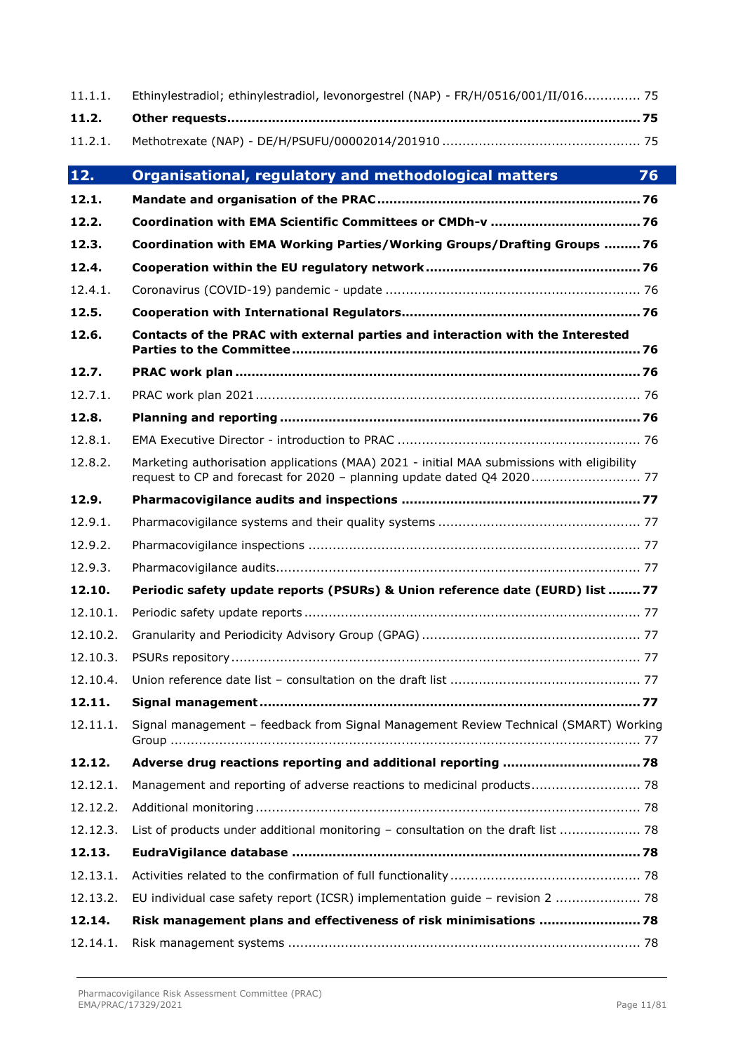| 11.1.1.  | Ethinylestradiol; ethinylestradiol, levonorgestrel (NAP) - FR/H/0516/001/II/016 75         |  |  |
|----------|--------------------------------------------------------------------------------------------|--|--|
| 11.2.    |                                                                                            |  |  |
| 11.2.1.  |                                                                                            |  |  |
| 12.      | Organisational, regulatory and methodological matters<br>76                                |  |  |
| 12.1.    |                                                                                            |  |  |
| 12.2.    |                                                                                            |  |  |
| 12.3.    | Coordination with EMA Working Parties/Working Groups/Drafting Groups 76                    |  |  |
| 12.4.    |                                                                                            |  |  |
| 12.4.1.  |                                                                                            |  |  |
| 12.5.    |                                                                                            |  |  |
| 12.6.    | Contacts of the PRAC with external parties and interaction with the Interested             |  |  |
| 12.7.    |                                                                                            |  |  |
| 12.7.1.  |                                                                                            |  |  |
| 12.8.    |                                                                                            |  |  |
| 12.8.1.  |                                                                                            |  |  |
| 12.8.2.  | Marketing authorisation applications (MAA) 2021 - initial MAA submissions with eligibility |  |  |
| 12.9.    |                                                                                            |  |  |
| 12.9.1.  |                                                                                            |  |  |
| 12.9.2.  |                                                                                            |  |  |
| 12.9.3.  |                                                                                            |  |  |
| 12.10.   | Periodic safety update reports (PSURs) & Union reference date (EURD) list  77              |  |  |
| 12.10.1. |                                                                                            |  |  |
| 12.10.2. |                                                                                            |  |  |
| 12.10.3. |                                                                                            |  |  |
| 12.10.4. |                                                                                            |  |  |
| 12.11.   |                                                                                            |  |  |
| 12.11.1. | Signal management - feedback from Signal Management Review Technical (SMART) Working       |  |  |
| 12.12.   |                                                                                            |  |  |
| 12.12.1. | Management and reporting of adverse reactions to medicinal products 78                     |  |  |
| 12.12.2. |                                                                                            |  |  |
| 12.12.3. | List of products under additional monitoring - consultation on the draft list  78          |  |  |
| 12.13.   |                                                                                            |  |  |
| 12.13.1. |                                                                                            |  |  |
| 12.13.2. | EU individual case safety report (ICSR) implementation guide - revision 2  78              |  |  |
| 12.14.   | Risk management plans and effectiveness of risk minimisations  78                          |  |  |
| 12.14.1. |                                                                                            |  |  |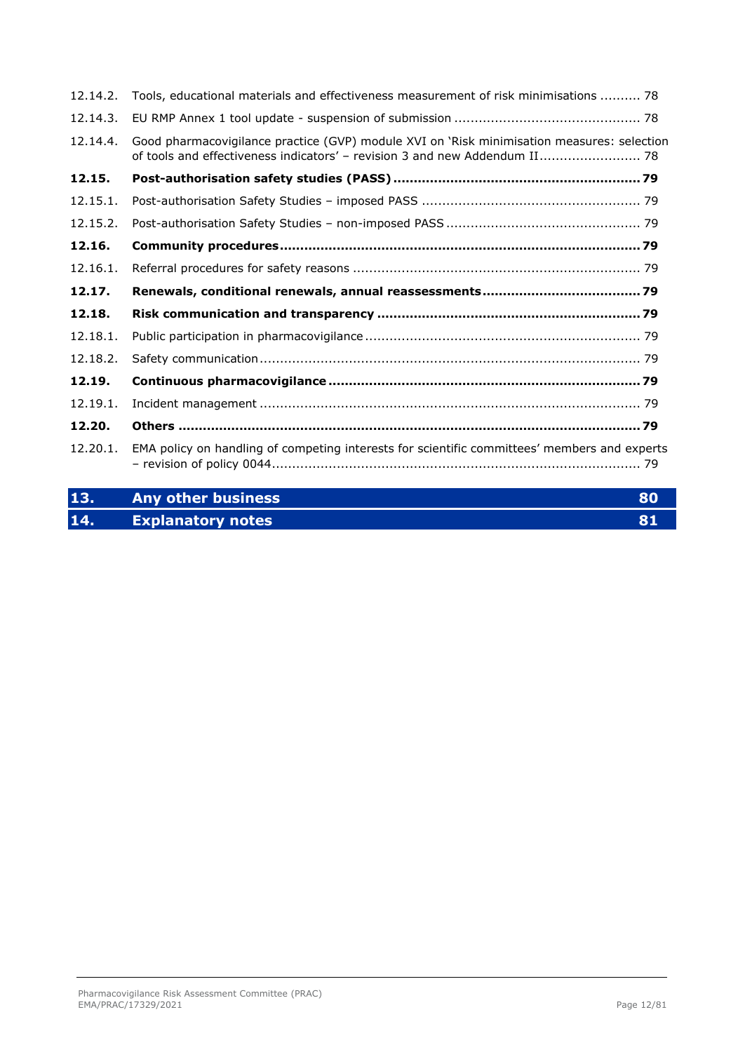| 12.14.2. | Tools, educational materials and effectiveness measurement of risk minimisations  78                                                                                     |
|----------|--------------------------------------------------------------------------------------------------------------------------------------------------------------------------|
| 12.14.3. |                                                                                                                                                                          |
| 12.14.4. | Good pharmacovigilance practice (GVP) module XVI on 'Risk minimisation measures: selection<br>of tools and effectiveness indicators' - revision 3 and new Addendum II 78 |
| 12.15.   |                                                                                                                                                                          |
| 12.15.1. |                                                                                                                                                                          |
| 12.15.2. |                                                                                                                                                                          |
| 12.16.   |                                                                                                                                                                          |
| 12.16.1. |                                                                                                                                                                          |
| 12.17.   |                                                                                                                                                                          |
| 12.18.   |                                                                                                                                                                          |
| 12.18.1. |                                                                                                                                                                          |
| 12.18.2. |                                                                                                                                                                          |
| 12.19.   |                                                                                                                                                                          |
| 12.19.1. |                                                                                                                                                                          |
| 12.20.   |                                                                                                                                                                          |
| 12.20.1. | EMA policy on handling of competing interests for scientific committees' members and experts                                                                             |

| 13. | Any other business       | 80 |
|-----|--------------------------|----|
| 14. | <b>Explanatory notes</b> |    |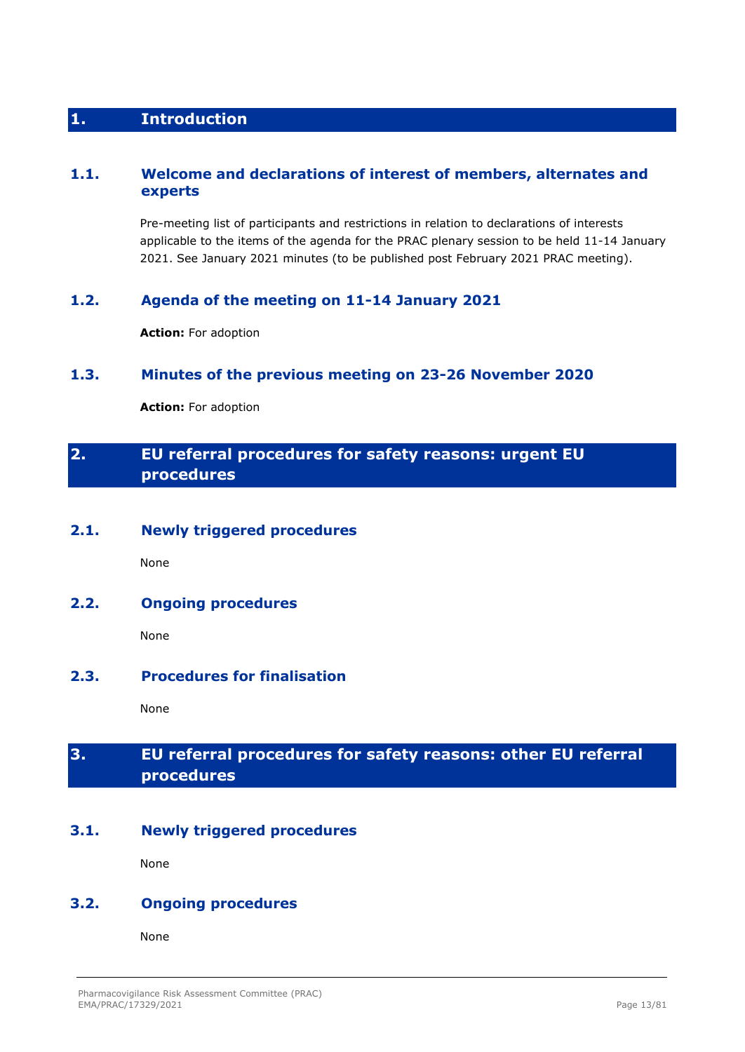# <span id="page-12-0"></span>**1. Introduction**

## <span id="page-12-1"></span>**1.1. Welcome and declarations of interest of members, alternates and experts**

Pre-meeting list of participants and restrictions in relation to declarations of interests applicable to the items of the agenda for the PRAC plenary session to be held 11-14 January 2021. See January 2021 minutes (to be published post February 2021 PRAC meeting).

## <span id="page-12-2"></span>**1.2. Agenda of the meeting on 11-14 January 2021**

**Action:** For adoption

## <span id="page-12-3"></span>**1.3. Minutes of the previous meeting on 23-26 November 2020**

**Action:** For adoption

# <span id="page-12-4"></span>**2. EU referral procedures for safety reasons: urgent EU procedures**

#### <span id="page-12-5"></span>**2.1. Newly triggered procedures**

None

# <span id="page-12-6"></span>**2.2. Ongoing procedures**

None

## <span id="page-12-7"></span>**2.3. Procedures for finalisation**

None

# <span id="page-12-8"></span>**3. EU referral procedures for safety reasons: other EU referral procedures**

## <span id="page-12-9"></span>**3.1. Newly triggered procedures**

None

## <span id="page-12-10"></span>**3.2. Ongoing procedures**

None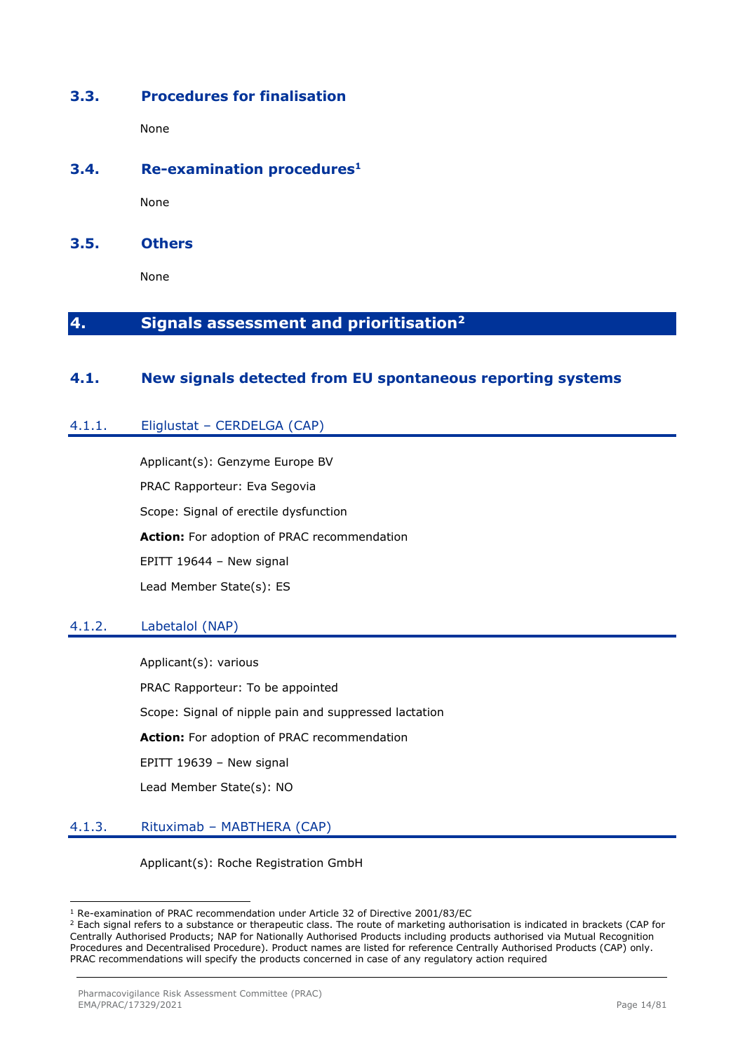## <span id="page-13-0"></span>**3.3. Procedures for finalisation**

None

## <span id="page-13-1"></span>**3.4. Re-examination procedures<sup>1</sup>**

None

<span id="page-13-2"></span>**3.5. Others**

None

# <span id="page-13-3"></span>**4. Signals assessment and prioritisation<sup>2</sup>**

## <span id="page-13-4"></span>**4.1. New signals detected from EU spontaneous reporting systems**

### <span id="page-13-5"></span>4.1.1. Eliglustat – CERDELGA (CAP)

Applicant(s): Genzyme Europe BV PRAC Rapporteur: Eva Segovia Scope: Signal of erectile dysfunction **Action:** For adoption of PRAC recommendation EPITT 19644 – New signal Lead Member State(s): ES

#### <span id="page-13-6"></span>4.1.2. Labetalol (NAP)

Applicant(s): various PRAC Rapporteur: To be appointed Scope: Signal of nipple pain and suppressed lactation **Action:** For adoption of PRAC recommendation EPITT 19639 – New signal Lead Member State(s): NO

#### <span id="page-13-7"></span>4.1.3. Rituximab – MABTHERA (CAP)

Applicant(s): Roche Registration GmbH

<sup>1</sup> Re-examination of PRAC recommendation under Article 32 of Directive 2001/83/EC

<sup>&</sup>lt;sup>2</sup> Each signal refers to a substance or therapeutic class. The route of marketing authorisation is indicated in brackets (CAP for Centrally Authorised Products; NAP for Nationally Authorised Products including products authorised via Mutual Recognition Procedures and Decentralised Procedure). Product names are listed for reference Centrally Authorised Products (CAP) only. PRAC recommendations will specify the products concerned in case of any regulatory action required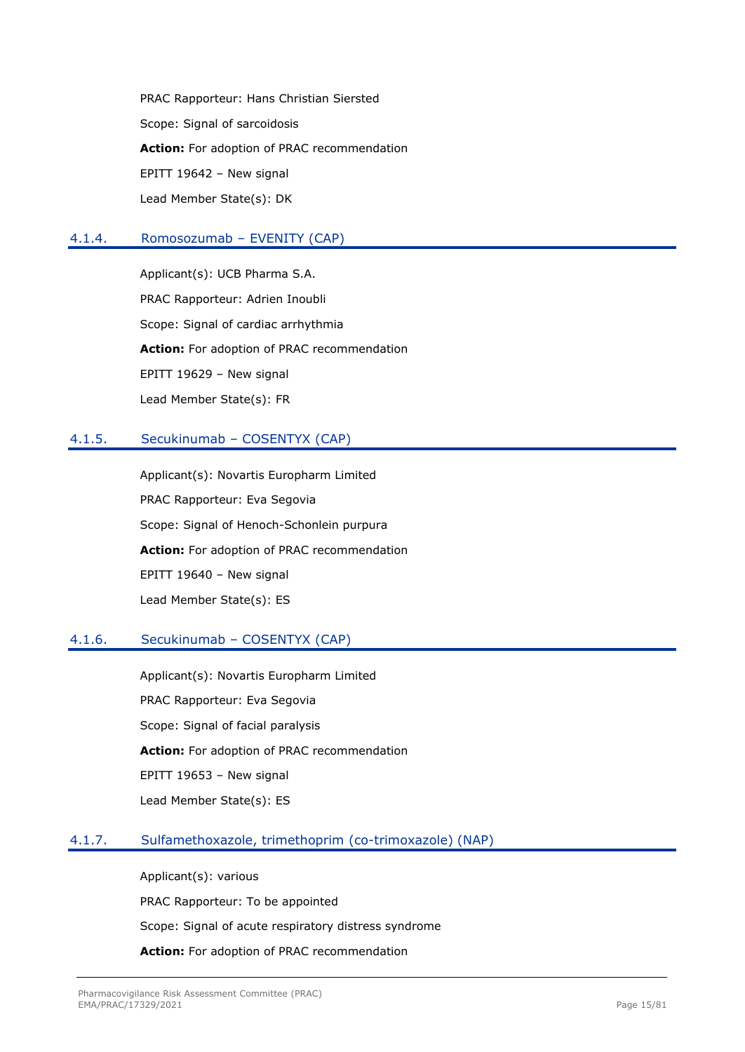PRAC Rapporteur: Hans Christian Siersted Scope: Signal of sarcoidosis **Action:** For adoption of PRAC recommendation EPITT 19642 – New signal Lead Member State(s): DK

### <span id="page-14-0"></span>4.1.4. Romosozumab – EVENITY (CAP)

Applicant(s): UCB Pharma S.A. PRAC Rapporteur: Adrien Inoubli Scope: Signal of cardiac arrhythmia **Action:** For adoption of PRAC recommendation EPITT 19629 – New signal Lead Member State(s): FR

### <span id="page-14-1"></span>4.1.5. Secukinumab – COSENTYX (CAP)

Applicant(s): Novartis Europharm Limited PRAC Rapporteur: Eva Segovia Scope: Signal of Henoch-Schonlein purpura **Action:** For adoption of PRAC recommendation EPITT 19640 – New signal Lead Member State(s): ES

## <span id="page-14-2"></span>4.1.6. Secukinumab – COSENTYX (CAP)

Applicant(s): Novartis Europharm Limited PRAC Rapporteur: Eva Segovia Scope: Signal of facial paralysis **Action:** For adoption of PRAC recommendation EPITT 19653 – New signal Lead Member State(s): ES

## <span id="page-14-3"></span>4.1.7. Sulfamethoxazole, trimethoprim (co-trimoxazole) (NAP)

Applicant(s): various PRAC Rapporteur: To be appointed Scope: Signal of acute respiratory distress syndrome **Action:** For adoption of PRAC recommendation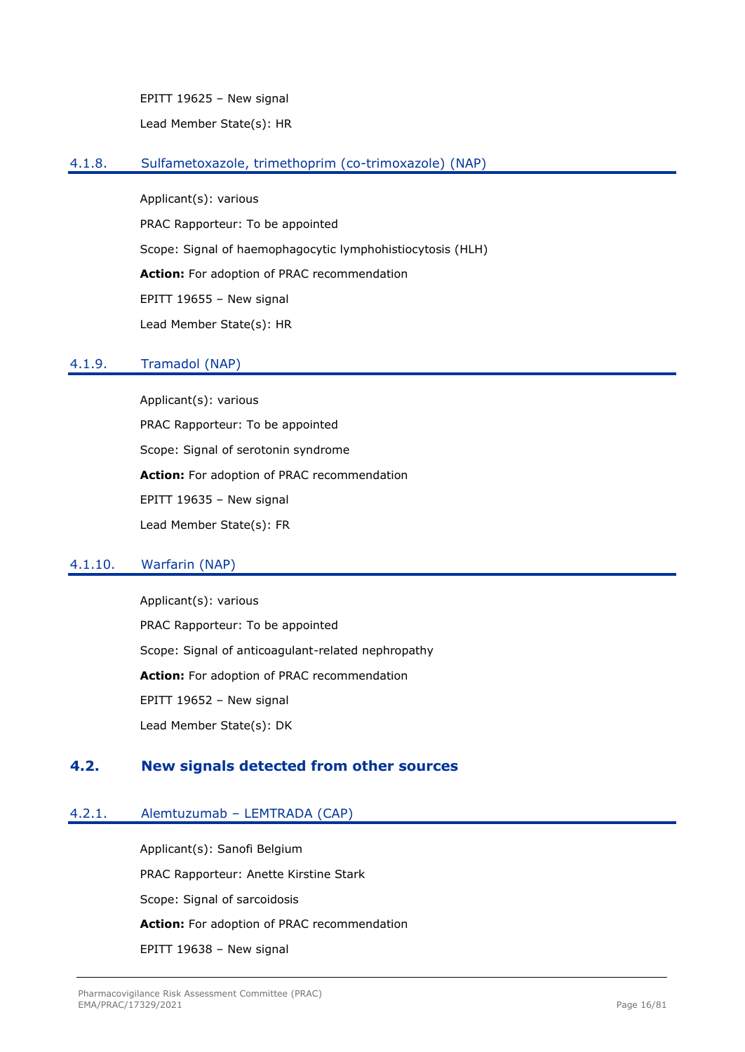EPITT 19625 – New signal Lead Member State(s): HR

#### <span id="page-15-0"></span>4.1.8. Sulfametoxazole, trimethoprim (co-trimoxazole) (NAP)

Applicant(s): various PRAC Rapporteur: To be appointed Scope: Signal of haemophagocytic lymphohistiocytosis (HLH) **Action:** For adoption of PRAC recommendation EPITT 19655 – New signal Lead Member State(s): HR

### <span id="page-15-1"></span>4.1.9. Tramadol (NAP)

Applicant(s): various PRAC Rapporteur: To be appointed Scope: Signal of serotonin syndrome **Action:** For adoption of PRAC recommendation EPITT 19635 – New signal Lead Member State(s): FR

## <span id="page-15-2"></span>4.1.10. Warfarin (NAP)

Applicant(s): various PRAC Rapporteur: To be appointed Scope: Signal of anticoagulant-related nephropathy **Action:** For adoption of PRAC recommendation EPITT 19652 – New signal Lead Member State(s): DK

# <span id="page-15-3"></span>**4.2. New signals detected from other sources**

#### <span id="page-15-4"></span>4.2.1. Alemtuzumab – LEMTRADA (CAP)

Applicant(s): Sanofi Belgium PRAC Rapporteur: Anette Kirstine Stark Scope: Signal of sarcoidosis **Action:** For adoption of PRAC recommendation EPITT 19638 – New signal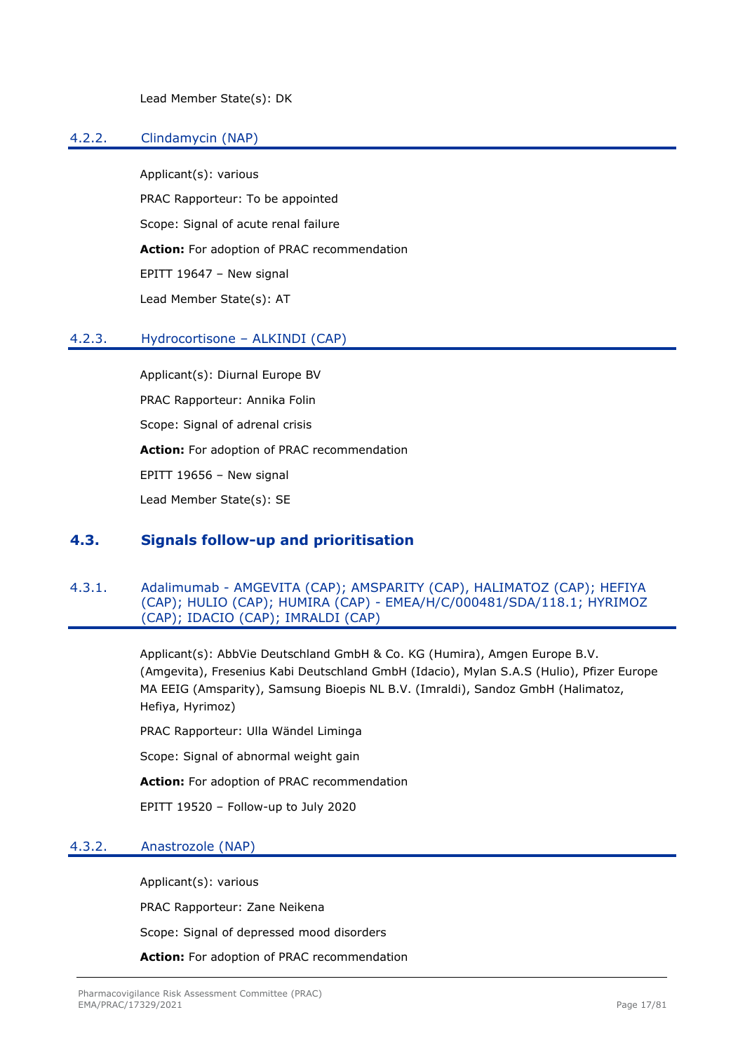Lead Member State(s): DK

## <span id="page-16-0"></span>4.2.2. Clindamycin (NAP)

Applicant(s): various PRAC Rapporteur: To be appointed Scope: Signal of acute renal failure **Action:** For adoption of PRAC recommendation EPITT 19647 – New signal Lead Member State(s): AT

#### <span id="page-16-1"></span>4.2.3. Hydrocortisone – ALKINDI (CAP)

Applicant(s): Diurnal Europe BV PRAC Rapporteur: Annika Folin Scope: Signal of adrenal crisis **Action:** For adoption of PRAC recommendation EPITT 19656 – New signal Lead Member State(s): SE

## <span id="page-16-2"></span>**4.3. Signals follow-up and prioritisation**

#### <span id="page-16-3"></span>4.3.1. Adalimumab - AMGEVITA (CAP); AMSPARITY (CAP), HALIMATOZ (CAP); HEFIYA (CAP); HULIO (CAP); HUMIRA (CAP) - EMEA/H/C/000481/SDA/118.1; HYRIMOZ (CAP); IDACIO (CAP); IMRALDI (CAP)

Applicant(s): AbbVie Deutschland GmbH & Co. KG (Humira), Amgen Europe B.V. (Amgevita), Fresenius Kabi Deutschland GmbH (Idacio), Mylan S.A.S (Hulio), Pfizer Europe MA EEIG (Amsparity), Samsung Bioepis NL B.V. (Imraldi), Sandoz GmbH (Halimatoz, Hefiya, Hyrimoz)

PRAC Rapporteur: Ulla Wändel Liminga

Scope: Signal of abnormal weight gain

**Action:** For adoption of PRAC recommendation

EPITT 19520 – Follow-up to July 2020

#### <span id="page-16-4"></span>4.3.2. Anastrozole (NAP)

Applicant(s): various

PRAC Rapporteur: Zane Neikena

Scope: Signal of depressed mood disorders

**Action:** For adoption of PRAC recommendation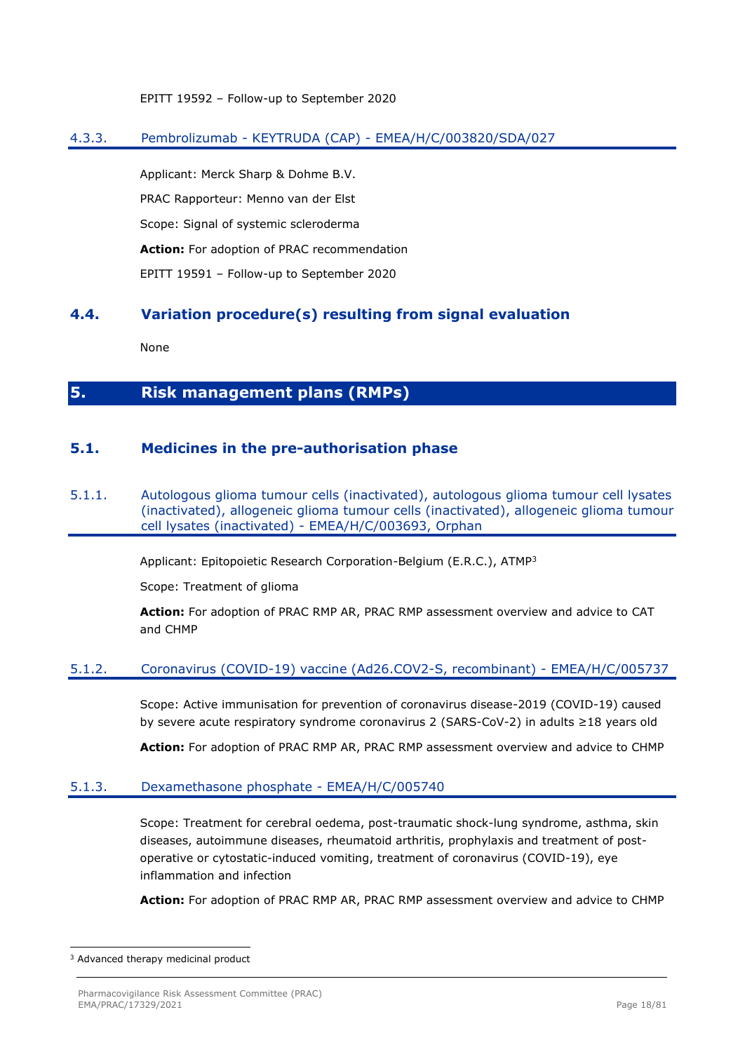EPITT 19592 – Follow-up to September 2020

## <span id="page-17-0"></span>4.3.3. Pembrolizumab - KEYTRUDA (CAP) - EMEA/H/C/003820/SDA/027

Applicant: Merck Sharp & Dohme B.V. PRAC Rapporteur: Menno van der Elst Scope: Signal of systemic scleroderma **Action:** For adoption of PRAC recommendation EPITT 19591 – Follow-up to September 2020

## <span id="page-17-1"></span>**4.4. Variation procedure(s) resulting from signal evaluation**

None

# <span id="page-17-2"></span>**5. Risk management plans (RMPs)**

## <span id="page-17-3"></span>**5.1. Medicines in the pre-authorisation phase**

#### <span id="page-17-4"></span>5.1.1. Autologous glioma tumour cells (inactivated), autologous glioma tumour cell lysates (inactivated), allogeneic glioma tumour cells (inactivated), allogeneic glioma tumour cell lysates (inactivated) - EMEA/H/C/003693, Orphan

Applicant: Epitopoietic Research Corporation-Belgium (E.R.C.), ATMP<sup>3</sup>

Scope: Treatment of glioma

**Action:** For adoption of PRAC RMP AR, PRAC RMP assessment overview and advice to CAT and CHMP

#### <span id="page-17-5"></span>5.1.2. Coronavirus (COVID-19) vaccine (Ad26.COV2-S, recombinant) - EMEA/H/C/005737

Scope: Active immunisation for prevention of coronavirus disease-2019 (COVID-19) caused by severe acute respiratory syndrome coronavirus 2 (SARS-CoV-2) in adults ≥18 years old

**Action:** For adoption of PRAC RMP AR, PRAC RMP assessment overview and advice to CHMP

#### <span id="page-17-6"></span>5.1.3. Dexamethasone phosphate - EMEA/H/C/005740

Scope: Treatment for cerebral oedema, post-traumatic shock-lung syndrome, asthma, skin diseases, autoimmune diseases, rheumatoid arthritis, prophylaxis and treatment of postoperative or cytostatic-induced vomiting, treatment of coronavirus (COVID-19), eye inflammation and infection

**Action:** For adoption of PRAC RMP AR, PRAC RMP assessment overview and advice to CHMP

<sup>3</sup> Advanced therapy medicinal product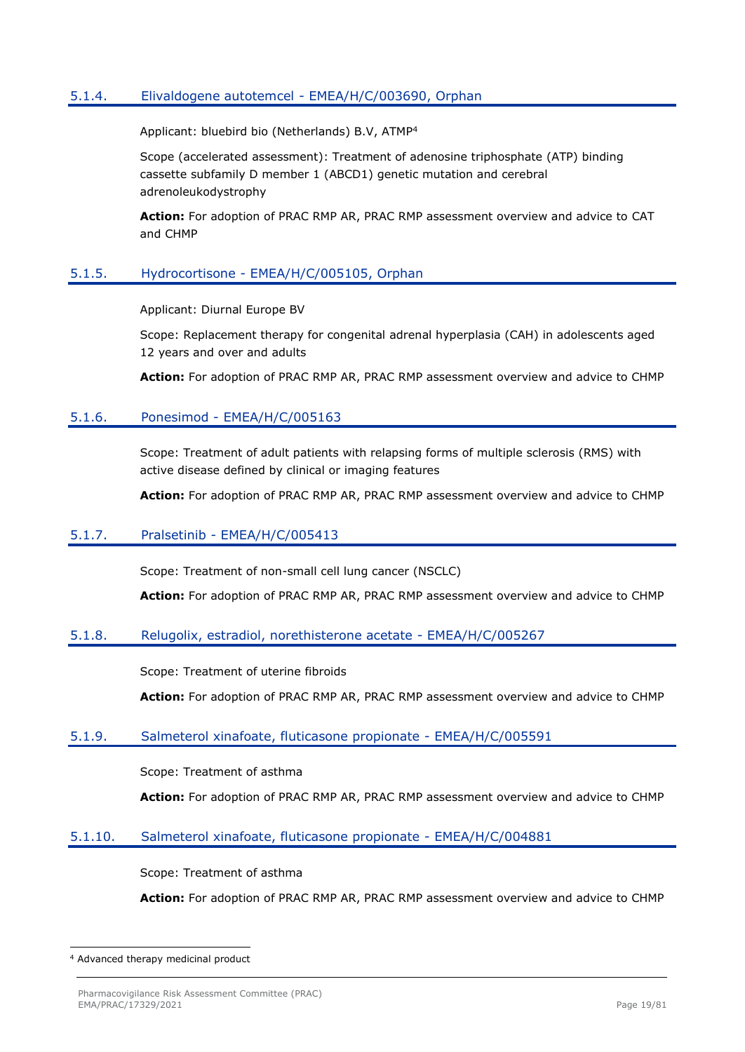## <span id="page-18-0"></span>5.1.4. Elivaldogene autotemcel - EMEA/H/C/003690, Orphan

Applicant: bluebird bio (Netherlands) B.V, ATMP<sup>4</sup>

Scope (accelerated assessment): Treatment of adenosine triphosphate (ATP) binding cassette subfamily D member 1 (ABCD1) genetic mutation and cerebral adrenoleukodystrophy

**Action:** For adoption of PRAC RMP AR, PRAC RMP assessment overview and advice to CAT and CHMP

#### <span id="page-18-1"></span>5.1.5. Hydrocortisone - EMEA/H/C/005105, Orphan

Applicant: Diurnal Europe BV

Scope: Replacement therapy for congenital adrenal hyperplasia (CAH) in adolescents aged 12 years and over and adults

**Action:** For adoption of PRAC RMP AR, PRAC RMP assessment overview and advice to CHMP

#### <span id="page-18-2"></span>5.1.6. Ponesimod - EMEA/H/C/005163

Scope: Treatment of adult patients with relapsing forms of multiple sclerosis (RMS) with active disease defined by clinical or imaging features

**Action:** For adoption of PRAC RMP AR, PRAC RMP assessment overview and advice to CHMP

#### <span id="page-18-3"></span>5.1.7. Pralsetinib - EMEA/H/C/005413

Scope: Treatment of non-small cell lung cancer (NSCLC)

**Action:** For adoption of PRAC RMP AR, PRAC RMP assessment overview and advice to CHMP

#### <span id="page-18-4"></span>5.1.8. Relugolix, estradiol, norethisterone acetate - EMEA/H/C/005267

Scope: Treatment of uterine fibroids

**Action:** For adoption of PRAC RMP AR, PRAC RMP assessment overview and advice to CHMP

#### <span id="page-18-5"></span>5.1.9. Salmeterol xinafoate, fluticasone propionate - EMEA/H/C/005591

Scope: Treatment of asthma

**Action:** For adoption of PRAC RMP AR, PRAC RMP assessment overview and advice to CHMP

#### <span id="page-18-6"></span>5.1.10. Salmeterol xinafoate, fluticasone propionate - EMEA/H/C/004881

Scope: Treatment of asthma

**Action:** For adoption of PRAC RMP AR, PRAC RMP assessment overview and advice to CHMP

<sup>4</sup> Advanced therapy medicinal product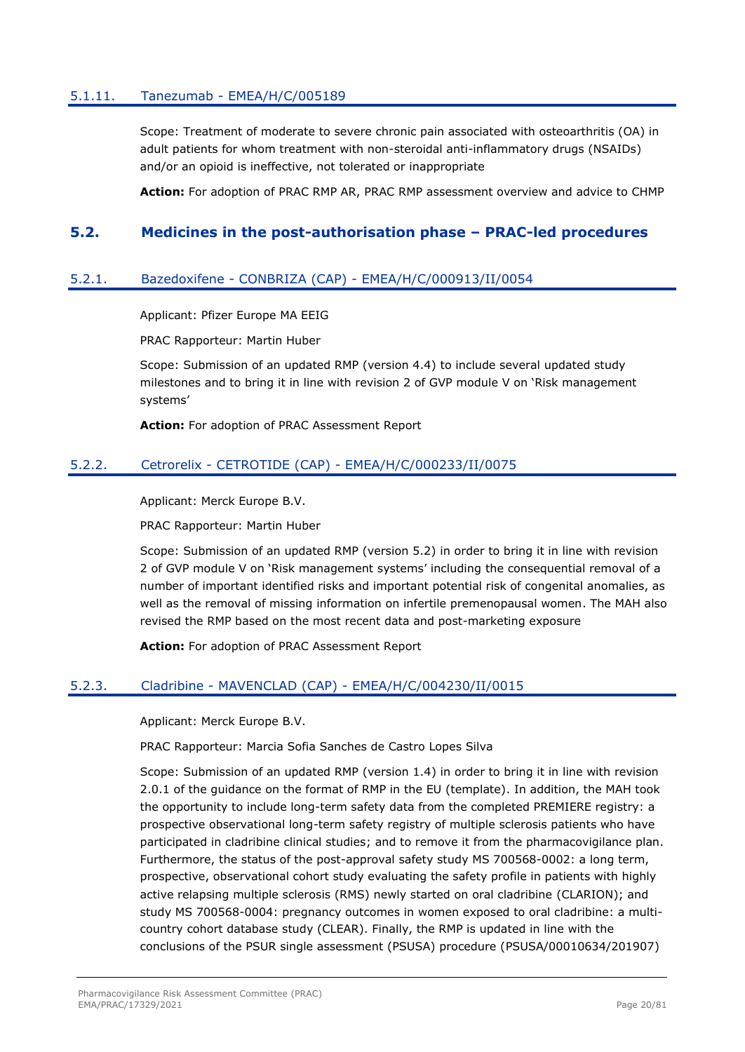### <span id="page-19-0"></span>5.1.11. Tanezumab - EMEA/H/C/005189

Scope: Treatment of moderate to severe chronic pain associated with osteoarthritis (OA) in adult patients for whom treatment with non-steroidal anti-inflammatory drugs (NSAIDs) and/or an opioid is ineffective, not tolerated or inappropriate

**Action:** For adoption of PRAC RMP AR, PRAC RMP assessment overview and advice to CHMP

## <span id="page-19-1"></span>**5.2. Medicines in the post-authorisation phase – PRAC-led procedures**

#### <span id="page-19-2"></span>5.2.1. Bazedoxifene - CONBRIZA (CAP) - EMEA/H/C/000913/II/0054

Applicant: Pfizer Europe MA EEIG

PRAC Rapporteur: Martin Huber

Scope: Submission of an updated RMP (version 4.4) to include several updated study milestones and to bring it in line with revision 2 of GVP module V on 'Risk management systems'

**Action:** For adoption of PRAC Assessment Report

### <span id="page-19-3"></span>5.2.2. Cetrorelix - CETROTIDE (CAP) - EMEA/H/C/000233/II/0075

Applicant: Merck Europe B.V.

PRAC Rapporteur: Martin Huber

Scope: Submission of an updated RMP (version 5.2) in order to bring it in line with revision 2 of GVP module V on 'Risk management systems' including the consequential removal of a number of important identified risks and important potential risk of congenital anomalies, as well as the removal of missing information on infertile premenopausal women. The MAH also revised the RMP based on the most recent data and post-marketing exposure

**Action:** For adoption of PRAC Assessment Report

#### <span id="page-19-4"></span>5.2.3. Cladribine - MAVENCLAD (CAP) - EMEA/H/C/004230/II/0015

Applicant: Merck Europe B.V.

PRAC Rapporteur: Marcia Sofia Sanches de Castro Lopes Silva

Scope: Submission of an updated RMP (version 1.4) in order to bring it in line with revision 2.0.1 of the guidance on the format of RMP in the EU (template). In addition, the MAH took the opportunity to include long-term safety data from the completed PREMIERE registry: a prospective observational long-term safety registry of multiple sclerosis patients who have participated in cladribine clinical studies; and to remove it from the pharmacovigilance plan. Furthermore, the status of the post-approval safety study MS 700568-0002: a long term, prospective, observational cohort study evaluating the safety profile in patients with highly active relapsing multiple sclerosis (RMS) newly started on oral cladribine (CLARION); and study MS 700568-0004: pregnancy outcomes in women exposed to oral cladribine: a multicountry cohort database study (CLEAR). Finally, the RMP is updated in line with the conclusions of the PSUR single assessment (PSUSA) procedure (PSUSA/00010634/201907)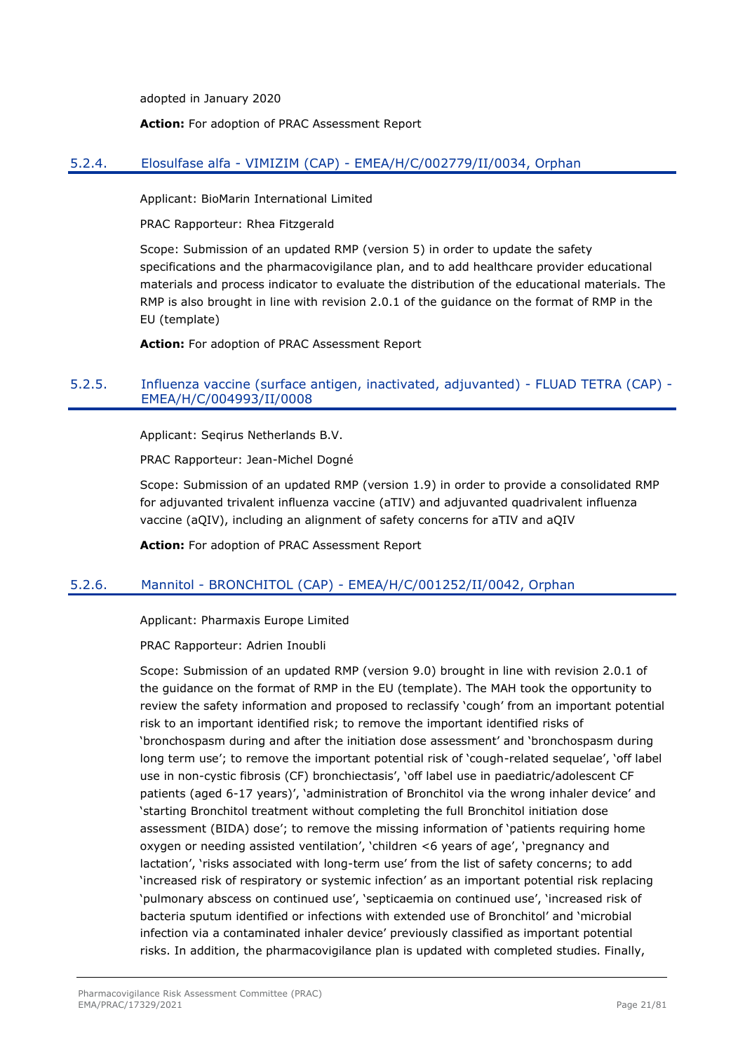adopted in January 2020

**Action:** For adoption of PRAC Assessment Report

## <span id="page-20-0"></span>5.2.4. Elosulfase alfa - VIMIZIM (CAP) - EMEA/H/C/002779/II/0034, Orphan

Applicant: BioMarin International Limited

PRAC Rapporteur: Rhea Fitzgerald

Scope: Submission of an updated RMP (version 5) in order to update the safety specifications and the pharmacovigilance plan, and to add healthcare provider educational materials and process indicator to evaluate the distribution of the educational materials. The RMP is also brought in line with revision 2.0.1 of the guidance on the format of RMP in the EU (template)

**Action:** For adoption of PRAC Assessment Report

## <span id="page-20-1"></span>5.2.5. Influenza vaccine (surface antigen, inactivated, adjuvanted) - FLUAD TETRA (CAP) - EMEA/H/C/004993/II/0008

Applicant: Seqirus Netherlands B.V.

PRAC Rapporteur: Jean-Michel Dogné

Scope: Submission of an updated RMP (version 1.9) in order to provide a consolidated RMP for adjuvanted trivalent influenza vaccine (aTIV) and adjuvanted quadrivalent influenza vaccine (aQIV), including an alignment of safety concerns for aTIV and aQIV

**Action:** For adoption of PRAC Assessment Report

## <span id="page-20-2"></span>5.2.6. Mannitol - BRONCHITOL (CAP) - EMEA/H/C/001252/II/0042, Orphan

Applicant: Pharmaxis Europe Limited

PRAC Rapporteur: Adrien Inoubli

Scope: Submission of an updated RMP (version 9.0) brought in line with revision 2.0.1 of the guidance on the format of RMP in the EU (template). The MAH took the opportunity to review the safety information and proposed to reclassify 'cough' from an important potential risk to an important identified risk; to remove the important identified risks of 'bronchospasm during and after the initiation dose assessment' and 'bronchospasm during long term use'; to remove the important potential risk of 'cough-related sequelae', 'off label use in non-cystic fibrosis (CF) bronchiectasis', 'off label use in paediatric/adolescent CF patients (aged 6-17 years)', 'administration of Bronchitol via the wrong inhaler device' and 'starting Bronchitol treatment without completing the full Bronchitol initiation dose assessment (BIDA) dose'; to remove the missing information of 'patients requiring home oxygen or needing assisted ventilation', 'children <6 years of age', 'pregnancy and lactation', 'risks associated with long-term use' from the list of safety concerns; to add 'increased risk of respiratory or systemic infection' as an important potential risk replacing 'pulmonary abscess on continued use', 'septicaemia on continued use', 'increased risk of bacteria sputum identified or infections with extended use of Bronchitol' and 'microbial infection via a contaminated inhaler device' previously classified as important potential risks. In addition, the pharmacovigilance plan is updated with completed studies. Finally,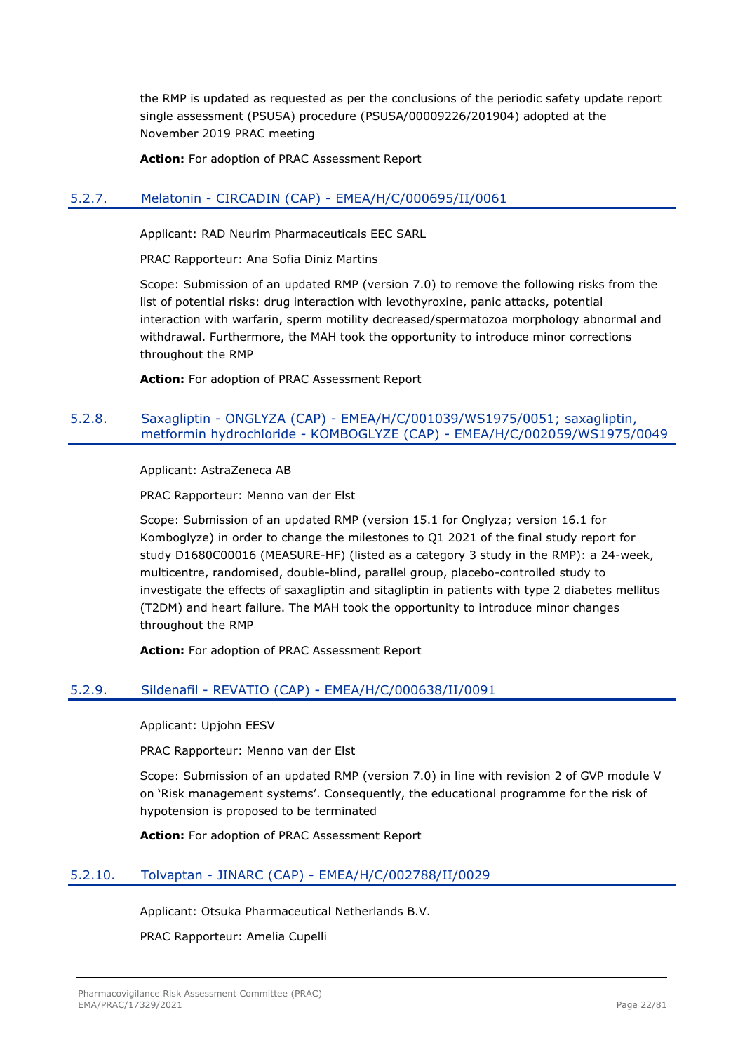the RMP is updated as requested as per the conclusions of the periodic safety update report single assessment (PSUSA) procedure (PSUSA/00009226/201904) adopted at the November 2019 PRAC meeting

**Action:** For adoption of PRAC Assessment Report

## <span id="page-21-0"></span>5.2.7. Melatonin - CIRCADIN (CAP) - EMEA/H/C/000695/II/0061

Applicant: RAD Neurim Pharmaceuticals EEC SARL

PRAC Rapporteur: Ana Sofia Diniz Martins

Scope: Submission of an updated RMP (version 7.0) to remove the following risks from the list of potential risks: drug interaction with levothyroxine, panic attacks, potential interaction with warfarin, sperm motility decreased/spermatozoa morphology abnormal and withdrawal. Furthermore, the MAH took the opportunity to introduce minor corrections throughout the RMP

**Action:** For adoption of PRAC Assessment Report

### <span id="page-21-1"></span>5.2.8. Saxagliptin - ONGLYZA (CAP) - EMEA/H/C/001039/WS1975/0051; saxagliptin, metformin hydrochloride - KOMBOGLYZE (CAP) - EMEA/H/C/002059/WS1975/0049

Applicant: AstraZeneca AB

PRAC Rapporteur: Menno van der Elst

Scope: Submission of an updated RMP (version 15.1 for Onglyza; version 16.1 for Komboglyze) in order to change the milestones to Q1 2021 of the final study report for study D1680C00016 (MEASURE-HF) (listed as a category 3 study in the RMP): a 24-week, multicentre, randomised, double-blind, parallel group, placebo-controlled study to investigate the effects of saxagliptin and sitagliptin in patients with type 2 diabetes mellitus (T2DM) and heart failure. The MAH took the opportunity to introduce minor changes throughout the RMP

**Action:** For adoption of PRAC Assessment Report

#### <span id="page-21-2"></span>5.2.9. Sildenafil - REVATIO (CAP) - EMEA/H/C/000638/II/0091

Applicant: Upjohn EESV

PRAC Rapporteur: Menno van der Elst

Scope: Submission of an updated RMP (version 7.0) in line with revision 2 of GVP module V on 'Risk management systems'. Consequently, the educational programme for the risk of hypotension is proposed to be terminated

**Action:** For adoption of PRAC Assessment Report

#### <span id="page-21-3"></span>5.2.10. Tolvaptan - JINARC (CAP) - EMEA/H/C/002788/II/0029

Applicant: Otsuka Pharmaceutical Netherlands B.V.

PRAC Rapporteur: Amelia Cupelli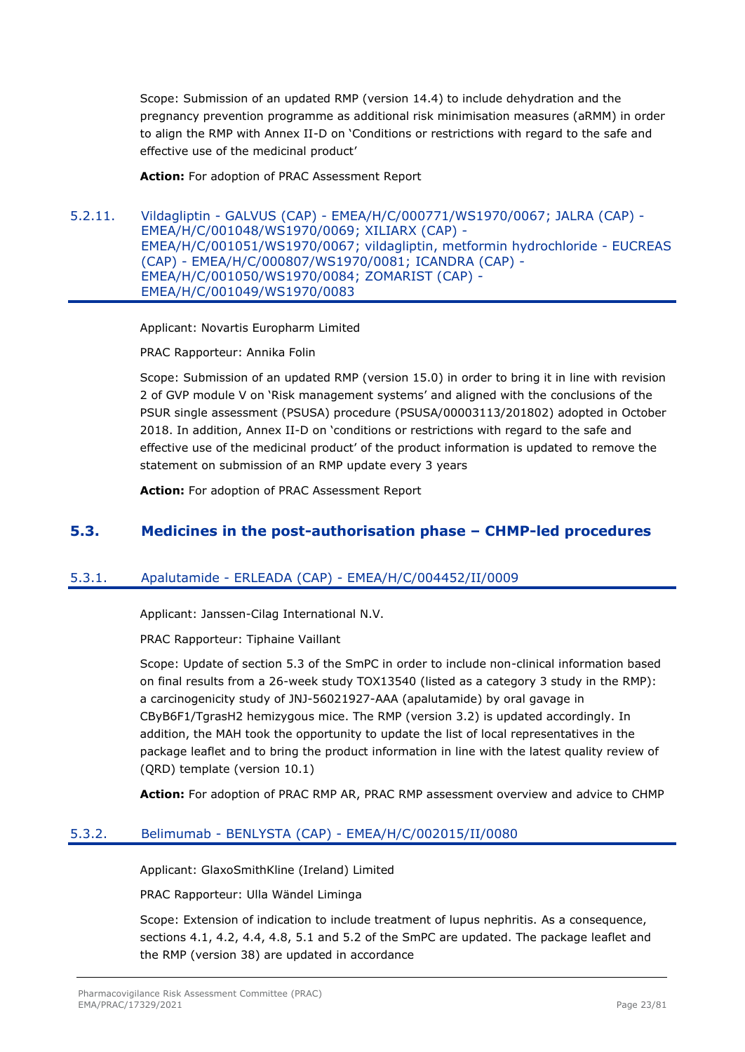Scope: Submission of an updated RMP (version 14.4) to include dehydration and the pregnancy prevention programme as additional risk minimisation measures (aRMM) in order to align the RMP with Annex II-D on 'Conditions or restrictions with regard to the safe and effective use of the medicinal product'

**Action:** For adoption of PRAC Assessment Report

<span id="page-22-0"></span>5.2.11. Vildagliptin - GALVUS (CAP) - EMEA/H/C/000771/WS1970/0067; JALRA (CAP) - EMEA/H/C/001048/WS1970/0069; XILIARX (CAP) - EMEA/H/C/001051/WS1970/0067; vildagliptin, metformin hydrochloride - EUCREAS (CAP) - EMEA/H/C/000807/WS1970/0081; ICANDRA (CAP) - EMEA/H/C/001050/WS1970/0084; ZOMARIST (CAP) - EMEA/H/C/001049/WS1970/0083

Applicant: Novartis Europharm Limited

PRAC Rapporteur: Annika Folin

Scope: Submission of an updated RMP (version 15.0) in order to bring it in line with revision 2 of GVP module V on 'Risk management systems' and aligned with the conclusions of the PSUR single assessment (PSUSA) procedure (PSUSA/00003113/201802) adopted in October 2018. In addition, Annex II-D on 'conditions or restrictions with regard to the safe and effective use of the medicinal product' of the product information is updated to remove the statement on submission of an RMP update every 3 years

**Action:** For adoption of PRAC Assessment Report

# <span id="page-22-1"></span>**5.3. Medicines in the post-authorisation phase – CHMP-led procedures**

## <span id="page-22-2"></span>5.3.1. Apalutamide - ERLEADA (CAP) - EMEA/H/C/004452/II/0009

Applicant: Janssen-Cilag International N.V.

PRAC Rapporteur: Tiphaine Vaillant

Scope: Update of section 5.3 of the SmPC in order to include non-clinical information based on final results from a 26-week study TOX13540 (listed as a category 3 study in the RMP): a carcinogenicity study of JNJ-56021927-AAA (apalutamide) by oral gavage in CByB6F1/TgrasH2 hemizygous mice. The RMP (version 3.2) is updated accordingly. In addition, the MAH took the opportunity to update the list of local representatives in the package leaflet and to bring the product information in line with the latest quality review of (QRD) template (version 10.1)

**Action:** For adoption of PRAC RMP AR, PRAC RMP assessment overview and advice to CHMP

#### <span id="page-22-3"></span>5.3.2. Belimumab - BENLYSTA (CAP) - EMEA/H/C/002015/II/0080

Applicant: GlaxoSmithKline (Ireland) Limited

PRAC Rapporteur: Ulla Wändel Liminga

Scope: Extension of indication to include treatment of lupus nephritis. As a consequence, sections 4.1, 4.2, 4.4, 4.8, 5.1 and 5.2 of the SmPC are updated. The package leaflet and the RMP (version 38) are updated in accordance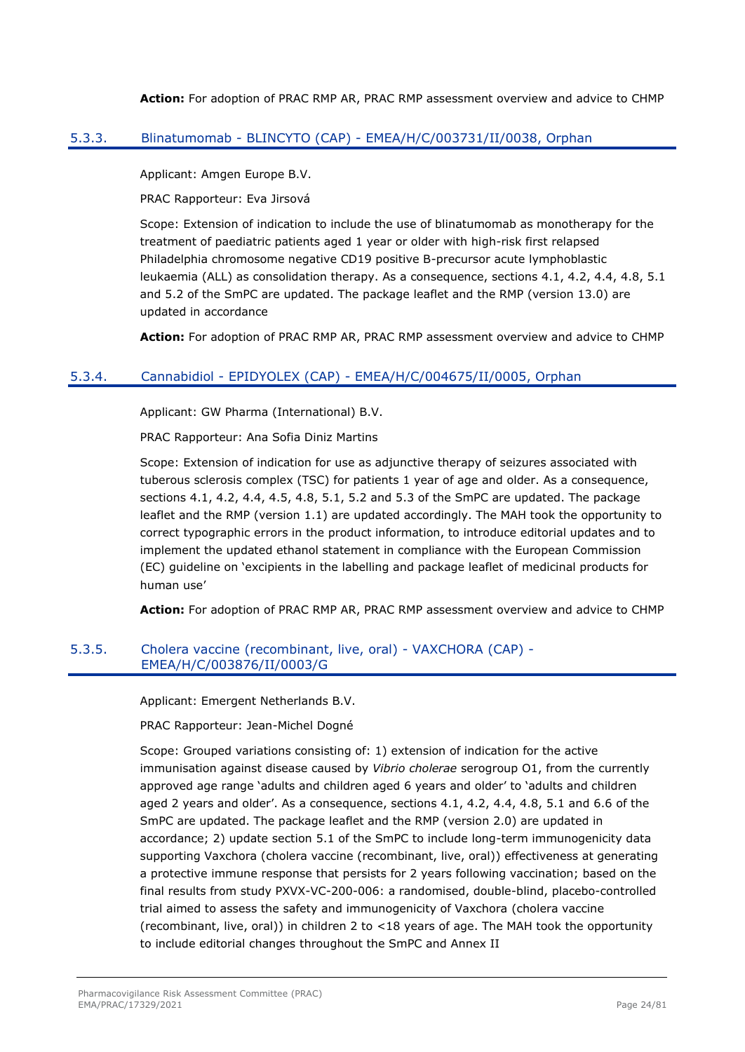**Action:** For adoption of PRAC RMP AR, PRAC RMP assessment overview and advice to CHMP

### <span id="page-23-0"></span>5.3.3. Blinatumomab - BLINCYTO (CAP) - EMEA/H/C/003731/II/0038, Orphan

Applicant: Amgen Europe B.V.

PRAC Rapporteur: Eva Jirsová

Scope: Extension of indication to include the use of blinatumomab as monotherapy for the treatment of paediatric patients aged 1 year or older with high-risk first relapsed Philadelphia chromosome negative CD19 positive B-precursor acute lymphoblastic leukaemia (ALL) as consolidation therapy. As a consequence, sections 4.1, 4.2, 4.4, 4.8, 5.1 and 5.2 of the SmPC are updated. The package leaflet and the RMP (version 13.0) are updated in accordance

**Action:** For adoption of PRAC RMP AR, PRAC RMP assessment overview and advice to CHMP

## <span id="page-23-1"></span>5.3.4. Cannabidiol - EPIDYOLEX (CAP) - EMEA/H/C/004675/II/0005, Orphan

Applicant: GW Pharma (International) B.V.

PRAC Rapporteur: Ana Sofia Diniz Martins

Scope: Extension of indication for use as adjunctive therapy of seizures associated with tuberous sclerosis complex (TSC) for patients 1 year of age and older. As a consequence, sections 4.1, 4.2, 4.4, 4.5, 4.8, 5.1, 5.2 and 5.3 of the SmPC are updated. The package leaflet and the RMP (version 1.1) are updated accordingly. The MAH took the opportunity to correct typographic errors in the product information, to introduce editorial updates and to implement the updated ethanol statement in compliance with the European Commission (EC) guideline on 'excipients in the labelling and package leaflet of medicinal products for human use'

**Action:** For adoption of PRAC RMP AR, PRAC RMP assessment overview and advice to CHMP

#### <span id="page-23-2"></span>5.3.5. Cholera vaccine (recombinant, live, oral) - VAXCHORA (CAP) - EMEA/H/C/003876/II/0003/G

Applicant: Emergent Netherlands B.V.

PRAC Rapporteur: Jean-Michel Dogné

Scope: Grouped variations consisting of: 1) extension of indication for the active immunisation against disease caused by *Vibrio cholerae* serogroup O1, from the currently approved age range 'adults and children aged 6 years and older' to 'adults and children aged 2 years and older'. As a consequence, sections 4.1, 4.2, 4.4, 4.8, 5.1 and 6.6 of the SmPC are updated. The package leaflet and the RMP (version 2.0) are updated in accordance; 2) update section 5.1 of the SmPC to include long-term immunogenicity data supporting Vaxchora (cholera vaccine (recombinant, live, oral)) effectiveness at generating a protective immune response that persists for 2 years following vaccination; based on the final results from study PXVX-VC-200-006: a randomised, double-blind, placebo-controlled trial aimed to assess the safety and immunogenicity of Vaxchora (cholera vaccine (recombinant, live, oral)) in children 2 to <18 years of age. The MAH took the opportunity to include editorial changes throughout the SmPC and Annex II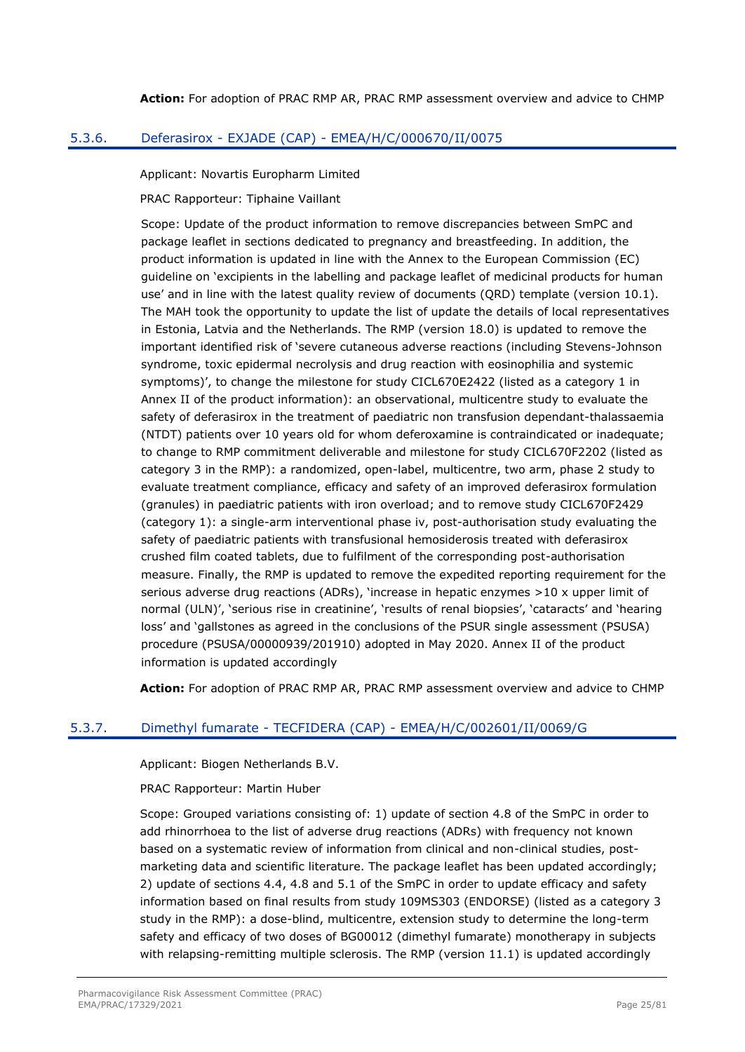### <span id="page-24-0"></span>5.3.6. Deferasirox - EXJADE (CAP) - EMEA/H/C/000670/II/0075

Applicant: Novartis Europharm Limited

PRAC Rapporteur: Tiphaine Vaillant

Scope: Update of the product information to remove discrepancies between SmPC and package leaflet in sections dedicated to pregnancy and breastfeeding. In addition, the product information is updated in line with the Annex to the European Commission (EC) guideline on 'excipients in the labelling and package leaflet of medicinal products for human use' and in line with the latest quality review of documents (QRD) template (version 10.1). The MAH took the opportunity to update the list of update the details of local representatives in Estonia, Latvia and the Netherlands. The RMP (version 18.0) is updated to remove the important identified risk of 'severe cutaneous adverse reactions (including Stevens-Johnson syndrome, toxic epidermal necrolysis and drug reaction with eosinophilia and systemic symptoms)', to change the milestone for study CICL670E2422 (listed as a category 1 in Annex II of the product information): an observational, multicentre study to evaluate the safety of deferasirox in the treatment of paediatric non transfusion dependant-thalassaemia (NTDT) patients over 10 years old for whom deferoxamine is contraindicated or inadequate; to change to RMP commitment deliverable and milestone for study CICL670F2202 (listed as category 3 in the RMP): a randomized, open-label, multicentre, two arm, phase 2 study to evaluate treatment compliance, efficacy and safety of an improved deferasirox formulation (granules) in paediatric patients with iron overload; and to remove study CICL670F2429 (category 1): a single-arm interventional phase iv, post-authorisation study evaluating the safety of paediatric patients with transfusional hemosiderosis treated with deferasirox crushed film coated tablets, due to fulfilment of the corresponding post-authorisation measure. Finally, the RMP is updated to remove the expedited reporting requirement for the serious adverse drug reactions (ADRs), 'increase in hepatic enzymes >10 x upper limit of normal (ULN)', 'serious rise in creatinine', 'results of renal biopsies', 'cataracts' and 'hearing loss' and 'gallstones as agreed in the conclusions of the PSUR single assessment (PSUSA) procedure (PSUSA/00000939/201910) adopted in May 2020. Annex II of the product information is updated accordingly

**Action:** For adoption of PRAC RMP AR, PRAC RMP assessment overview and advice to CHMP

## <span id="page-24-1"></span>5.3.7. Dimethyl fumarate - TECFIDERA (CAP) - EMEA/H/C/002601/II/0069/G

Applicant: Biogen Netherlands B.V.

PRAC Rapporteur: Martin Huber

Scope: Grouped variations consisting of: 1) update of section 4.8 of the SmPC in order to add rhinorrhoea to the list of adverse drug reactions (ADRs) with frequency not known based on a systematic review of information from clinical and non-clinical studies, postmarketing data and scientific literature. The package leaflet has been updated accordingly; 2) update of sections 4.4, 4.8 and 5.1 of the SmPC in order to update efficacy and safety information based on final results from study 109MS303 (ENDORSE) (listed as a category 3 study in the RMP): a dose-blind, multicentre, extension study to determine the long-term safety and efficacy of two doses of BG00012 (dimethyl fumarate) monotherapy in subjects with relapsing-remitting multiple sclerosis. The RMP (version 11.1) is updated accordingly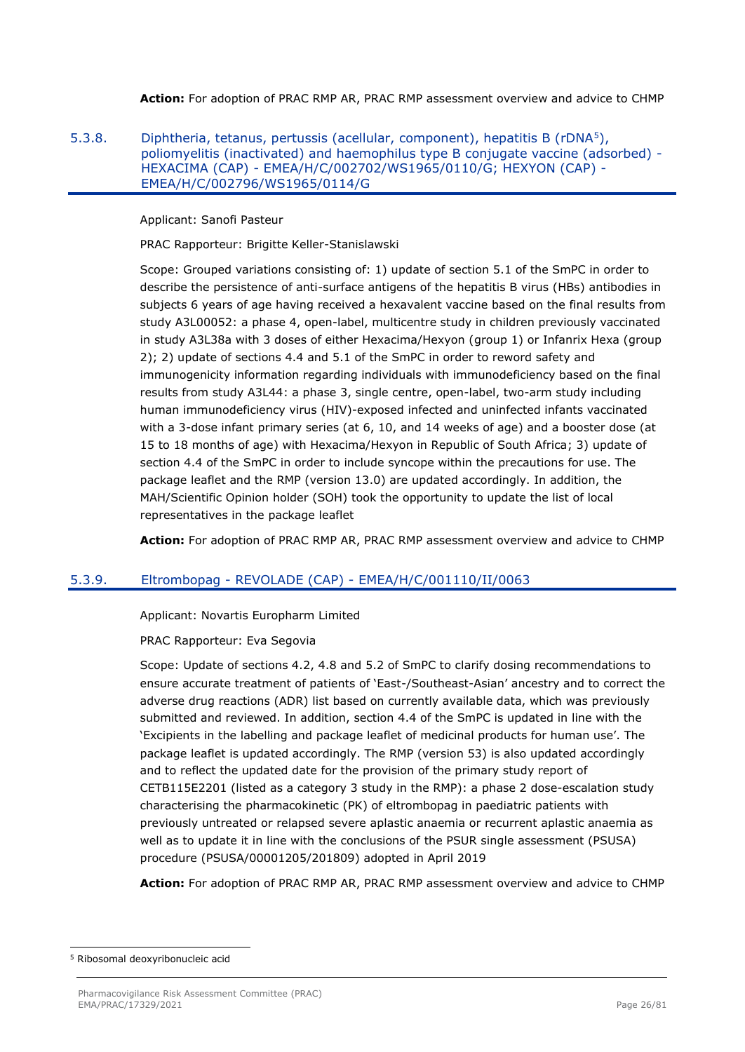**Action:** For adoption of PRAC RMP AR, PRAC RMP assessment overview and advice to CHMP

<span id="page-25-0"></span>5.3.8. Diphtheria, tetanus, pertussis (acellular, component), hepatitis B (rDNA<sup>5</sup>), poliomyelitis (inactivated) and haemophilus type B conjugate vaccine (adsorbed) - HEXACIMA (CAP) - EMEA/H/C/002702/WS1965/0110/G; HEXYON (CAP) - EMEA/H/C/002796/WS1965/0114/G

Applicant: Sanofi Pasteur

PRAC Rapporteur: Brigitte Keller-Stanislawski

Scope: Grouped variations consisting of: 1) update of section 5.1 of the SmPC in order to describe the persistence of anti-surface antigens of the hepatitis B virus (HBs) antibodies in subjects 6 years of age having received a hexavalent vaccine based on the final results from study A3L00052: a phase 4, open-label, multicentre study in children previously vaccinated in study A3L38a with 3 doses of either Hexacima/Hexyon (group 1) or Infanrix Hexa (group 2); 2) update of sections 4.4 and 5.1 of the SmPC in order to reword safety and immunogenicity information regarding individuals with immunodeficiency based on the final results from study A3L44: a phase 3, single centre, open-label, two-arm study including human immunodeficiency virus (HIV)-exposed infected and uninfected infants vaccinated with a 3-dose infant primary series (at 6, 10, and 14 weeks of age) and a booster dose (at 15 to 18 months of age) with Hexacima/Hexyon in Republic of South Africa; 3) update of section 4.4 of the SmPC in order to include syncope within the precautions for use. The package leaflet and the RMP (version 13.0) are updated accordingly. In addition, the MAH/Scientific Opinion holder (SOH) took the opportunity to update the list of local representatives in the package leaflet

**Action:** For adoption of PRAC RMP AR, PRAC RMP assessment overview and advice to CHMP

#### <span id="page-25-1"></span>5.3.9. Eltrombopag - REVOLADE (CAP) - EMEA/H/C/001110/II/0063

Applicant: Novartis Europharm Limited

#### PRAC Rapporteur: Eva Segovia

Scope: Update of sections 4.2, 4.8 and 5.2 of SmPC to clarify dosing recommendations to ensure accurate treatment of patients of 'East-/Southeast-Asian' ancestry and to correct the adverse drug reactions (ADR) list based on currently available data, which was previously submitted and reviewed. In addition, section 4.4 of the SmPC is updated in line with the 'Excipients in the labelling and package leaflet of medicinal products for human use'. The package leaflet is updated accordingly. The RMP (version 53) is also updated accordingly and to reflect the updated date for the provision of the primary study report of CETB115E2201 (listed as a category 3 study in the RMP): a phase 2 dose-escalation study characterising the pharmacokinetic (PK) of eltrombopag in paediatric patients with previously untreated or relapsed severe aplastic anaemia or recurrent aplastic anaemia as well as to update it in line with the conclusions of the PSUR single assessment (PSUSA) procedure (PSUSA/00001205/201809) adopted in April 2019

**Action:** For adoption of PRAC RMP AR, PRAC RMP assessment overview and advice to CHMP

<sup>5</sup> Ribosomal deoxyribonucleic acid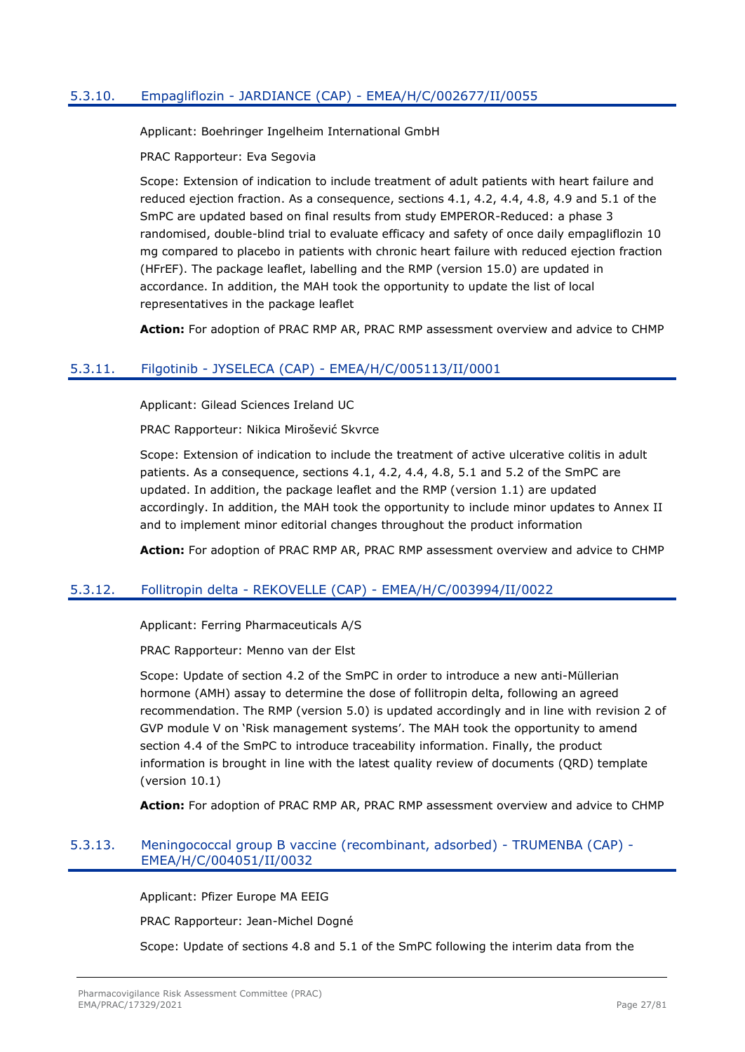## <span id="page-26-0"></span>5.3.10. Empagliflozin - JARDIANCE (CAP) - EMEA/H/C/002677/II/0055

Applicant: Boehringer Ingelheim International GmbH

PRAC Rapporteur: Eva Segovia

Scope: Extension of indication to include treatment of adult patients with heart failure and reduced ejection fraction. As a consequence, sections 4.1, 4.2, 4.4, 4.8, 4.9 and 5.1 of the SmPC are updated based on final results from study EMPEROR-Reduced: a phase 3 randomised, double-blind trial to evaluate efficacy and safety of once daily empagliflozin 10 mg compared to placebo in patients with chronic heart failure with reduced ejection fraction (HFrEF). The package leaflet, labelling and the RMP (version 15.0) are updated in accordance. In addition, the MAH took the opportunity to update the list of local representatives in the package leaflet

**Action:** For adoption of PRAC RMP AR, PRAC RMP assessment overview and advice to CHMP

### <span id="page-26-1"></span>5.3.11. Filgotinib - JYSELECA (CAP) - EMEA/H/C/005113/II/0001

Applicant: Gilead Sciences Ireland UC

PRAC Rapporteur: Nikica Mirošević Skvrce

Scope: Extension of indication to include the treatment of active ulcerative colitis in adult patients. As a consequence, sections 4.1, 4.2, 4.4, 4.8, 5.1 and 5.2 of the SmPC are updated. In addition, the package leaflet and the RMP (version 1.1) are updated accordingly. In addition, the MAH took the opportunity to include minor updates to Annex II and to implement minor editorial changes throughout the product information

**Action:** For adoption of PRAC RMP AR, PRAC RMP assessment overview and advice to CHMP

## <span id="page-26-2"></span>5.3.12. Follitropin delta - REKOVELLE (CAP) - EMEA/H/C/003994/II/0022

Applicant: Ferring Pharmaceuticals A/S

PRAC Rapporteur: Menno van der Elst

Scope: Update of section 4.2 of the SmPC in order to introduce a new anti-Müllerian hormone (AMH) assay to determine the dose of follitropin delta, following an agreed recommendation. The RMP (version 5.0) is updated accordingly and in line with revision 2 of GVP module V on 'Risk management systems'. The MAH took the opportunity to amend section 4.4 of the SmPC to introduce traceability information. Finally, the product information is brought in line with the latest quality review of documents (QRD) template (version 10.1)

**Action:** For adoption of PRAC RMP AR, PRAC RMP assessment overview and advice to CHMP

## <span id="page-26-3"></span>5.3.13. Meningococcal group B vaccine (recombinant, adsorbed) - TRUMENBA (CAP) - EMEA/H/C/004051/II/0032

Applicant: Pfizer Europe MA EEIG

PRAC Rapporteur: Jean-Michel Dogné

Scope: Update of sections 4.8 and 5.1 of the SmPC following the interim data from the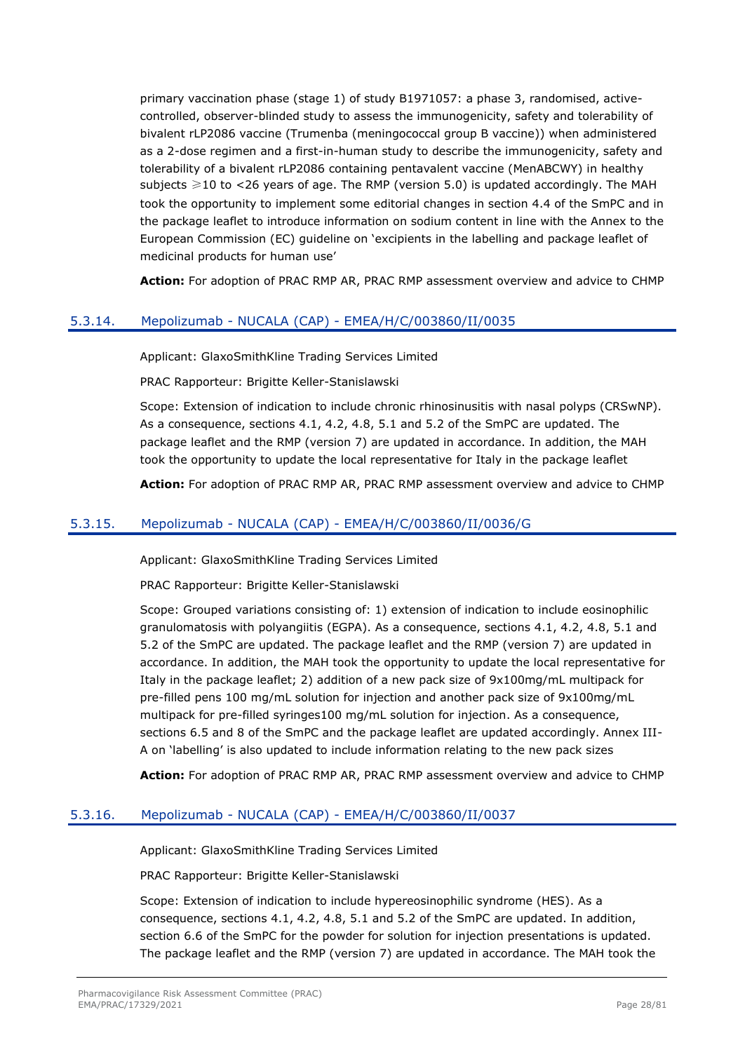primary vaccination phase (stage 1) of study B1971057: a phase 3, randomised, activecontrolled, observer-blinded study to assess the immunogenicity, safety and tolerability of bivalent rLP2086 vaccine (Trumenba (meningococcal group B vaccine)) when administered as a 2-dose regimen and a first-in-human study to describe the immunogenicity, safety and tolerability of a bivalent rLP2086 containing pentavalent vaccine (MenABCWY) in healthy subjects  $\geq 10$  to <26 years of age. The RMP (version 5.0) is updated accordingly. The MAH took the opportunity to implement some editorial changes in section 4.4 of the SmPC and in the package leaflet to introduce information on sodium content in line with the Annex to the European Commission (EC) guideline on 'excipients in the labelling and package leaflet of medicinal products for human use'

**Action:** For adoption of PRAC RMP AR, PRAC RMP assessment overview and advice to CHMP

### <span id="page-27-0"></span>5.3.14. Mepolizumab - NUCALA (CAP) - EMEA/H/C/003860/II/0035

Applicant: GlaxoSmithKline Trading Services Limited

PRAC Rapporteur: Brigitte Keller-Stanislawski

Scope: Extension of indication to include chronic rhinosinusitis with nasal polyps (CRSwNP). As a consequence, sections 4.1, 4.2, 4.8, 5.1 and 5.2 of the SmPC are updated. The package leaflet and the RMP (version 7) are updated in accordance. In addition, the MAH took the opportunity to update the local representative for Italy in the package leaflet

**Action:** For adoption of PRAC RMP AR, PRAC RMP assessment overview and advice to CHMP

## <span id="page-27-1"></span>5.3.15. Mepolizumab - NUCALA (CAP) - EMEA/H/C/003860/II/0036/G

Applicant: GlaxoSmithKline Trading Services Limited

PRAC Rapporteur: Brigitte Keller-Stanislawski

Scope: Grouped variations consisting of: 1) extension of indication to include eosinophilic granulomatosis with polyangiitis (EGPA). As a consequence, sections 4.1, 4.2, 4.8, 5.1 and 5.2 of the SmPC are updated. The package leaflet and the RMP (version 7) are updated in accordance. In addition, the MAH took the opportunity to update the local representative for Italy in the package leaflet; 2) addition of a new pack size of 9x100mg/mL multipack for pre-filled pens 100 mg/mL solution for injection and another pack size of 9x100mg/mL multipack for pre-filled syringes100 mg/mL solution for injection. As a consequence, sections 6.5 and 8 of the SmPC and the package leaflet are updated accordingly. Annex III-A on 'labelling' is also updated to include information relating to the new pack sizes

**Action:** For adoption of PRAC RMP AR, PRAC RMP assessment overview and advice to CHMP

## <span id="page-27-2"></span>5.3.16. Mepolizumab - NUCALA (CAP) - EMEA/H/C/003860/II/0037

Applicant: GlaxoSmithKline Trading Services Limited

PRAC Rapporteur: Brigitte Keller-Stanislawski

Scope: Extension of indication to include hypereosinophilic syndrome (HES). As a consequence, sections 4.1, 4.2, 4.8, 5.1 and 5.2 of the SmPC are updated. In addition, section 6.6 of the SmPC for the powder for solution for injection presentations is updated. The package leaflet and the RMP (version 7) are updated in accordance. The MAH took the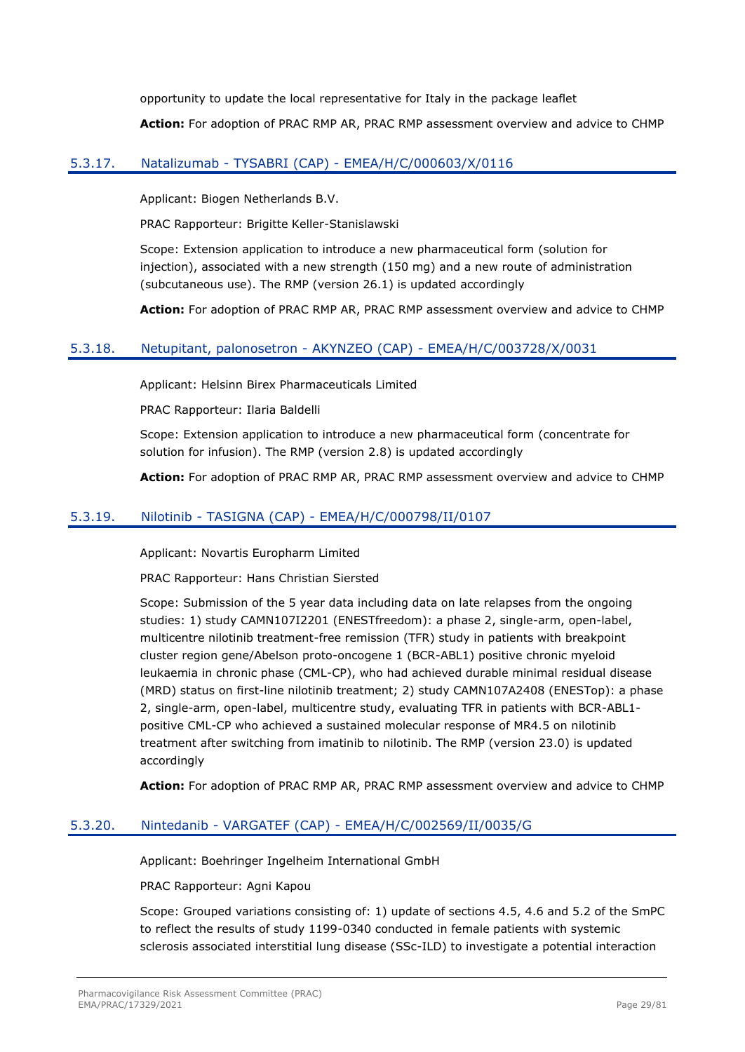opportunity to update the local representative for Italy in the package leaflet **Action:** For adoption of PRAC RMP AR, PRAC RMP assessment overview and advice to CHMP

## <span id="page-28-0"></span>5.3.17. Natalizumab - TYSABRI (CAP) - EMEA/H/C/000603/X/0116

Applicant: Biogen Netherlands B.V.

PRAC Rapporteur: Brigitte Keller-Stanislawski

Scope: Extension application to introduce a new pharmaceutical form (solution for injection), associated with a new strength (150 mg) and a new route of administration (subcutaneous use). The RMP (version 26.1) is updated accordingly

**Action:** For adoption of PRAC RMP AR, PRAC RMP assessment overview and advice to CHMP

### <span id="page-28-1"></span>5.3.18. Netupitant, palonosetron - AKYNZEO (CAP) - EMEA/H/C/003728/X/0031

Applicant: Helsinn Birex Pharmaceuticals Limited

PRAC Rapporteur: Ilaria Baldelli

Scope: Extension application to introduce a new pharmaceutical form (concentrate for solution for infusion). The RMP (version 2.8) is updated accordingly

**Action:** For adoption of PRAC RMP AR, PRAC RMP assessment overview and advice to CHMP

### <span id="page-28-2"></span>5.3.19. Nilotinib - TASIGNA (CAP) - EMEA/H/C/000798/II/0107

Applicant: Novartis Europharm Limited

PRAC Rapporteur: Hans Christian Siersted

Scope: Submission of the 5 year data including data on late relapses from the ongoing studies: 1) study CAMN107I2201 (ENESTfreedom): a phase 2, single-arm, open-label, multicentre nilotinib treatment-free remission (TFR) study in patients with breakpoint cluster region gene/Abelson proto-oncogene 1 (BCR-ABL1) positive chronic myeloid leukaemia in chronic phase (CML-CP), who had achieved durable minimal residual disease (MRD) status on first-line nilotinib treatment; 2) study CAMN107A2408 (ENESTop): a phase 2, single-arm, open-label, multicentre study, evaluating TFR in patients with BCR-ABL1 positive CML-CP who achieved a sustained molecular response of MR4.5 on nilotinib treatment after switching from imatinib to nilotinib. The RMP (version 23.0) is updated accordingly

**Action:** For adoption of PRAC RMP AR, PRAC RMP assessment overview and advice to CHMP

#### <span id="page-28-3"></span>5.3.20. Nintedanib - VARGATEF (CAP) - EMEA/H/C/002569/II/0035/G

Applicant: Boehringer Ingelheim International GmbH

PRAC Rapporteur: Agni Kapou

Scope: Grouped variations consisting of: 1) update of sections 4.5, 4.6 and 5.2 of the SmPC to reflect the results of study 1199-0340 conducted in female patients with systemic sclerosis associated interstitial lung disease (SSc-ILD) to investigate a potential interaction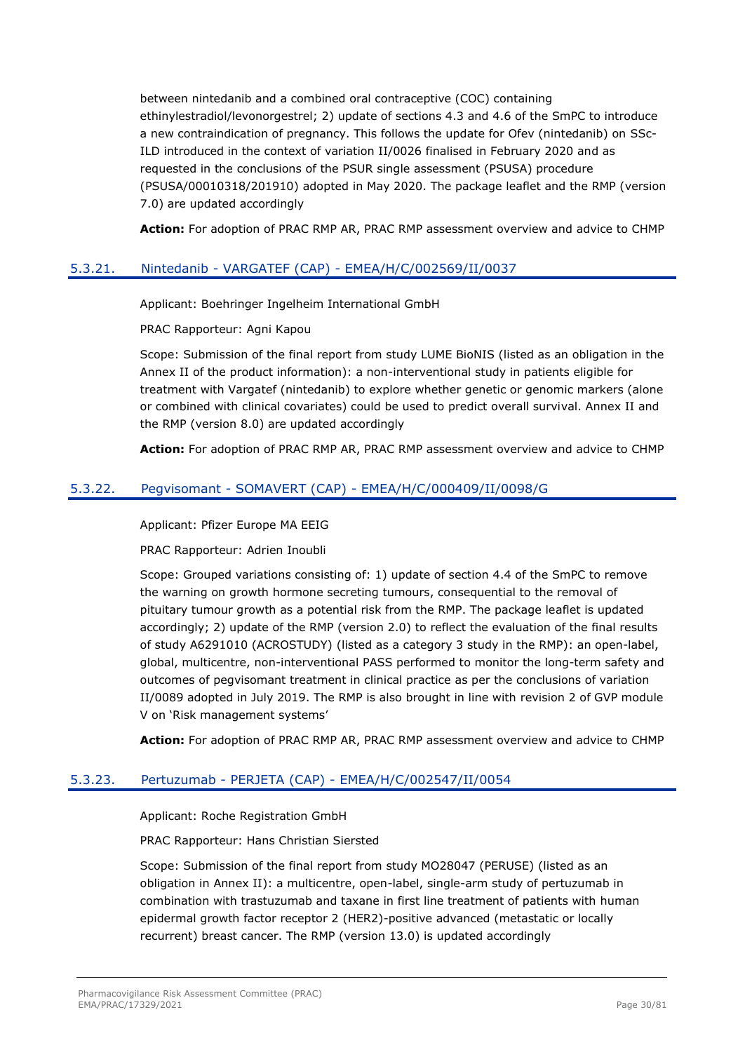between nintedanib and a combined oral contraceptive (COC) containing ethinylestradiol/levonorgestrel; 2) update of sections 4.3 and 4.6 of the SmPC to introduce a new contraindication of pregnancy. This follows the update for Ofev (nintedanib) on SSc-ILD introduced in the context of variation II/0026 finalised in February 2020 and as requested in the conclusions of the PSUR single assessment (PSUSA) procedure (PSUSA/00010318/201910) adopted in May 2020. The package leaflet and the RMP (version 7.0) are updated accordingly

**Action:** For adoption of PRAC RMP AR, PRAC RMP assessment overview and advice to CHMP

### <span id="page-29-0"></span>5.3.21. Nintedanib - VARGATEF (CAP) - EMEA/H/C/002569/II/0037

Applicant: Boehringer Ingelheim International GmbH

PRAC Rapporteur: Agni Kapou

Scope: Submission of the final report from study LUME BioNIS (listed as an obligation in the Annex II of the product information): a non-interventional study in patients eligible for treatment with Vargatef (nintedanib) to explore whether genetic or genomic markers (alone or combined with clinical covariates) could be used to predict overall survival. Annex II and the RMP (version 8.0) are updated accordingly

**Action:** For adoption of PRAC RMP AR, PRAC RMP assessment overview and advice to CHMP

### <span id="page-29-1"></span>5.3.22. Pegvisomant - SOMAVERT (CAP) - EMEA/H/C/000409/II/0098/G

Applicant: Pfizer Europe MA EEIG

PRAC Rapporteur: Adrien Inoubli

Scope: Grouped variations consisting of: 1) update of section 4.4 of the SmPC to remove the warning on growth hormone secreting tumours, consequential to the removal of pituitary tumour growth as a potential risk from the RMP. The package leaflet is updated accordingly; 2) update of the RMP (version 2.0) to reflect the evaluation of the final results of study A6291010 (ACROSTUDY) (listed as a category 3 study in the RMP): an open-label, global, multicentre, non-interventional PASS performed to monitor the long-term safety and outcomes of pegvisomant treatment in clinical practice as per the conclusions of variation II/0089 adopted in July 2019. The RMP is also brought in line with revision 2 of GVP module V on 'Risk management systems'

**Action:** For adoption of PRAC RMP AR, PRAC RMP assessment overview and advice to CHMP

#### <span id="page-29-2"></span>5.3.23. Pertuzumab - PERJETA (CAP) - EMEA/H/C/002547/II/0054

Applicant: Roche Registration GmbH

PRAC Rapporteur: Hans Christian Siersted

Scope: Submission of the final report from study MO28047 (PERUSE) (listed as an obligation in Annex II): a multicentre, open-label, single-arm study of pertuzumab in combination with trastuzumab and taxane in first line treatment of patients with human epidermal growth factor receptor 2 (HER2)-positive advanced (metastatic or locally recurrent) breast cancer. The RMP (version 13.0) is updated accordingly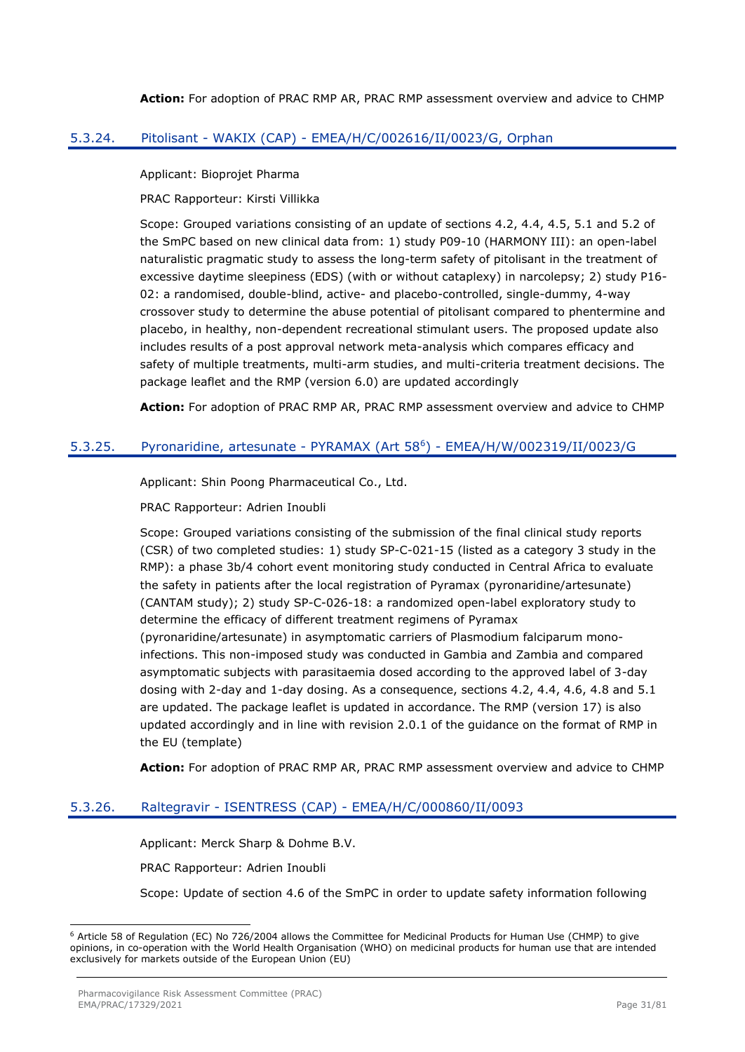**Action:** For adoption of PRAC RMP AR, PRAC RMP assessment overview and advice to CHMP

## <span id="page-30-0"></span>5.3.24. Pitolisant - WAKIX (CAP) - EMEA/H/C/002616/II/0023/G, Orphan

Applicant: Bioprojet Pharma

PRAC Rapporteur: Kirsti Villikka

Scope: Grouped variations consisting of an update of sections 4.2, 4.4, 4.5, 5.1 and 5.2 of the SmPC based on new clinical data from: 1) study P09-10 (HARMONY III): an open-label naturalistic pragmatic study to assess the long-term safety of pitolisant in the treatment of excessive daytime sleepiness (EDS) (with or without cataplexy) in narcolepsy; 2) study P16- 02: a randomised, double-blind, active- and placebo-controlled, single-dummy, 4-way crossover study to determine the abuse potential of pitolisant compared to phentermine and placebo, in healthy, non-dependent recreational stimulant users. The proposed update also includes results of a post approval network meta-analysis which compares efficacy and safety of multiple treatments, multi-arm studies, and multi-criteria treatment decisions. The package leaflet and the RMP (version 6.0) are updated accordingly

**Action:** For adoption of PRAC RMP AR, PRAC RMP assessment overview and advice to CHMP

### <span id="page-30-1"></span>5.3.25. Pyronaridine, artesunate - PYRAMAX (Art 58<sup>6</sup>) - EMEA/H/W/002319/II/0023/G

Applicant: Shin Poong Pharmaceutical Co., Ltd.

PRAC Rapporteur: Adrien Inoubli

Scope: Grouped variations consisting of the submission of the final clinical study reports (CSR) of two completed studies: 1) study SP-C-021-15 (listed as a category 3 study in the RMP): a phase 3b/4 cohort event monitoring study conducted in Central Africa to evaluate the safety in patients after the local registration of Pyramax (pyronaridine/artesunate) (CANTAM study); 2) study SP-C-026-18: a randomized open-label exploratory study to determine the efficacy of different treatment regimens of Pyramax (pyronaridine/artesunate) in asymptomatic carriers of Plasmodium falciparum monoinfections. This non-imposed study was conducted in Gambia and Zambia and compared asymptomatic subjects with parasitaemia dosed according to the approved label of 3-day dosing with 2-day and 1-day dosing. As a consequence, sections 4.2, 4.4, 4.6, 4.8 and 5.1 are updated. The package leaflet is updated in accordance. The RMP (version 17) is also updated accordingly and in line with revision 2.0.1 of the guidance on the format of RMP in the EU (template)

**Action:** For adoption of PRAC RMP AR, PRAC RMP assessment overview and advice to CHMP

## <span id="page-30-2"></span>5.3.26. Raltegravir - ISENTRESS (CAP) - EMEA/H/C/000860/II/0093

Applicant: Merck Sharp & Dohme B.V.

PRAC Rapporteur: Adrien Inoubli

Scope: Update of section 4.6 of the SmPC in order to update safety information following

<sup>6</sup> Article 58 of Regulation (EC) No 726/2004 allows the Committee for Medicinal Products for Human Use (CHMP) to give opinions, in co-operation with the World Health Organisation (WHO) on medicinal products for human use that are intended exclusively for markets outside of the European Union (EU)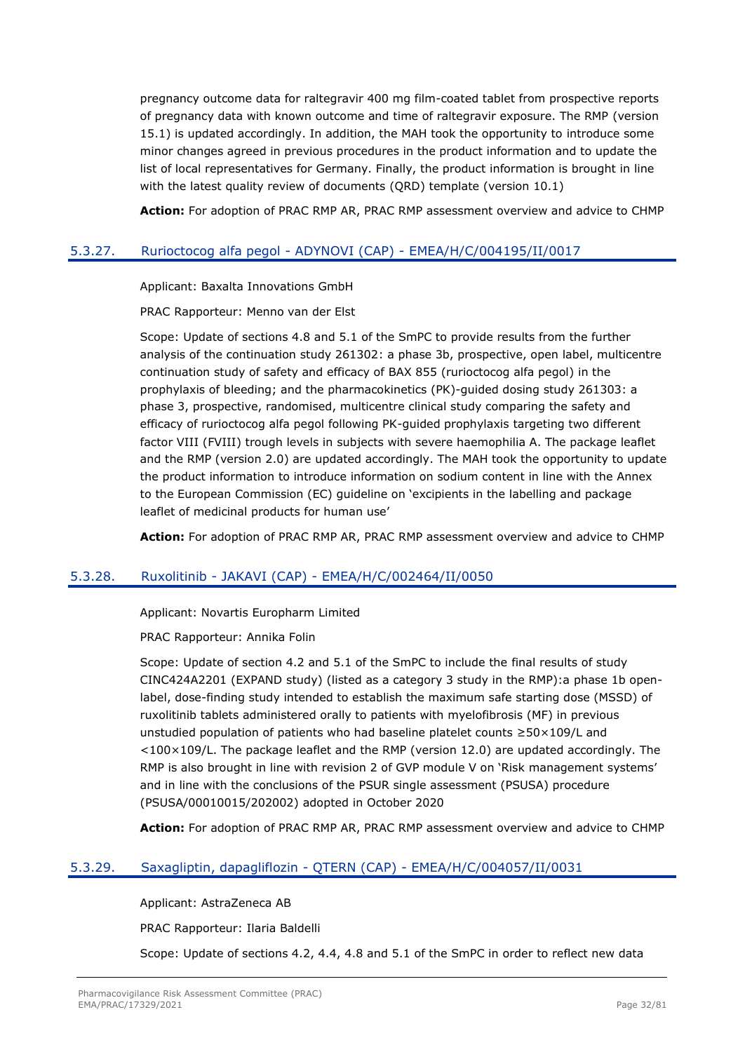pregnancy outcome data for raltegravir 400 mg film-coated tablet from prospective reports of pregnancy data with known outcome and time of raltegravir exposure. The RMP (version 15.1) is updated accordingly. In addition, the MAH took the opportunity to introduce some minor changes agreed in previous procedures in the product information and to update the list of local representatives for Germany. Finally, the product information is brought in line with the latest quality review of documents (ORD) template (version 10.1)

**Action:** For adoption of PRAC RMP AR, PRAC RMP assessment overview and advice to CHMP

## <span id="page-31-0"></span>5.3.27. Rurioctocog alfa pegol - ADYNOVI (CAP) - EMEA/H/C/004195/II/0017

Applicant: Baxalta Innovations GmbH

PRAC Rapporteur: Menno van der Elst

Scope: Update of sections 4.8 and 5.1 of the SmPC to provide results from the further analysis of the continuation study 261302: a phase 3b, prospective, open label, multicentre continuation study of safety and efficacy of BAX 855 (rurioctocog alfa pegol) in the prophylaxis of bleeding; and the pharmacokinetics (PK)-guided dosing study 261303: a phase 3, prospective, randomised, multicentre clinical study comparing the safety and efficacy of rurioctocog alfa pegol following PK-guided prophylaxis targeting two different factor VIII (FVIII) trough levels in subjects with severe haemophilia A. The package leaflet and the RMP (version 2.0) are updated accordingly. The MAH took the opportunity to update the product information to introduce information on sodium content in line with the Annex to the European Commission (EC) guideline on 'excipients in the labelling and package leaflet of medicinal products for human use'

**Action:** For adoption of PRAC RMP AR, PRAC RMP assessment overview and advice to CHMP

#### <span id="page-31-1"></span>5.3.28. Ruxolitinib - JAKAVI (CAP) - EMEA/H/C/002464/II/0050

Applicant: Novartis Europharm Limited

PRAC Rapporteur: Annika Folin

Scope: Update of section 4.2 and 5.1 of the SmPC to include the final results of study CINC424A2201 (EXPAND study) (listed as a category 3 study in the RMP):a phase 1b openlabel, dose-finding study intended to establish the maximum safe starting dose (MSSD) of ruxolitinib tablets administered orally to patients with myelofibrosis (MF) in previous unstudied population of patients who had baseline platelet counts ≥50×109/L and  $<$ 100 $\times$ 109/L. The package leaflet and the RMP (version 12.0) are updated accordingly. The RMP is also brought in line with revision 2 of GVP module V on 'Risk management systems' and in line with the conclusions of the PSUR single assessment (PSUSA) procedure (PSUSA/00010015/202002) adopted in October 2020

**Action:** For adoption of PRAC RMP AR, PRAC RMP assessment overview and advice to CHMP

## <span id="page-31-2"></span>5.3.29. Saxagliptin, dapagliflozin - QTERN (CAP) - EMEA/H/C/004057/II/0031

Applicant: AstraZeneca AB

PRAC Rapporteur: Ilaria Baldelli

Scope: Update of sections 4.2, 4.4, 4.8 and 5.1 of the SmPC in order to reflect new data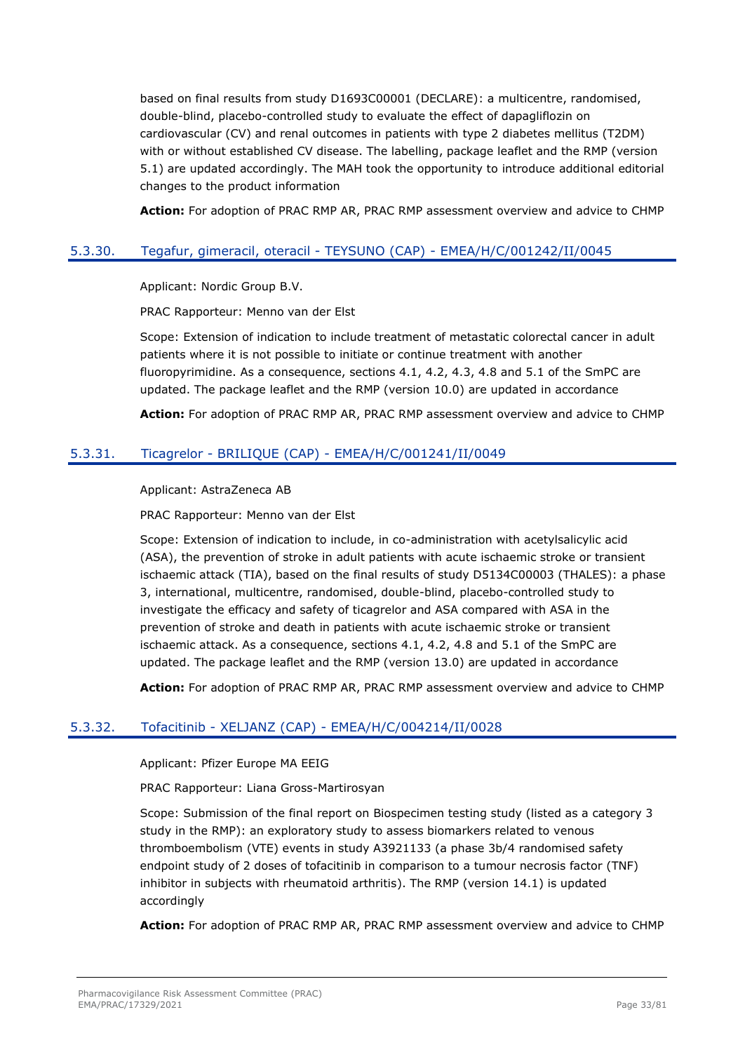based on final results from study D1693C00001 (DECLARE): a multicentre, randomised, double-blind, placebo-controlled study to evaluate the effect of dapagliflozin on cardiovascular (CV) and renal outcomes in patients with type 2 diabetes mellitus (T2DM) with or without established CV disease. The labelling, package leaflet and the RMP (version 5.1) are updated accordingly. The MAH took the opportunity to introduce additional editorial changes to the product information

**Action:** For adoption of PRAC RMP AR, PRAC RMP assessment overview and advice to CHMP

## <span id="page-32-0"></span>5.3.30. Tegafur, gimeracil, oteracil - TEYSUNO (CAP) - EMEA/H/C/001242/II/0045

Applicant: Nordic Group B.V.

PRAC Rapporteur: Menno van der Elst

Scope: Extension of indication to include treatment of metastatic colorectal cancer in adult patients where it is not possible to initiate or continue treatment with another fluoropyrimidine. As a consequence, sections 4.1, 4.2, 4.3, 4.8 and 5.1 of the SmPC are updated. The package leaflet and the RMP (version 10.0) are updated in accordance

**Action:** For adoption of PRAC RMP AR, PRAC RMP assessment overview and advice to CHMP

## <span id="page-32-1"></span>5.3.31. Ticagrelor - BRILIQUE (CAP) - EMEA/H/C/001241/II/0049

Applicant: AstraZeneca AB

PRAC Rapporteur: Menno van der Elst

Scope: Extension of indication to include, in co-administration with acetylsalicylic acid (ASA), the prevention of stroke in adult patients with acute ischaemic stroke or transient ischaemic attack (TIA), based on the final results of study D5134C00003 (THALES): a phase 3, international, multicentre, randomised, double-blind, placebo-controlled study to investigate the efficacy and safety of ticagrelor and ASA compared with ASA in the prevention of stroke and death in patients with acute ischaemic stroke or transient ischaemic attack. As a consequence, sections 4.1, 4.2, 4.8 and 5.1 of the SmPC are updated. The package leaflet and the RMP (version 13.0) are updated in accordance

**Action:** For adoption of PRAC RMP AR, PRAC RMP assessment overview and advice to CHMP

# <span id="page-32-2"></span>5.3.32. Tofacitinib - XELJANZ (CAP) - EMEA/H/C/004214/II/0028

Applicant: Pfizer Europe MA EEIG

PRAC Rapporteur: Liana Gross-Martirosyan

Scope: Submission of the final report on Biospecimen testing study (listed as a category 3 study in the RMP): an exploratory study to assess biomarkers related to venous thromboembolism (VTE) events in study A3921133 (a phase 3b/4 randomised safety endpoint study of 2 doses of tofacitinib in comparison to a tumour necrosis factor (TNF) inhibitor in subjects with rheumatoid arthritis). The RMP (version 14.1) is updated accordingly

**Action:** For adoption of PRAC RMP AR, PRAC RMP assessment overview and advice to CHMP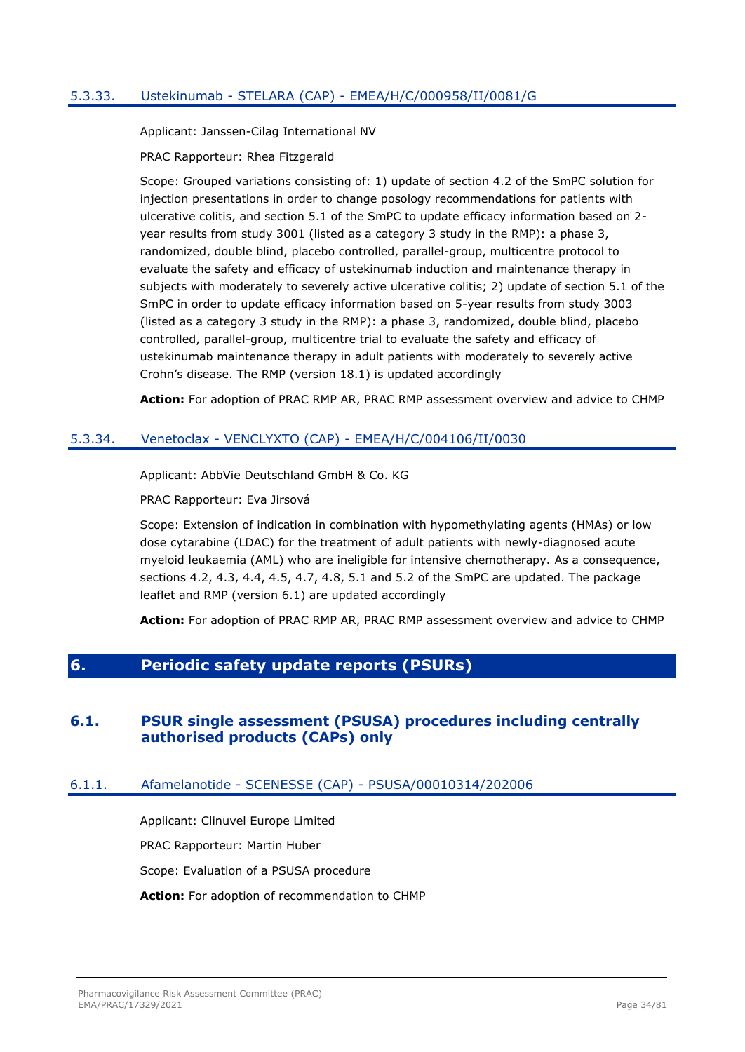## <span id="page-33-0"></span>5.3.33. Ustekinumab - STELARA (CAP) - EMEA/H/C/000958/II/0081/G

Applicant: Janssen-Cilag International NV

PRAC Rapporteur: Rhea Fitzgerald

Scope: Grouped variations consisting of: 1) update of section 4.2 of the SmPC solution for injection presentations in order to change posology recommendations for patients with ulcerative colitis, and section 5.1 of the SmPC to update efficacy information based on 2 year results from study 3001 (listed as a category 3 study in the RMP): a phase 3, randomized, double blind, placebo controlled, parallel-group, multicentre protocol to evaluate the safety and efficacy of ustekinumab induction and maintenance therapy in subjects with moderately to severely active ulcerative colitis; 2) update of section 5.1 of the SmPC in order to update efficacy information based on 5-year results from study 3003 (listed as a category 3 study in the RMP): a phase 3, randomized, double blind, placebo controlled, parallel-group, multicentre trial to evaluate the safety and efficacy of ustekinumab maintenance therapy in adult patients with moderately to severely active Crohn's disease. The RMP (version 18.1) is updated accordingly

**Action:** For adoption of PRAC RMP AR, PRAC RMP assessment overview and advice to CHMP

### <span id="page-33-1"></span>5.3.34. Venetoclax - VENCLYXTO (CAP) - EMEA/H/C/004106/II/0030

Applicant: AbbVie Deutschland GmbH & Co. KG

PRAC Rapporteur: Eva Jirsová

Scope: Extension of indication in combination with hypomethylating agents (HMAs) or low dose cytarabine (LDAC) for the treatment of adult patients with newly-diagnosed acute myeloid leukaemia (AML) who are ineligible for intensive chemotherapy. As a consequence, sections 4.2, 4.3, 4.4, 4.5, 4.7, 4.8, 5.1 and 5.2 of the SmPC are updated. The package leaflet and RMP (version 6.1) are updated accordingly

**Action:** For adoption of PRAC RMP AR, PRAC RMP assessment overview and advice to CHMP

# <span id="page-33-2"></span>**6. Periodic safety update reports (PSURs)**

# <span id="page-33-3"></span>**6.1. PSUR single assessment (PSUSA) procedures including centrally authorised products (CAPs) only**

## <span id="page-33-4"></span>6.1.1. Afamelanotide - SCENESSE (CAP) - PSUSA/00010314/202006

Applicant: Clinuvel Europe Limited PRAC Rapporteur: Martin Huber Scope: Evaluation of a PSUSA procedure **Action:** For adoption of recommendation to CHMP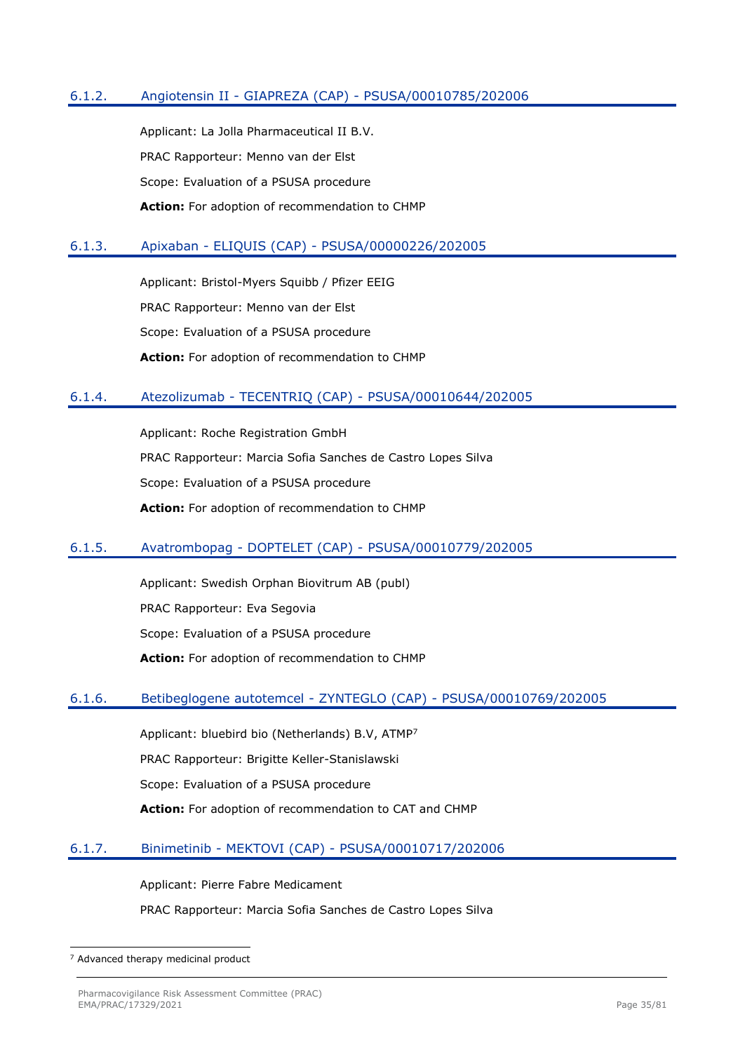## <span id="page-34-0"></span>6.1.2. Angiotensin II - GIAPREZA (CAP) - PSUSA/00010785/202006

Applicant: La Jolla Pharmaceutical II B.V. PRAC Rapporteur: Menno van der Elst Scope: Evaluation of a PSUSA procedure **Action:** For adoption of recommendation to CHMP

#### <span id="page-34-1"></span>6.1.3. Apixaban - ELIQUIS (CAP) - PSUSA/00000226/202005

Applicant: Bristol-Myers Squibb / Pfizer EEIG PRAC Rapporteur: Menno van der Elst Scope: Evaluation of a PSUSA procedure **Action:** For adoption of recommendation to CHMP

### <span id="page-34-2"></span>6.1.4. Atezolizumab - TECENTRIQ (CAP) - PSUSA/00010644/202005

Applicant: Roche Registration GmbH PRAC Rapporteur: Marcia Sofia Sanches de Castro Lopes Silva Scope: Evaluation of a PSUSA procedure **Action:** For adoption of recommendation to CHMP

#### <span id="page-34-3"></span>6.1.5. Avatrombopag - DOPTELET (CAP) - PSUSA/00010779/202005

Applicant: Swedish Orphan Biovitrum AB (publ) PRAC Rapporteur: Eva Segovia Scope: Evaluation of a PSUSA procedure **Action:** For adoption of recommendation to CHMP

#### <span id="page-34-4"></span>6.1.6. Betibeglogene autotemcel - ZYNTEGLO (CAP) - PSUSA/00010769/202005

Applicant: bluebird bio (Netherlands) B.V, ATMP<sup>7</sup>

PRAC Rapporteur: Brigitte Keller-Stanislawski

Scope: Evaluation of a PSUSA procedure

**Action:** For adoption of recommendation to CAT and CHMP

## <span id="page-34-5"></span>6.1.7. Binimetinib - MEKTOVI (CAP) - PSUSA/00010717/202006

Applicant: Pierre Fabre Medicament

PRAC Rapporteur: Marcia Sofia Sanches de Castro Lopes Silva

<sup>7</sup> Advanced therapy medicinal product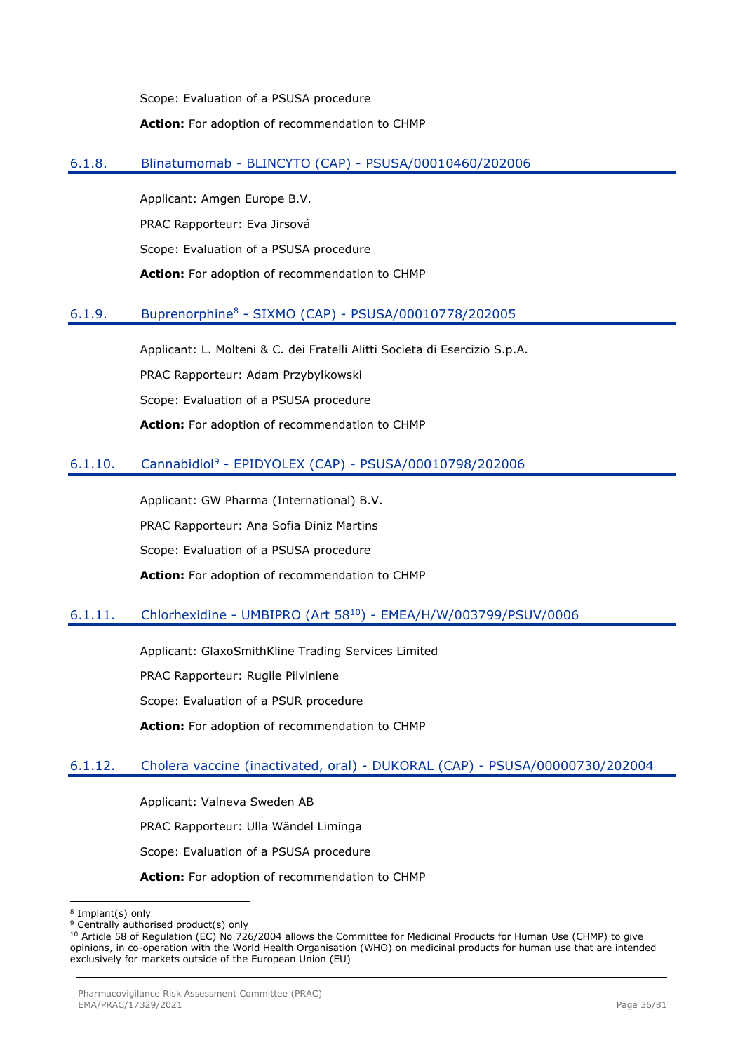Scope: Evaluation of a PSUSA procedure **Action:** For adoption of recommendation to CHMP

### <span id="page-35-0"></span>6.1.8. Blinatumomab - BLINCYTO (CAP) - PSUSA/00010460/202006

Applicant: Amgen Europe B.V. PRAC Rapporteur: Eva Jirsová Scope: Evaluation of a PSUSA procedure **Action:** For adoption of recommendation to CHMP

## <span id="page-35-1"></span>6.1.9. Buprenorphine<sup>8</sup> - SIXMO (CAP) - PSUSA/00010778/202005

Applicant: L. Molteni & C. dei Fratelli Alitti Societa di Esercizio S.p.A. PRAC Rapporteur: Adam Przybylkowski Scope: Evaluation of a PSUSA procedure **Action:** For adoption of recommendation to CHMP

## <span id="page-35-2"></span>6.1.10. Cannabidiol<sup>9</sup> - EPIDYOLEX (CAP) - PSUSA/00010798/202006

Applicant: GW Pharma (International) B.V. PRAC Rapporteur: Ana Sofia Diniz Martins Scope: Evaluation of a PSUSA procedure **Action:** For adoption of recommendation to CHMP

## <span id="page-35-3"></span>6.1.11. Chlorhexidine - UMBIPRO (Art 58<sup>10</sup>) - EMEA/H/W/003799/PSUV/0006

Applicant: GlaxoSmithKline Trading Services Limited PRAC Rapporteur: Rugile Pilviniene

Scope: Evaluation of a PSUR procedure

**Action:** For adoption of recommendation to CHMP

#### <span id="page-35-4"></span>6.1.12. Cholera vaccine (inactivated, oral) - DUKORAL (CAP) - PSUSA/00000730/202004

Applicant: Valneva Sweden AB PRAC Rapporteur: Ulla Wändel Liminga Scope: Evaluation of a PSUSA procedure

**Action:** For adoption of recommendation to CHMP

<sup>8</sup> Implant(s) only

<sup>&</sup>lt;sup>9</sup> Centrally authorised product(s) only

<sup>&</sup>lt;sup>10</sup> Article 58 of Regulation (EC) No 726/2004 allows the Committee for Medicinal Products for Human Use (CHMP) to give opinions, in co-operation with the World Health Organisation (WHO) on medicinal products for human use that are intended exclusively for markets outside of the European Union (EU)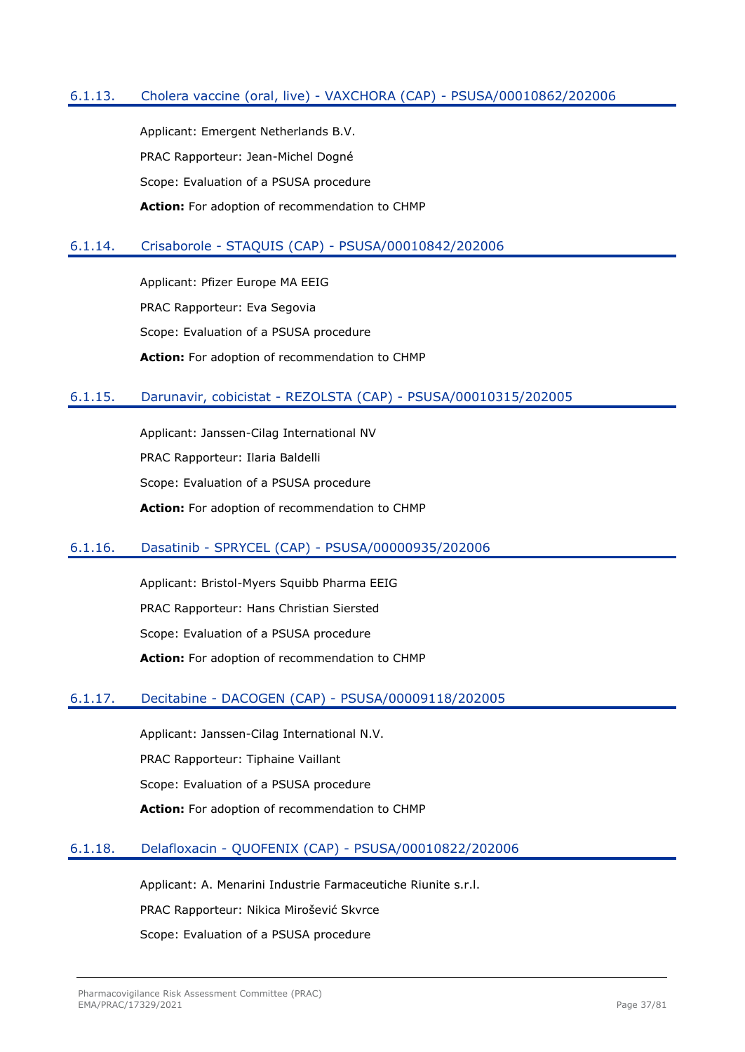## 6.1.13. Cholera vaccine (oral, live) - VAXCHORA (CAP) - PSUSA/00010862/202006

Applicant: Emergent Netherlands B.V. PRAC Rapporteur: Jean-Michel Dogné Scope: Evaluation of a PSUSA procedure **Action:** For adoption of recommendation to CHMP

## 6.1.14. Crisaborole - STAQUIS (CAP) - PSUSA/00010842/202006

Applicant: Pfizer Europe MA EEIG PRAC Rapporteur: Eva Segovia Scope: Evaluation of a PSUSA procedure **Action:** For adoption of recommendation to CHMP

## 6.1.15. Darunavir, cobicistat - REZOLSTA (CAP) - PSUSA/00010315/202005

Applicant: Janssen-Cilag International NV PRAC Rapporteur: Ilaria Baldelli Scope: Evaluation of a PSUSA procedure **Action:** For adoption of recommendation to CHMP

## 6.1.16. Dasatinib - SPRYCEL (CAP) - PSUSA/00000935/202006

Applicant: Bristol-Myers Squibb Pharma EEIG PRAC Rapporteur: Hans Christian Siersted Scope: Evaluation of a PSUSA procedure **Action:** For adoption of recommendation to CHMP

## 6.1.17. Decitabine - DACOGEN (CAP) - PSUSA/00009118/202005

Applicant: Janssen-Cilag International N.V. PRAC Rapporteur: Tiphaine Vaillant Scope: Evaluation of a PSUSA procedure **Action:** For adoption of recommendation to CHMP

## 6.1.18. Delafloxacin - QUOFENIX (CAP) - PSUSA/00010822/202006

Applicant: A. Menarini Industrie Farmaceutiche Riunite s.r.l. PRAC Rapporteur: Nikica Mirošević Skvrce Scope: Evaluation of a PSUSA procedure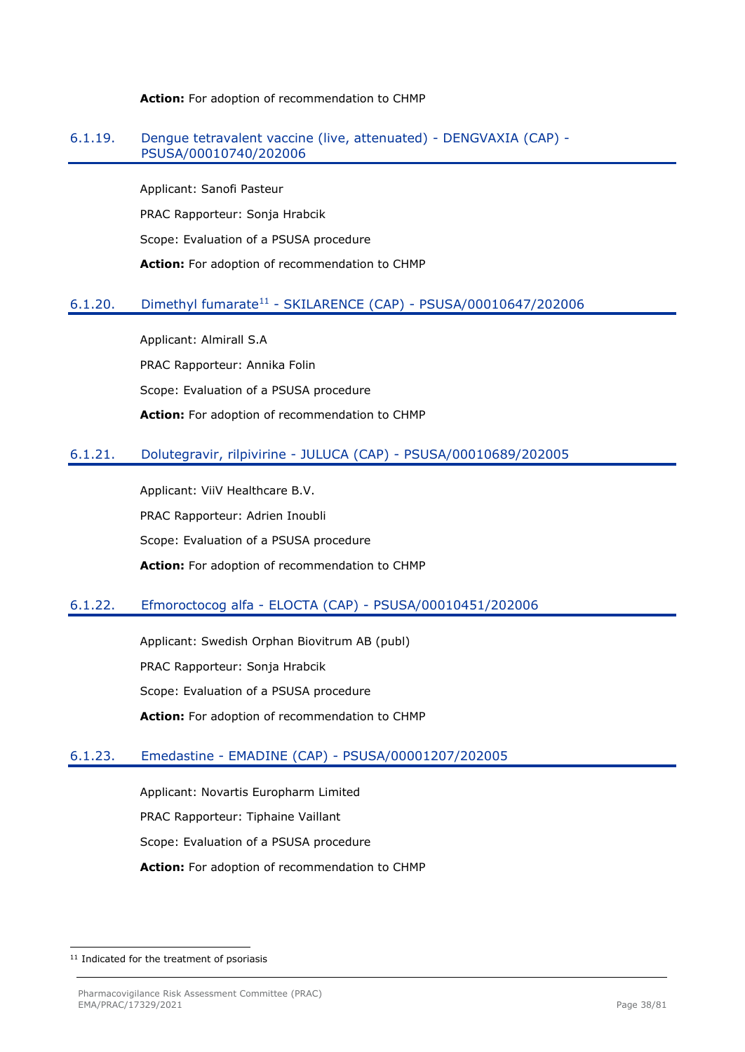#### **Action:** For adoption of recommendation to CHMP

#### 6.1.19. Dengue tetravalent vaccine (live, attenuated) - DENGVAXIA (CAP) - PSUSA/00010740/202006

Applicant: Sanofi Pasteur PRAC Rapporteur: Sonja Hrabcik Scope: Evaluation of a PSUSA procedure **Action:** For adoption of recommendation to CHMP

## 6.1.20. Dimethyl fumarate<sup>11</sup> - SKILARENCE (CAP) - PSUSA/00010647/202006

Applicant: Almirall S.A PRAC Rapporteur: Annika Folin Scope: Evaluation of a PSUSA procedure **Action:** For adoption of recommendation to CHMP

## 6.1.21. Dolutegravir, rilpivirine - JULUCA (CAP) - PSUSA/00010689/202005

Applicant: ViiV Healthcare B.V. PRAC Rapporteur: Adrien Inoubli Scope: Evaluation of a PSUSA procedure **Action:** For adoption of recommendation to CHMP

# 6.1.22. Efmoroctocog alfa - ELOCTA (CAP) - PSUSA/00010451/202006

Applicant: Swedish Orphan Biovitrum AB (publ) PRAC Rapporteur: Sonja Hrabcik Scope: Evaluation of a PSUSA procedure **Action:** For adoption of recommendation to CHMP

# 6.1.23. Emedastine - EMADINE (CAP) - PSUSA/00001207/202005

Applicant: Novartis Europharm Limited PRAC Rapporteur: Tiphaine Vaillant Scope: Evaluation of a PSUSA procedure **Action:** For adoption of recommendation to CHMP

<sup>&</sup>lt;sup>11</sup> Indicated for the treatment of psoriasis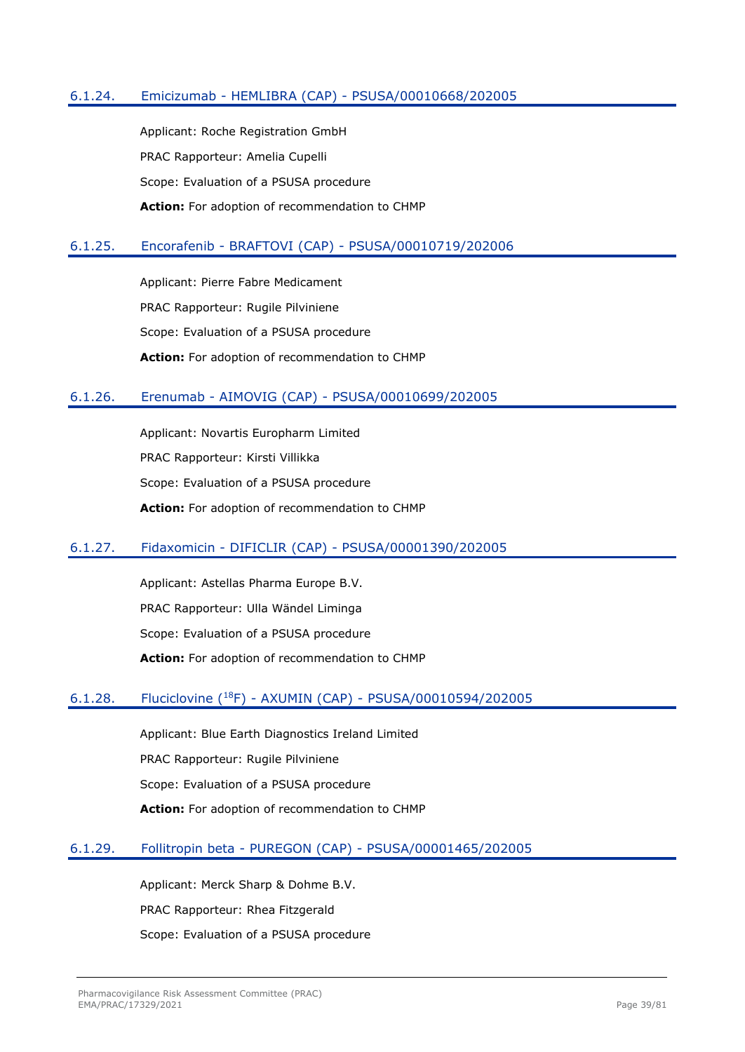## 6.1.24. Emicizumab - HEMLIBRA (CAP) - PSUSA/00010668/202005

Applicant: Roche Registration GmbH PRAC Rapporteur: Amelia Cupelli Scope: Evaluation of a PSUSA procedure **Action:** For adoption of recommendation to CHMP

## 6.1.25. Encorafenib - BRAFTOVI (CAP) - PSUSA/00010719/202006

Applicant: Pierre Fabre Medicament PRAC Rapporteur: Rugile Pilviniene Scope: Evaluation of a PSUSA procedure **Action:** For adoption of recommendation to CHMP

## 6.1.26. Erenumab - AIMOVIG (CAP) - PSUSA/00010699/202005

Applicant: Novartis Europharm Limited PRAC Rapporteur: Kirsti Villikka Scope: Evaluation of a PSUSA procedure **Action:** For adoption of recommendation to CHMP

## 6.1.27. Fidaxomicin - DIFICLIR (CAP) - PSUSA/00001390/202005

Applicant: Astellas Pharma Europe B.V. PRAC Rapporteur: Ulla Wändel Liminga Scope: Evaluation of a PSUSA procedure **Action:** For adoption of recommendation to CHMP

## 6.1.28. Fluciclovine (<sup>18</sup>F) - AXUMIN (CAP) - PSUSA/00010594/202005

Applicant: Blue Earth Diagnostics Ireland Limited PRAC Rapporteur: Rugile Pilviniene Scope: Evaluation of a PSUSA procedure **Action:** For adoption of recommendation to CHMP

## 6.1.29. Follitropin beta - PUREGON (CAP) - PSUSA/00001465/202005

Applicant: Merck Sharp & Dohme B.V. PRAC Rapporteur: Rhea Fitzgerald Scope: Evaluation of a PSUSA procedure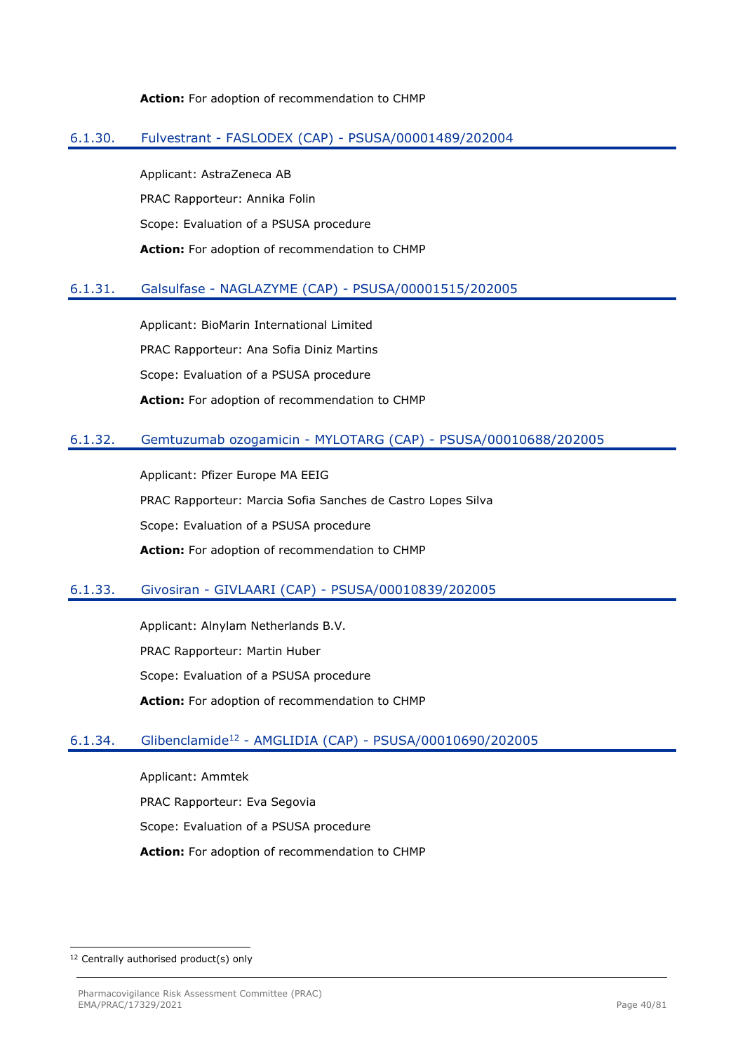#### **Action:** For adoption of recommendation to CHMP

## 6.1.30. Fulvestrant - FASLODEX (CAP) - PSUSA/00001489/202004

Applicant: AstraZeneca AB PRAC Rapporteur: Annika Folin Scope: Evaluation of a PSUSA procedure **Action:** For adoption of recommendation to CHMP

## 6.1.31. Galsulfase - NAGLAZYME (CAP) - PSUSA/00001515/202005

Applicant: BioMarin International Limited PRAC Rapporteur: Ana Sofia Diniz Martins Scope: Evaluation of a PSUSA procedure **Action:** For adoption of recommendation to CHMP

## 6.1.32. Gemtuzumab ozogamicin - MYLOTARG (CAP) - PSUSA/00010688/202005

Applicant: Pfizer Europe MA EEIG PRAC Rapporteur: Marcia Sofia Sanches de Castro Lopes Silva Scope: Evaluation of a PSUSA procedure **Action:** For adoption of recommendation to CHMP

## 6.1.33. Givosiran - GIVLAARI (CAP) - PSUSA/00010839/202005

Applicant: Alnylam Netherlands B.V. PRAC Rapporteur: Martin Huber Scope: Evaluation of a PSUSA procedure **Action:** For adoption of recommendation to CHMP

# 6.1.34. Glibenclamide<sup>12</sup> - AMGLIDIA (CAP) - PSUSA/00010690/202005

Applicant: Ammtek PRAC Rapporteur: Eva Segovia Scope: Evaluation of a PSUSA procedure **Action:** For adoption of recommendation to CHMP

<sup>&</sup>lt;sup>12</sup> Centrally authorised product(s) only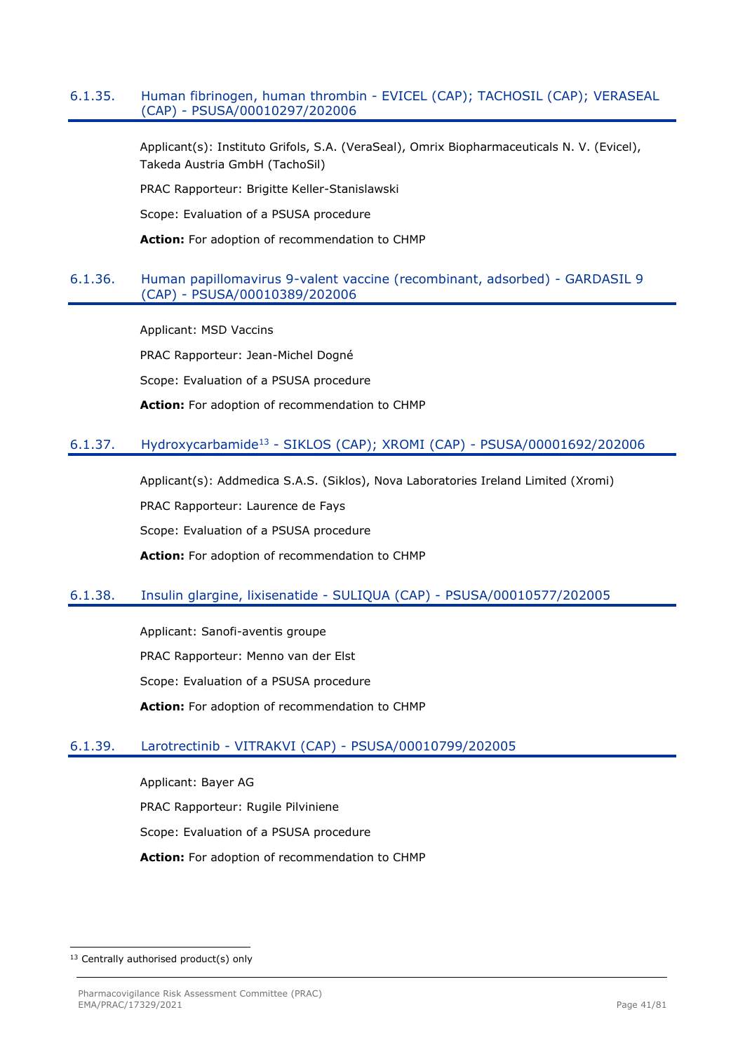## 6.1.35. Human fibrinogen, human thrombin - EVICEL (CAP); TACHOSIL (CAP); VERASEAL (CAP) - PSUSA/00010297/202006

Applicant(s): Instituto Grifols, S.A. (VeraSeal), Omrix Biopharmaceuticals N. V. (Evicel), Takeda Austria GmbH (TachoSil)

PRAC Rapporteur: Brigitte Keller-Stanislawski

Scope: Evaluation of a PSUSA procedure

**Action:** For adoption of recommendation to CHMP

## 6.1.36. Human papillomavirus 9-valent vaccine (recombinant, adsorbed) - GARDASIL 9 (CAP) - PSUSA/00010389/202006

Applicant: MSD Vaccins PRAC Rapporteur: Jean-Michel Dogné Scope: Evaluation of a PSUSA procedure **Action:** For adoption of recommendation to CHMP

# 6.1.37. Hydroxycarbamide<sup>13</sup> - SIKLOS (CAP); XROMI (CAP) - PSUSA/00001692/202006

Applicant(s): Addmedica S.A.S. (Siklos), Nova Laboratories Ireland Limited (Xromi) PRAC Rapporteur: Laurence de Fays Scope: Evaluation of a PSUSA procedure **Action:** For adoption of recommendation to CHMP

# 6.1.38. Insulin glargine, lixisenatide - SULIQUA (CAP) - PSUSA/00010577/202005

Applicant: Sanofi-aventis groupe PRAC Rapporteur: Menno van der Elst Scope: Evaluation of a PSUSA procedure **Action:** For adoption of recommendation to CHMP

# 6.1.39. Larotrectinib - VITRAKVI (CAP) - PSUSA/00010799/202005

Applicant: Bayer AG PRAC Rapporteur: Rugile Pilviniene Scope: Evaluation of a PSUSA procedure **Action:** For adoption of recommendation to CHMP

<sup>13</sup> Centrally authorised product(s) only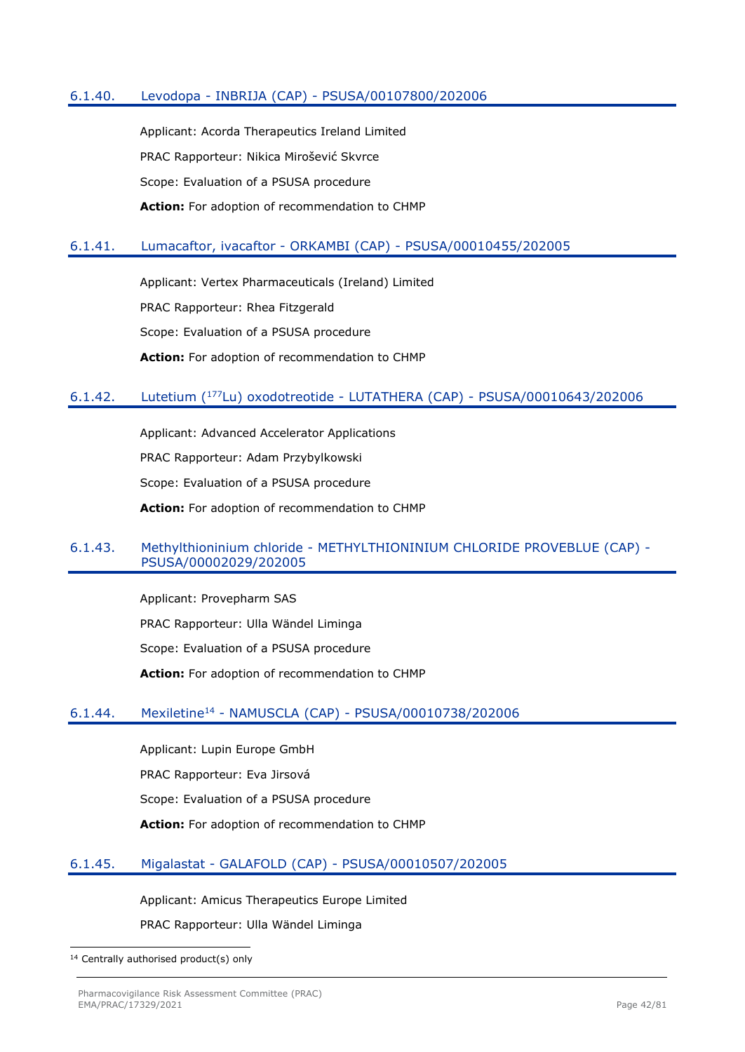## 6.1.40. Levodopa - INBRIJA (CAP) - PSUSA/00107800/202006

Applicant: Acorda Therapeutics Ireland Limited PRAC Rapporteur: Nikica Mirošević Skvrce Scope: Evaluation of a PSUSA procedure **Action:** For adoption of recommendation to CHMP

## 6.1.41. Lumacaftor, ivacaftor - ORKAMBI (CAP) - PSUSA/00010455/202005

Applicant: Vertex Pharmaceuticals (Ireland) Limited PRAC Rapporteur: Rhea Fitzgerald Scope: Evaluation of a PSUSA procedure **Action:** For adoption of recommendation to CHMP

## 6.1.42. Lutetium (<sup>177</sup>Lu) oxodotreotide - LUTATHERA (CAP) - PSUSA/00010643/202006

Applicant: Advanced Accelerator Applications PRAC Rapporteur: Adam Przybylkowski Scope: Evaluation of a PSUSA procedure **Action:** For adoption of recommendation to CHMP

## 6.1.43. Methylthioninium chloride - METHYLTHIONINIUM CHLORIDE PROVEBLUE (CAP) - PSUSA/00002029/202005

Applicant: Provepharm SAS PRAC Rapporteur: Ulla Wändel Liminga Scope: Evaluation of a PSUSA procedure **Action:** For adoption of recommendation to CHMP

## 6.1.44. Mexiletine<sup>14</sup> - NAMUSCLA (CAP) - PSUSA/00010738/202006

Applicant: Lupin Europe GmbH PRAC Rapporteur: Eva Jirsová Scope: Evaluation of a PSUSA procedure **Action:** For adoption of recommendation to CHMP

## 6.1.45. Migalastat - GALAFOLD (CAP) - PSUSA/00010507/202005

Applicant: Amicus Therapeutics Europe Limited PRAC Rapporteur: Ulla Wändel Liminga

<sup>&</sup>lt;sup>14</sup> Centrally authorised product(s) only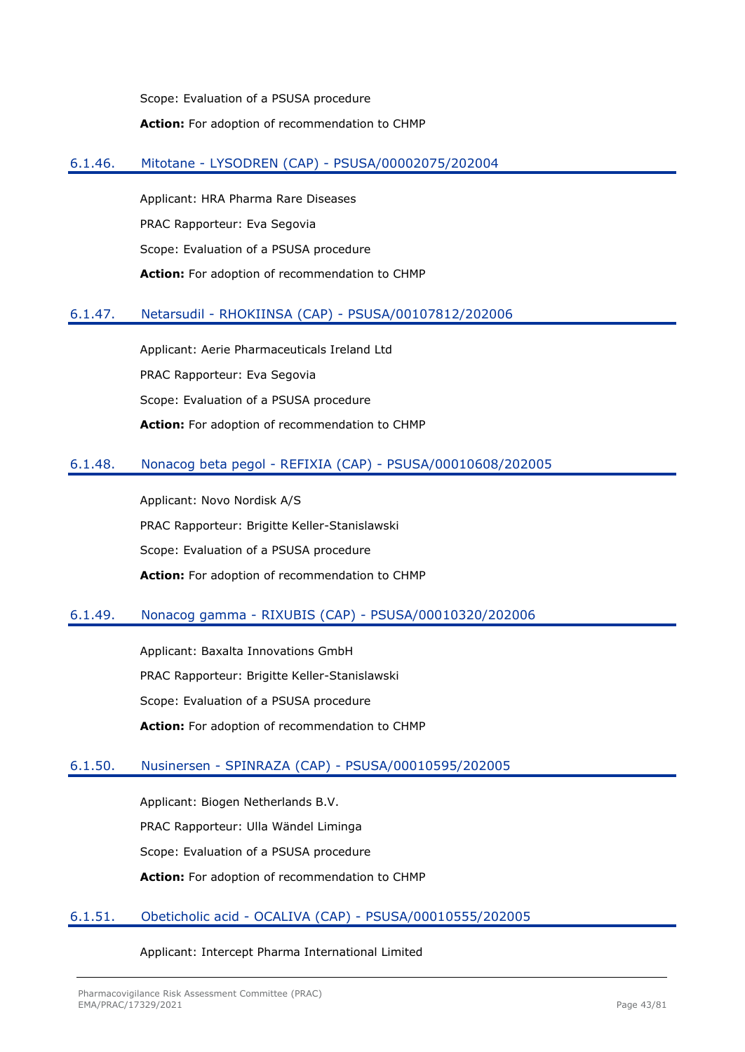Scope: Evaluation of a PSUSA procedure **Action:** For adoption of recommendation to CHMP

# 6.1.46. Mitotane - LYSODREN (CAP) - PSUSA/00002075/202004

Applicant: HRA Pharma Rare Diseases PRAC Rapporteur: Eva Segovia Scope: Evaluation of a PSUSA procedure **Action:** For adoption of recommendation to CHMP

# 6.1.47. Netarsudil - RHOKIINSA (CAP) - PSUSA/00107812/202006

Applicant: Aerie Pharmaceuticals Ireland Ltd PRAC Rapporteur: Eva Segovia Scope: Evaluation of a PSUSA procedure **Action:** For adoption of recommendation to CHMP

## 6.1.48. Nonacog beta pegol - REFIXIA (CAP) - PSUSA/00010608/202005

Applicant: Novo Nordisk A/S PRAC Rapporteur: Brigitte Keller-Stanislawski Scope: Evaluation of a PSUSA procedure **Action:** For adoption of recommendation to CHMP

# 6.1.49. Nonacog gamma - RIXUBIS (CAP) - PSUSA/00010320/202006

Applicant: Baxalta Innovations GmbH PRAC Rapporteur: Brigitte Keller-Stanislawski Scope: Evaluation of a PSUSA procedure **Action:** For adoption of recommendation to CHMP

## 6.1.50. Nusinersen - SPINRAZA (CAP) - PSUSA/00010595/202005

Applicant: Biogen Netherlands B.V. PRAC Rapporteur: Ulla Wändel Liminga Scope: Evaluation of a PSUSA procedure **Action:** For adoption of recommendation to CHMP

## 6.1.51. Obeticholic acid - OCALIVA (CAP) - PSUSA/00010555/202005

Applicant: Intercept Pharma International Limited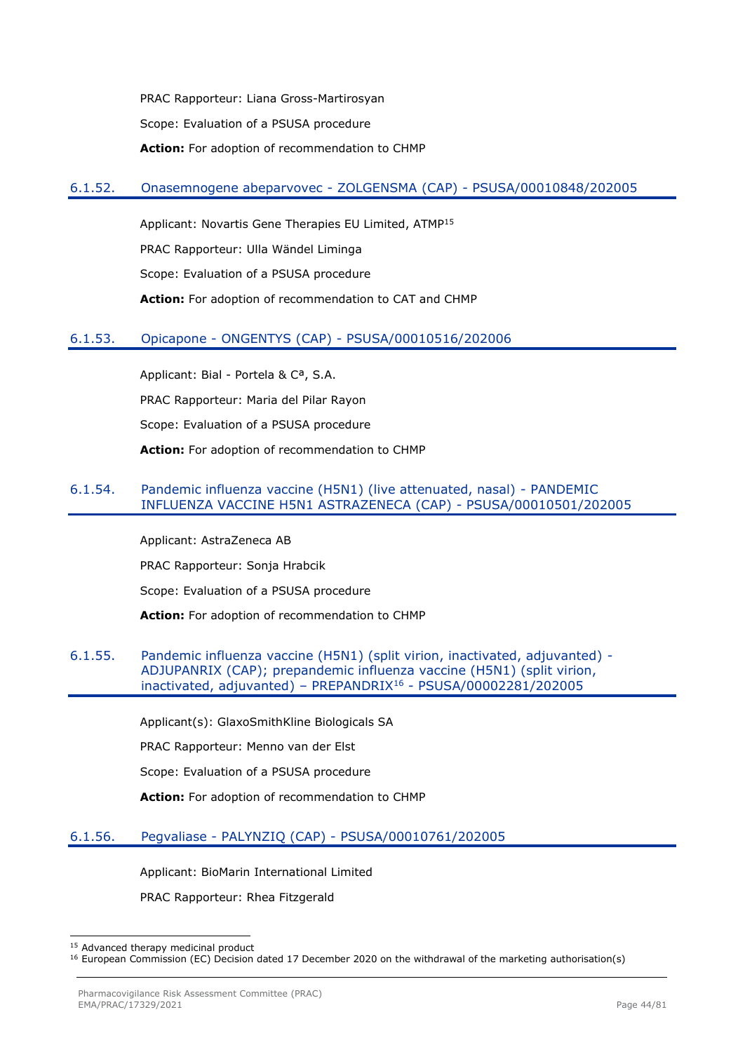PRAC Rapporteur: Liana Gross-Martirosyan Scope: Evaluation of a PSUSA procedure **Action:** For adoption of recommendation to CHMP

## 6.1.52. Onasemnogene abeparvovec - ZOLGENSMA (CAP) - PSUSA/00010848/202005

Applicant: Novartis Gene Therapies EU Limited, ATMP<sup>15</sup> PRAC Rapporteur: Ulla Wändel Liminga Scope: Evaluation of a PSUSA procedure **Action:** For adoption of recommendation to CAT and CHMP

## 6.1.53. Opicapone - ONGENTYS (CAP) - PSUSA/00010516/202006

Applicant: Bial - Portela & Cª, S.A. PRAC Rapporteur: Maria del Pilar Rayon Scope: Evaluation of a PSUSA procedure **Action:** For adoption of recommendation to CHMP

## 6.1.54. Pandemic influenza vaccine (H5N1) (live attenuated, nasal) - PANDEMIC INFLUENZA VACCINE H5N1 ASTRAZENECA (CAP) - PSUSA/00010501/202005

Applicant: AstraZeneca AB PRAC Rapporteur: Sonja Hrabcik Scope: Evaluation of a PSUSA procedure **Action:** For adoption of recommendation to CHMP

## 6.1.55. Pandemic influenza vaccine (H5N1) (split virion, inactivated, adjuvanted) - ADJUPANRIX (CAP); prepandemic influenza vaccine (H5N1) (split virion, inactivated, adjuvanted) – PREPANDRIX<sup>16</sup> - PSUSA/00002281/202005

Applicant(s): GlaxoSmithKline Biologicals SA

PRAC Rapporteur: Menno van der Elst

Scope: Evaluation of a PSUSA procedure

**Action:** For adoption of recommendation to CHMP

# 6.1.56. Pegvaliase - PALYNZIQ (CAP) - PSUSA/00010761/202005

Applicant: BioMarin International Limited

PRAC Rapporteur: Rhea Fitzgerald

<sup>15</sup> Advanced therapy medicinal product

<sup>&</sup>lt;sup>16</sup> European Commission (EC) Decision dated 17 December 2020 on the withdrawal of the marketing authorisation(s)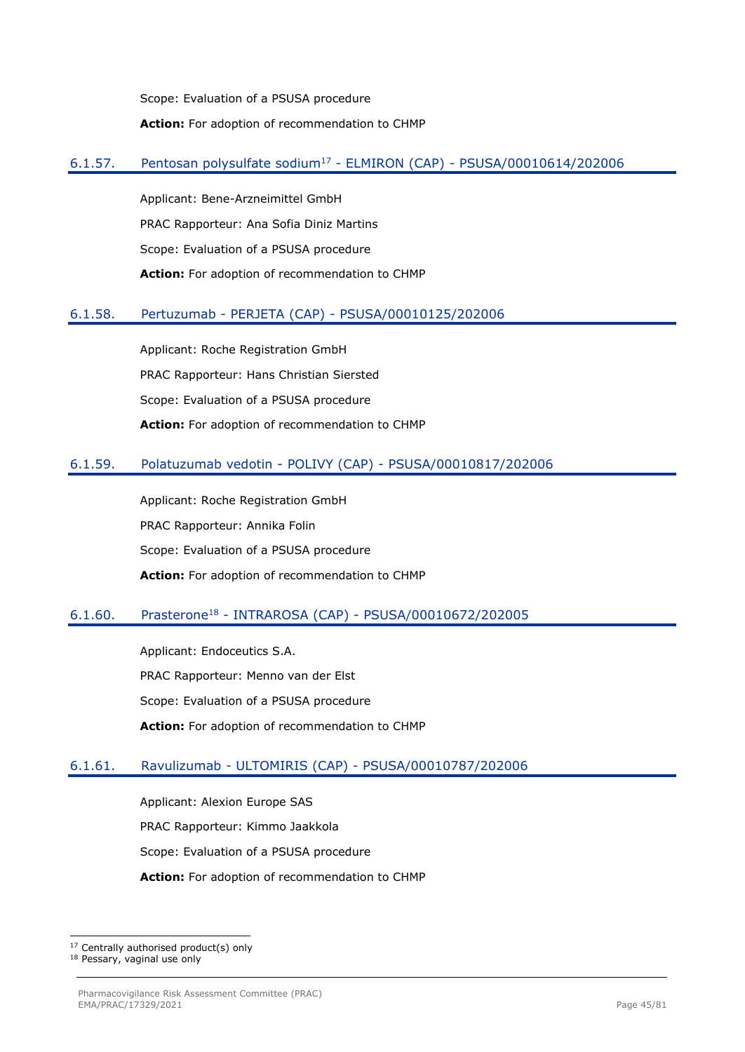Scope: Evaluation of a PSUSA procedure **Action:** For adoption of recommendation to CHMP

# 6.1.57. Pentosan polysulfate sodium<sup>17</sup> - ELMIRON (CAP) - PSUSA/00010614/202006

Applicant: Bene-Arzneimittel GmbH PRAC Rapporteur: Ana Sofia Diniz Martins Scope: Evaluation of a PSUSA procedure **Action:** For adoption of recommendation to CHMP

# 6.1.58. Pertuzumab - PERJETA (CAP) - PSUSA/00010125/202006

Applicant: Roche Registration GmbH PRAC Rapporteur: Hans Christian Siersted Scope: Evaluation of a PSUSA procedure **Action:** For adoption of recommendation to CHMP

# 6.1.59. Polatuzumab vedotin - POLIVY (CAP) - PSUSA/00010817/202006

Applicant: Roche Registration GmbH PRAC Rapporteur: Annika Folin Scope: Evaluation of a PSUSA procedure **Action:** For adoption of recommendation to CHMP

# 6.1.60. Prasterone<sup>18</sup> - INTRAROSA (CAP) - PSUSA/00010672/202005

Applicant: Endoceutics S.A. PRAC Rapporteur: Menno van der Elst Scope: Evaluation of a PSUSA procedure **Action:** For adoption of recommendation to CHMP

# 6.1.61. Ravulizumab - ULTOMIRIS (CAP) - PSUSA/00010787/202006

Applicant: Alexion Europe SAS PRAC Rapporteur: Kimmo Jaakkola Scope: Evaluation of a PSUSA procedure **Action:** For adoption of recommendation to CHMP

<sup>17</sup> Centrally authorised product(s) only

<sup>18</sup> Pessary, vaginal use only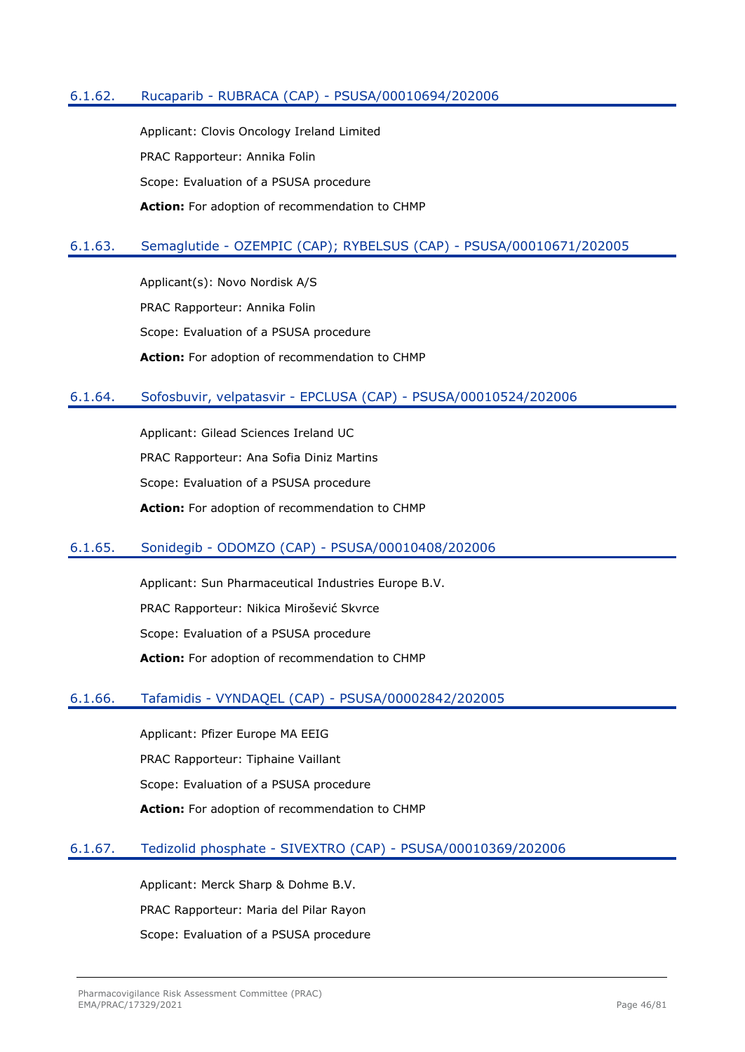## 6.1.62. Rucaparib - RUBRACA (CAP) - PSUSA/00010694/202006

Applicant: Clovis Oncology Ireland Limited PRAC Rapporteur: Annika Folin Scope: Evaluation of a PSUSA procedure **Action:** For adoption of recommendation to CHMP

## 6.1.63. Semaglutide - OZEMPIC (CAP); RYBELSUS (CAP) - PSUSA/00010671/202005

Applicant(s): Novo Nordisk A/S PRAC Rapporteur: Annika Folin Scope: Evaluation of a PSUSA procedure **Action:** For adoption of recommendation to CHMP

## 6.1.64. Sofosbuvir, velpatasvir - EPCLUSA (CAP) - PSUSA/00010524/202006

Applicant: Gilead Sciences Ireland UC PRAC Rapporteur: Ana Sofia Diniz Martins Scope: Evaluation of a PSUSA procedure **Action:** For adoption of recommendation to CHMP

## 6.1.65. Sonidegib - ODOMZO (CAP) - PSUSA/00010408/202006

Applicant: Sun Pharmaceutical Industries Europe B.V. PRAC Rapporteur: Nikica Mirošević Skvrce Scope: Evaluation of a PSUSA procedure **Action:** For adoption of recommendation to CHMP

## 6.1.66. Tafamidis - VYNDAQEL (CAP) - PSUSA/00002842/202005

Applicant: Pfizer Europe MA EEIG PRAC Rapporteur: Tiphaine Vaillant Scope: Evaluation of a PSUSA procedure **Action:** For adoption of recommendation to CHMP

## 6.1.67. Tedizolid phosphate - SIVEXTRO (CAP) - PSUSA/00010369/202006

Applicant: Merck Sharp & Dohme B.V. PRAC Rapporteur: Maria del Pilar Rayon Scope: Evaluation of a PSUSA procedure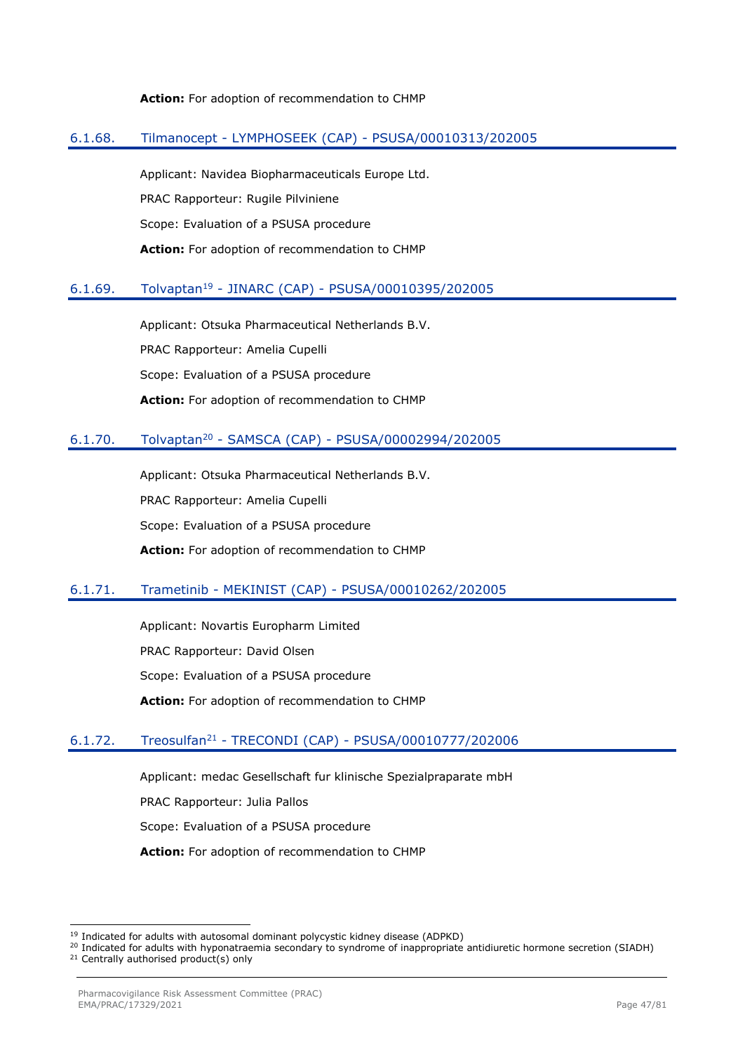#### **Action:** For adoption of recommendation to CHMP

## 6.1.68. Tilmanocept - LYMPHOSEEK (CAP) - PSUSA/00010313/202005

Applicant: Navidea Biopharmaceuticals Europe Ltd. PRAC Rapporteur: Rugile Pilviniene Scope: Evaluation of a PSUSA procedure **Action:** For adoption of recommendation to CHMP

## 6.1.69. Tolvaptan<sup>19</sup> - JINARC (CAP) - PSUSA/00010395/202005

Applicant: Otsuka Pharmaceutical Netherlands B.V. PRAC Rapporteur: Amelia Cupelli Scope: Evaluation of a PSUSA procedure **Action:** For adoption of recommendation to CHMP

# 6.1.70. Tolvaptan<sup>20</sup> - SAMSCA (CAP) - PSUSA/00002994/202005

Applicant: Otsuka Pharmaceutical Netherlands B.V. PRAC Rapporteur: Amelia Cupelli Scope: Evaluation of a PSUSA procedure **Action:** For adoption of recommendation to CHMP

## 6.1.71. Trametinib - MEKINIST (CAP) - PSUSA/00010262/202005

Applicant: Novartis Europharm Limited PRAC Rapporteur: David Olsen Scope: Evaluation of a PSUSA procedure **Action:** For adoption of recommendation to CHMP

# 6.1.72. Treosulfan<sup>21</sup> - TRECONDI (CAP) - PSUSA/00010777/202006

Applicant: medac Gesellschaft fur klinische Spezialpraparate mbH

PRAC Rapporteur: Julia Pallos

Scope: Evaluation of a PSUSA procedure

**Action:** For adoption of recommendation to CHMP

<sup>&</sup>lt;sup>19</sup> Indicated for adults with autosomal dominant polycystic kidney disease (ADPKD)

<sup>&</sup>lt;sup>20</sup> Indicated for adults with hyponatraemia secondary to syndrome of inappropriate antidiuretic hormone secretion (SIADH) <sup>21</sup> Centrally authorised product(s) only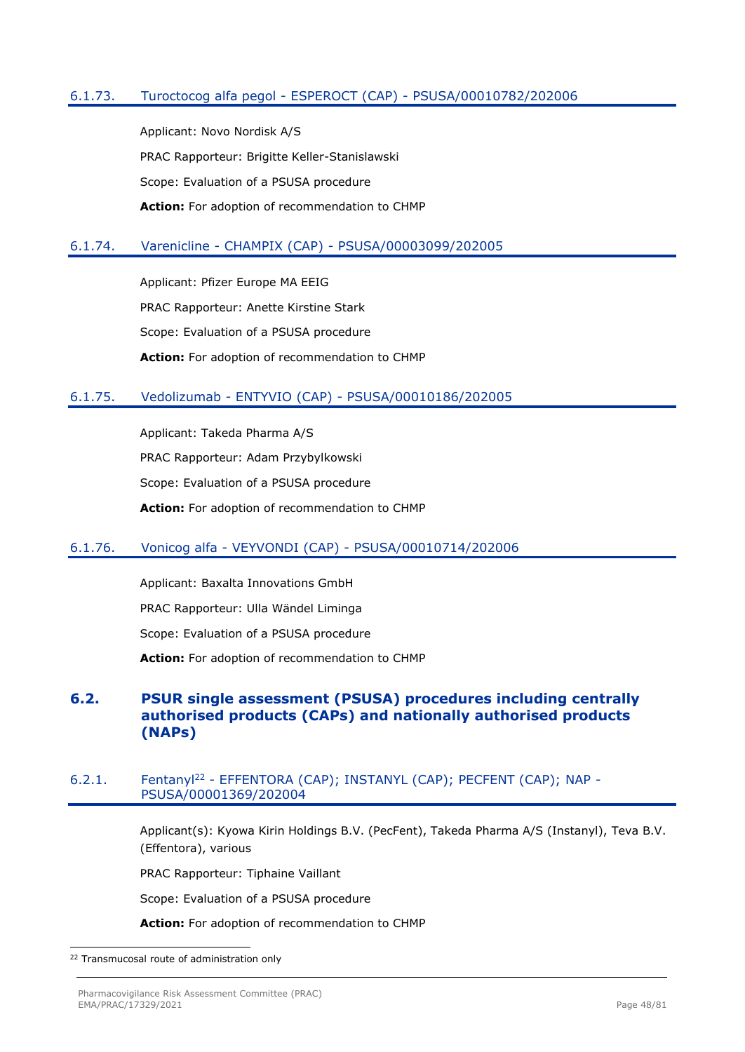# 6.1.73. Turoctocog alfa pegol - ESPEROCT (CAP) - PSUSA/00010782/202006

Applicant: Novo Nordisk A/S PRAC Rapporteur: Brigitte Keller-Stanislawski Scope: Evaluation of a PSUSA procedure **Action:** For adoption of recommendation to CHMP

## 6.1.74. Varenicline - CHAMPIX (CAP) - PSUSA/00003099/202005

Applicant: Pfizer Europe MA EEIG PRAC Rapporteur: Anette Kirstine Stark Scope: Evaluation of a PSUSA procedure **Action:** For adoption of recommendation to CHMP

## 6.1.75. Vedolizumab - ENTYVIO (CAP) - PSUSA/00010186/202005

Applicant: Takeda Pharma A/S PRAC Rapporteur: Adam Przybylkowski Scope: Evaluation of a PSUSA procedure **Action:** For adoption of recommendation to CHMP

## 6.1.76. Vonicog alfa - VEYVONDI (CAP) - PSUSA/00010714/202006

Applicant: Baxalta Innovations GmbH PRAC Rapporteur: Ulla Wändel Liminga Scope: Evaluation of a PSUSA procedure **Action:** For adoption of recommendation to CHMP

# **6.2. PSUR single assessment (PSUSA) procedures including centrally authorised products (CAPs) and nationally authorised products (NAPs)**

## 6.2.1. Fentany<sup>122</sup> - EFFENTORA (CAP); INSTANYL (CAP); PECFENT (CAP); NAP -PSUSA/00001369/202004

Applicant(s): Kyowa Kirin Holdings B.V. (PecFent), Takeda Pharma A/S (Instanyl), Teva B.V. (Effentora), various

PRAC Rapporteur: Tiphaine Vaillant

Scope: Evaluation of a PSUSA procedure

**Action:** For adoption of recommendation to CHMP

<sup>&</sup>lt;sup>22</sup> Transmucosal route of administration only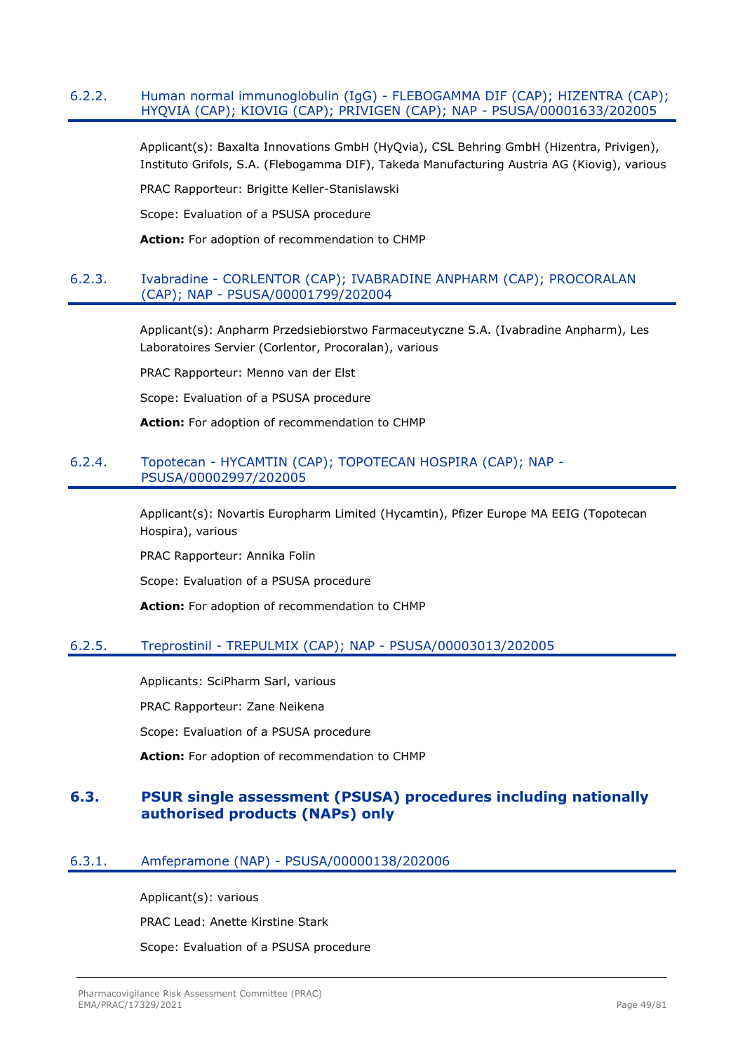## 6.2.2. Human normal immunoglobulin (IgG) - FLEBOGAMMA DIF (CAP); HIZENTRA (CAP); HYQVIA (CAP); KIOVIG (CAP); PRIVIGEN (CAP); NAP - PSUSA/00001633/202005

Applicant(s): Baxalta Innovations GmbH (HyQvia), CSL Behring GmbH (Hizentra, Privigen), Instituto Grifols, S.A. (Flebogamma DIF), Takeda Manufacturing Austria AG (Kiovig), various

PRAC Rapporteur: Brigitte Keller-Stanislawski

Scope: Evaluation of a PSUSA procedure

**Action:** For adoption of recommendation to CHMP

## 6.2.3. Ivabradine - CORLENTOR (CAP); IVABRADINE ANPHARM (CAP); PROCORALAN (CAP); NAP - PSUSA/00001799/202004

Applicant(s): Anpharm Przedsiebiorstwo Farmaceutyczne S.A. (Ivabradine Anpharm), Les Laboratoires Servier (Corlentor, Procoralan), various

PRAC Rapporteur: Menno van der Elst

Scope: Evaluation of a PSUSA procedure

**Action:** For adoption of recommendation to CHMP

## 6.2.4. Topotecan - HYCAMTIN (CAP); TOPOTECAN HOSPIRA (CAP); NAP - PSUSA/00002997/202005

Applicant(s): Novartis Europharm Limited (Hycamtin), Pfizer Europe MA EEIG (Topotecan Hospira), various

PRAC Rapporteur: Annika Folin

Scope: Evaluation of a PSUSA procedure

**Action:** For adoption of recommendation to CHMP

## 6.2.5. Treprostinil - TREPULMIX (CAP); NAP - PSUSA/00003013/202005

Applicants: SciPharm Sarl, various

PRAC Rapporteur: Zane Neikena

Scope: Evaluation of a PSUSA procedure

**Action:** For adoption of recommendation to CHMP

# **6.3. PSUR single assessment (PSUSA) procedures including nationally authorised products (NAPs) only**

## 6.3.1. Amfepramone (NAP) - PSUSA/00000138/202006

Applicant(s): various PRAC Lead: Anette Kirstine Stark Scope: Evaluation of a PSUSA procedure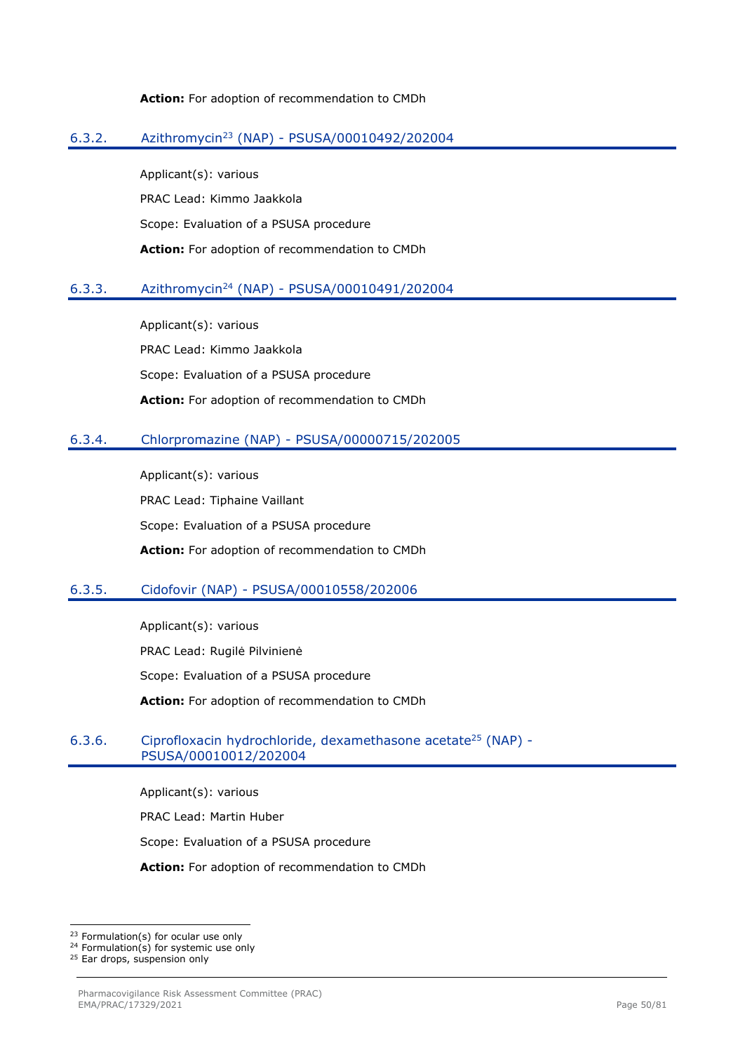#### **Action:** For adoption of recommendation to CMDh

## 6.3.2. Azithromycin<sup>23</sup> (NAP) - PSUSA/00010492/202004

Applicant(s): various PRAC Lead: Kimmo Jaakkola Scope: Evaluation of a PSUSA procedure **Action:** For adoption of recommendation to CMDh

## 6.3.3. Azithromycin<sup>24</sup> (NAP) - PSUSA/00010491/202004

Applicant(s): various PRAC Lead: Kimmo Jaakkola Scope: Evaluation of a PSUSA procedure **Action:** For adoption of recommendation to CMDh

## 6.3.4. Chlorpromazine (NAP) - PSUSA/00000715/202005

Applicant(s): various PRAC Lead: Tiphaine Vaillant Scope: Evaluation of a PSUSA procedure **Action:** For adoption of recommendation to CMDh

## 6.3.5. Cidofovir (NAP) - PSUSA/00010558/202006

Applicant(s): various PRAC Lead: Rugilė Pilvinienė Scope: Evaluation of a PSUSA procedure **Action:** For adoption of recommendation to CMDh

## 6.3.6. Ciprofloxacin hydrochloride, dexamethasone acetate<sup>25</sup> (NAP) -PSUSA/00010012/202004

Applicant(s): various

PRAC Lead: Martin Huber

Scope: Evaluation of a PSUSA procedure

**Action:** For adoption of recommendation to CMDh

<sup>25</sup> Ear drops, suspension only

<sup>23</sup> Formulation(s) for ocular use only

<sup>24</sup> Formulation(s) for systemic use only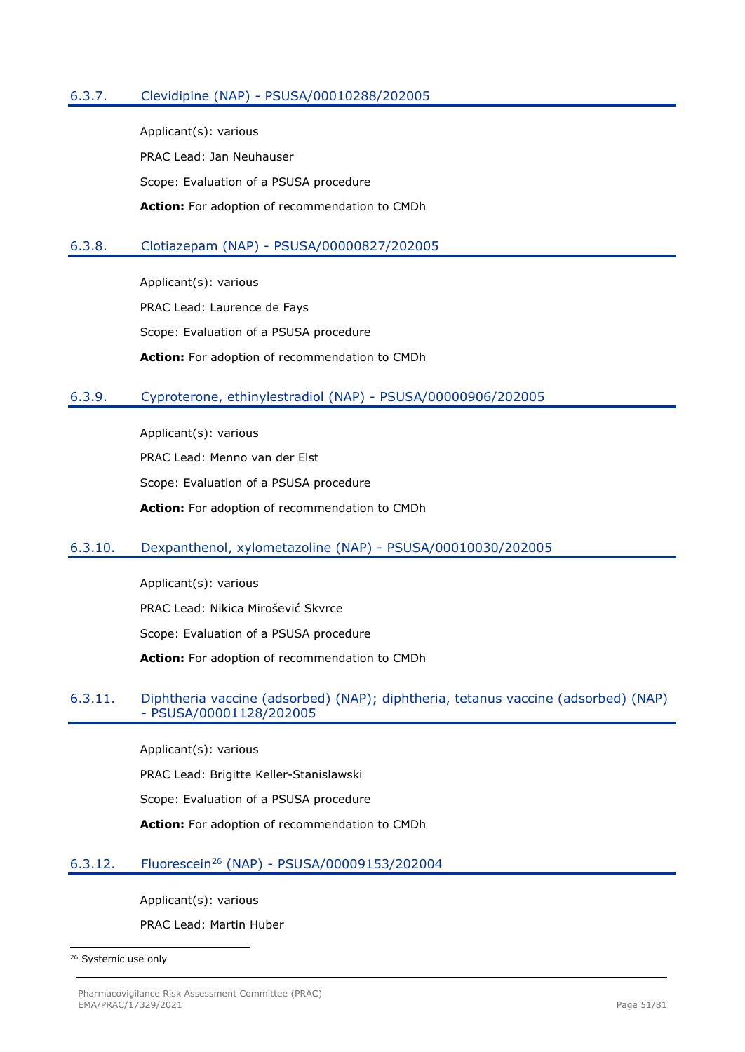# 6.3.7. Clevidipine (NAP) - PSUSA/00010288/202005

Applicant(s): various PRAC Lead: Jan Neuhauser Scope: Evaluation of a PSUSA procedure **Action:** For adoption of recommendation to CMDh

## 6.3.8. Clotiazepam (NAP) - PSUSA/00000827/202005

Applicant(s): various PRAC Lead: Laurence de Fays Scope: Evaluation of a PSUSA procedure **Action:** For adoption of recommendation to CMDh

## 6.3.9. Cyproterone, ethinylestradiol (NAP) - PSUSA/00000906/202005

Applicant(s): various PRAC Lead: Menno van der Elst Scope: Evaluation of a PSUSA procedure **Action:** For adoption of recommendation to CMDh

#### 6.3.10. Dexpanthenol, xylometazoline (NAP) - PSUSA/00010030/202005

Applicant(s): various PRAC Lead: Nikica Mirošević Skvrce Scope: Evaluation of a PSUSA procedure **Action:** For adoption of recommendation to CMDh

## 6.3.11. Diphtheria vaccine (adsorbed) (NAP); diphtheria, tetanus vaccine (adsorbed) (NAP) - PSUSA/00001128/202005

Applicant(s): various

PRAC Lead: Brigitte Keller-Stanislawski

Scope: Evaluation of a PSUSA procedure

**Action:** For adoption of recommendation to CMDh

#### 6.3.12. Fluorescein<sup>26</sup> (NAP) - PSUSA/00009153/202004

Applicant(s): various

PRAC Lead: Martin Huber

<sup>26</sup> Systemic use only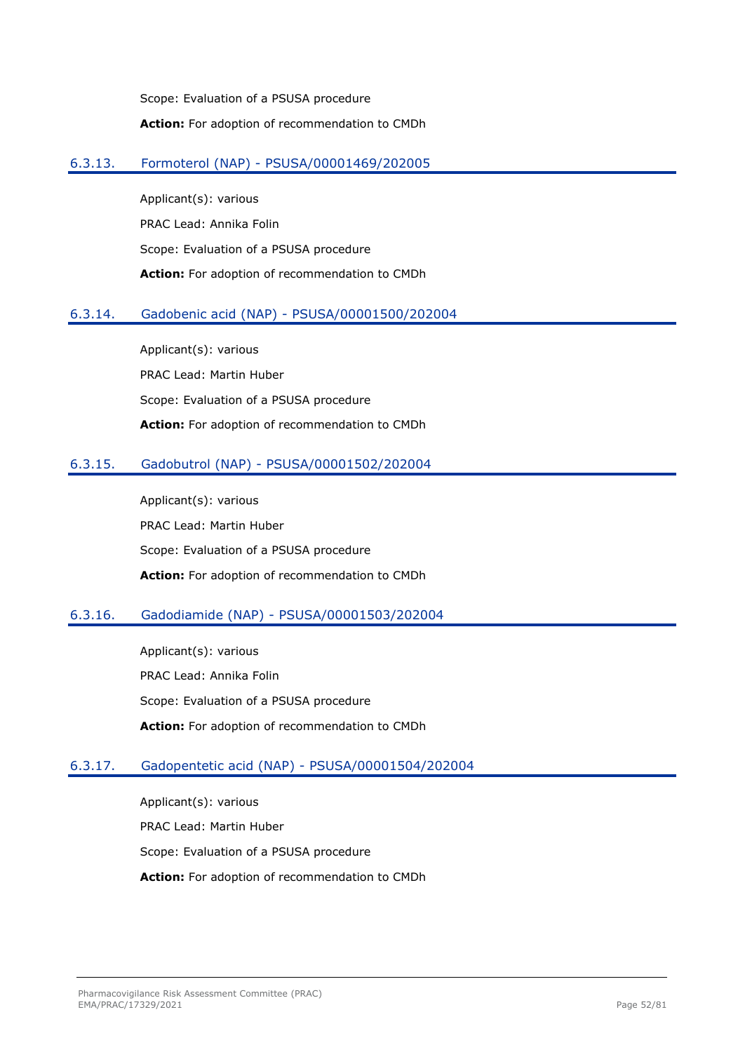Scope: Evaluation of a PSUSA procedure **Action:** For adoption of recommendation to CMDh

## 6.3.13. Formoterol (NAP) - PSUSA/00001469/202005

Applicant(s): various PRAC Lead: Annika Folin Scope: Evaluation of a PSUSA procedure **Action:** For adoption of recommendation to CMDh

# 6.3.14. Gadobenic acid (NAP) - PSUSA/00001500/202004

Applicant(s): various PRAC Lead: Martin Huber Scope: Evaluation of a PSUSA procedure **Action:** For adoption of recommendation to CMDh

# 6.3.15. Gadobutrol (NAP) - PSUSA/00001502/202004

Applicant(s): various PRAC Lead: Martin Huber Scope: Evaluation of a PSUSA procedure **Action:** For adoption of recommendation to CMDh

# 6.3.16. Gadodiamide (NAP) - PSUSA/00001503/202004

Applicant(s): various PRAC Lead: Annika Folin Scope: Evaluation of a PSUSA procedure **Action:** For adoption of recommendation to CMDh

# 6.3.17. Gadopentetic acid (NAP) - PSUSA/00001504/202004

Applicant(s): various PRAC Lead: Martin Huber Scope: Evaluation of a PSUSA procedure **Action:** For adoption of recommendation to CMDh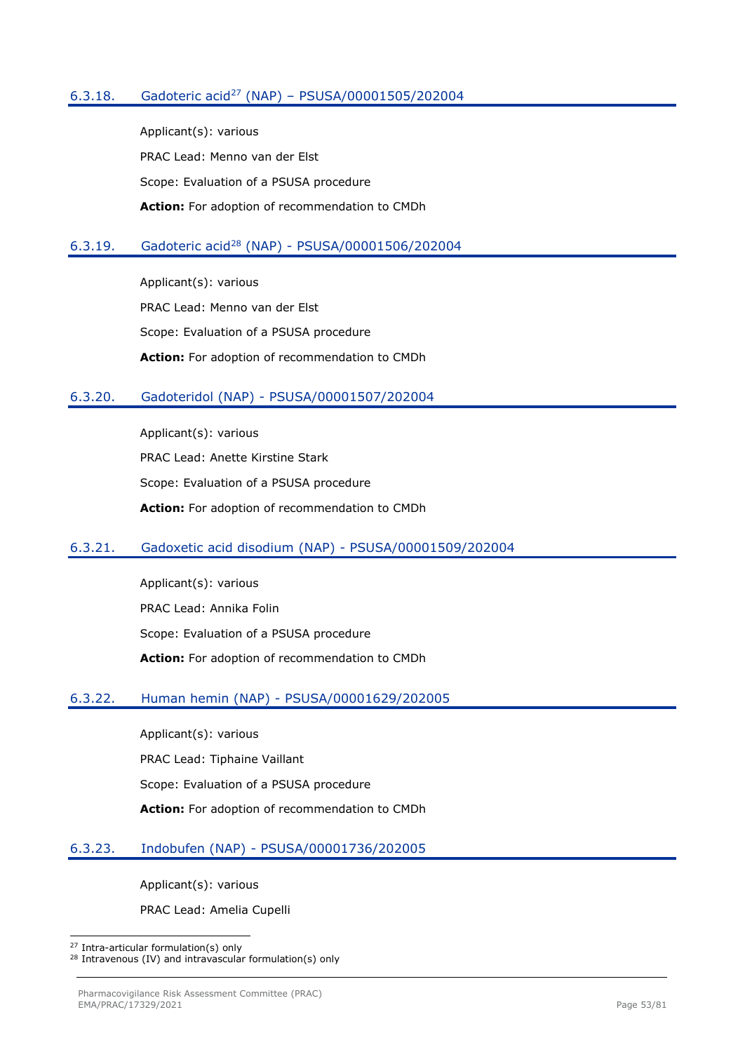## 6.3.18. Gadoteric acid<sup>27</sup> (NAP) – PSUSA/00001505/202004

Applicant(s): various PRAC Lead: Menno van der Elst Scope: Evaluation of a PSUSA procedure **Action:** For adoption of recommendation to CMDh

## 6.3.19. Gadoteric acid<sup>28</sup> (NAP) - PSUSA/00001506/202004

Applicant(s): various PRAC Lead: Menno van der Elst Scope: Evaluation of a PSUSA procedure **Action:** For adoption of recommendation to CMDh

## 6.3.20. Gadoteridol (NAP) - PSUSA/00001507/202004

Applicant(s): various PRAC Lead: Anette Kirstine Stark Scope: Evaluation of a PSUSA procedure **Action:** For adoption of recommendation to CMDh

## 6.3.21. Gadoxetic acid disodium (NAP) - PSUSA/00001509/202004

Applicant(s): various PRAC Lead: Annika Folin Scope: Evaluation of a PSUSA procedure **Action:** For adoption of recommendation to CMDh

## 6.3.22. Human hemin (NAP) - PSUSA/00001629/202005

Applicant(s): various PRAC Lead: Tiphaine Vaillant Scope: Evaluation of a PSUSA procedure **Action:** For adoption of recommendation to CMDh

## 6.3.23. Indobufen (NAP) - PSUSA/00001736/202005

Applicant(s): various

PRAC Lead: Amelia Cupelli

<sup>27</sup> Intra-articular formulation(s) only

<sup>28</sup> Intravenous (IV) and intravascular formulation(s) only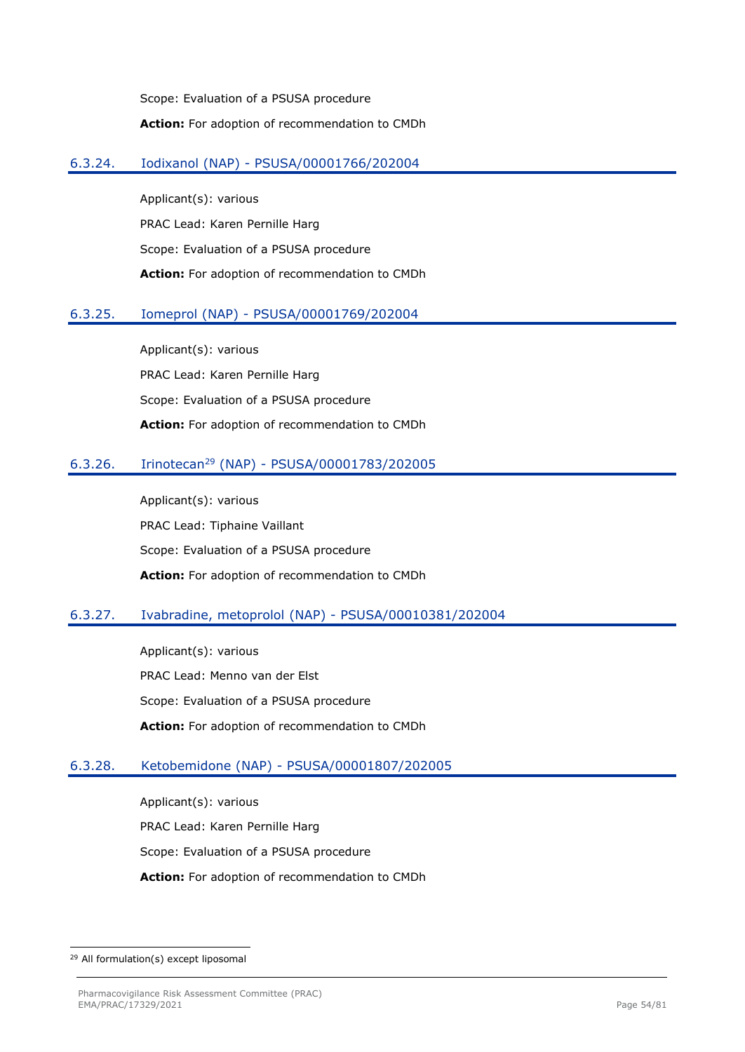Scope: Evaluation of a PSUSA procedure **Action:** For adoption of recommendation to CMDh

## 6.3.24. Iodixanol (NAP) - PSUSA/00001766/202004

Applicant(s): various PRAC Lead: Karen Pernille Harg Scope: Evaluation of a PSUSA procedure **Action:** For adoption of recommendation to CMDh

# 6.3.25. Iomeprol (NAP) - PSUSA/00001769/202004

Applicant(s): various PRAC Lead: Karen Pernille Harg Scope: Evaluation of a PSUSA procedure **Action:** For adoption of recommendation to CMDh

# 6.3.26. Irinotecan<sup>29</sup> (NAP) - PSUSA/00001783/202005

Applicant(s): various PRAC Lead: Tiphaine Vaillant Scope: Evaluation of a PSUSA procedure **Action:** For adoption of recommendation to CMDh

# 6.3.27. Ivabradine, metoprolol (NAP) - PSUSA/00010381/202004

Applicant(s): various PRAC Lead: Menno van der Elst Scope: Evaluation of a PSUSA procedure **Action:** For adoption of recommendation to CMDh

## 6.3.28. Ketobemidone (NAP) - PSUSA/00001807/202005

Applicant(s): various PRAC Lead: Karen Pernille Harg Scope: Evaluation of a PSUSA procedure **Action:** For adoption of recommendation to CMDh

<sup>29</sup> All formulation(s) except liposomal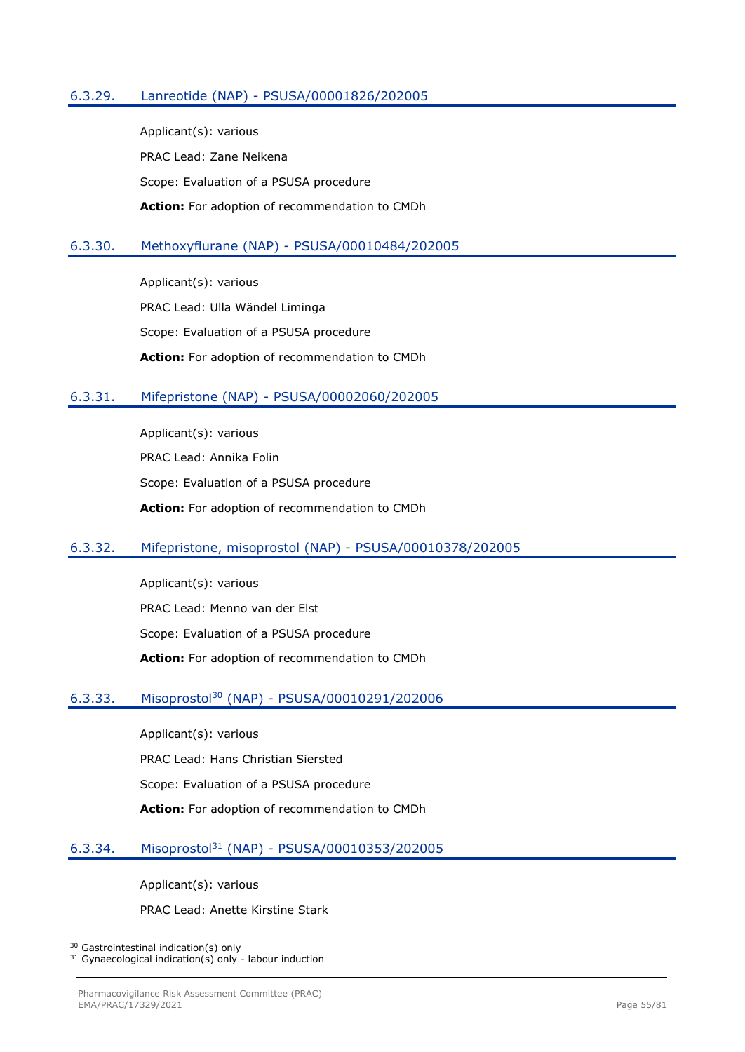## 6.3.29. Lanreotide (NAP) - PSUSA/00001826/202005

Applicant(s): various PRAC Lead: Zane Neikena Scope: Evaluation of a PSUSA procedure **Action:** For adoption of recommendation to CMDh

## 6.3.30. Methoxyflurane (NAP) - PSUSA/00010484/202005

Applicant(s): various PRAC Lead: Ulla Wändel Liminga Scope: Evaluation of a PSUSA procedure **Action:** For adoption of recommendation to CMDh

## 6.3.31. Mifepristone (NAP) - PSUSA/00002060/202005

Applicant(s): various PRAC Lead: Annika Folin Scope: Evaluation of a PSUSA procedure **Action:** For adoption of recommendation to CMDh

## 6.3.32. Mifepristone, misoprostol (NAP) - PSUSA/00010378/202005

Applicant(s): various PRAC Lead: Menno van der Elst Scope: Evaluation of a PSUSA procedure **Action:** For adoption of recommendation to CMDh

# 6.3.33. Misoprostol<sup>30</sup> (NAP) - PSUSA/00010291/202006

Applicant(s): various PRAC Lead: Hans Christian Siersted Scope: Evaluation of a PSUSA procedure **Action:** For adoption of recommendation to CMDh

## 6.3.34. Misoprostol<sup>31</sup> (NAP) - PSUSA/00010353/202005

Applicant(s): various

PRAC Lead: Anette Kirstine Stark

<sup>30</sup> Gastrointestinal indication(s) only

<sup>&</sup>lt;sup>31</sup> Gynaecological indication(s) only - labour induction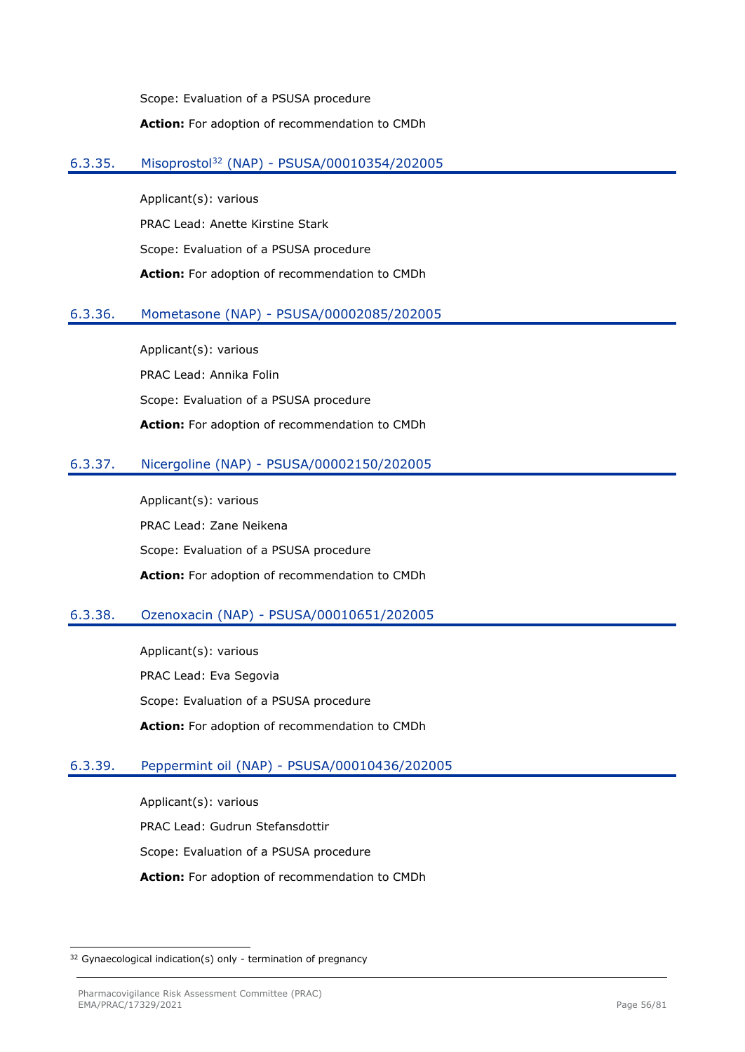Scope: Evaluation of a PSUSA procedure **Action:** For adoption of recommendation to CMDh

# 6.3.35. Misoprostol<sup>32</sup> (NAP) - PSUSA/00010354/202005

Applicant(s): various PRAC Lead: Anette Kirstine Stark Scope: Evaluation of a PSUSA procedure **Action:** For adoption of recommendation to CMDh

# 6.3.36. Mometasone (NAP) - PSUSA/00002085/202005

Applicant(s): various PRAC Lead: Annika Folin Scope: Evaluation of a PSUSA procedure **Action:** For adoption of recommendation to CMDh

# 6.3.37. Nicergoline (NAP) - PSUSA/00002150/202005

Applicant(s): various PRAC Lead: Zane Neikena Scope: Evaluation of a PSUSA procedure **Action:** For adoption of recommendation to CMDh

# 6.3.38. Ozenoxacin (NAP) - PSUSA/00010651/202005

Applicant(s): various PRAC Lead: Eva Segovia Scope: Evaluation of a PSUSA procedure **Action:** For adoption of recommendation to CMDh

## 6.3.39. Peppermint oil (NAP) - PSUSA/00010436/202005

Applicant(s): various PRAC Lead: Gudrun Stefansdottir Scope: Evaluation of a PSUSA procedure **Action:** For adoption of recommendation to CMDh

<sup>&</sup>lt;sup>32</sup> Gynaecological indication(s) only - termination of pregnancy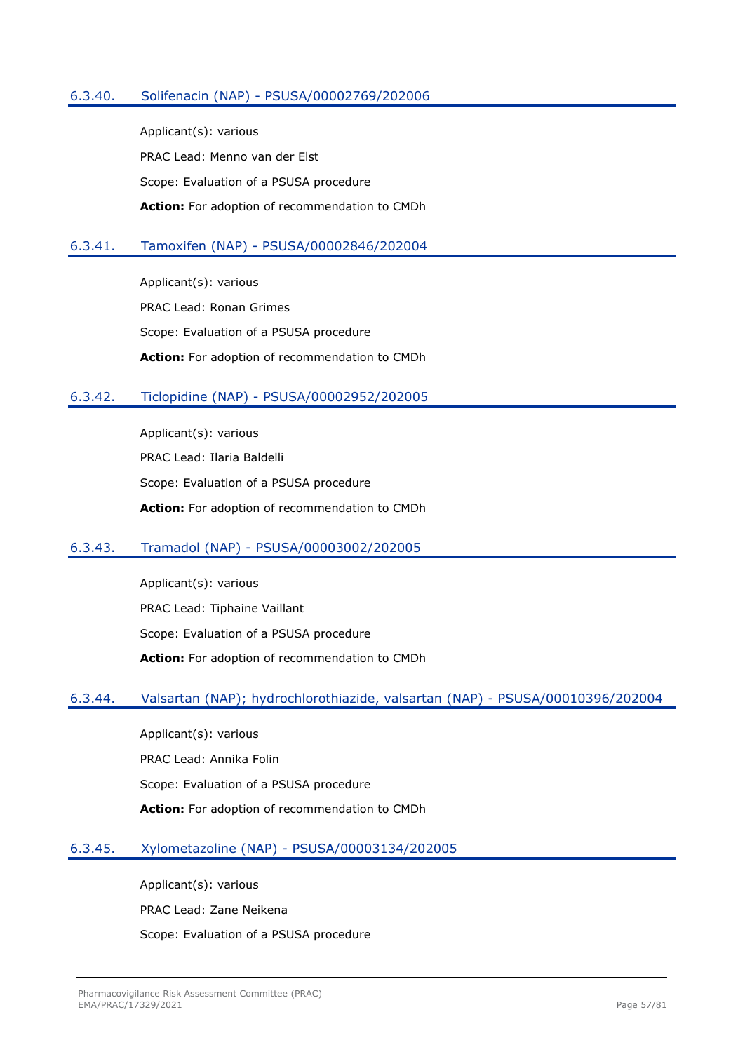## 6.3.40. Solifenacin (NAP) - PSUSA/00002769/202006

Applicant(s): various PRAC Lead: Menno van der Elst Scope: Evaluation of a PSUSA procedure **Action:** For adoption of recommendation to CMDh

## 6.3.41. Tamoxifen (NAP) - PSUSA/00002846/202004

Applicant(s): various PRAC Lead: Ronan Grimes Scope: Evaluation of a PSUSA procedure **Action:** For adoption of recommendation to CMDh

## 6.3.42. Ticlopidine (NAP) - PSUSA/00002952/202005

Applicant(s): various PRAC Lead: Ilaria Baldelli Scope: Evaluation of a PSUSA procedure **Action:** For adoption of recommendation to CMDh

## 6.3.43. Tramadol (NAP) - PSUSA/00003002/202005

Applicant(s): various PRAC Lead: Tiphaine Vaillant Scope: Evaluation of a PSUSA procedure **Action:** For adoption of recommendation to CMDh

## 6.3.44. Valsartan (NAP); hydrochlorothiazide, valsartan (NAP) - PSUSA/00010396/202004

Applicant(s): various PRAC Lead: Annika Folin Scope: Evaluation of a PSUSA procedure **Action:** For adoption of recommendation to CMDh

## 6.3.45. Xylometazoline (NAP) - PSUSA/00003134/202005

Applicant(s): various

PRAC Lead: Zane Neikena

Scope: Evaluation of a PSUSA procedure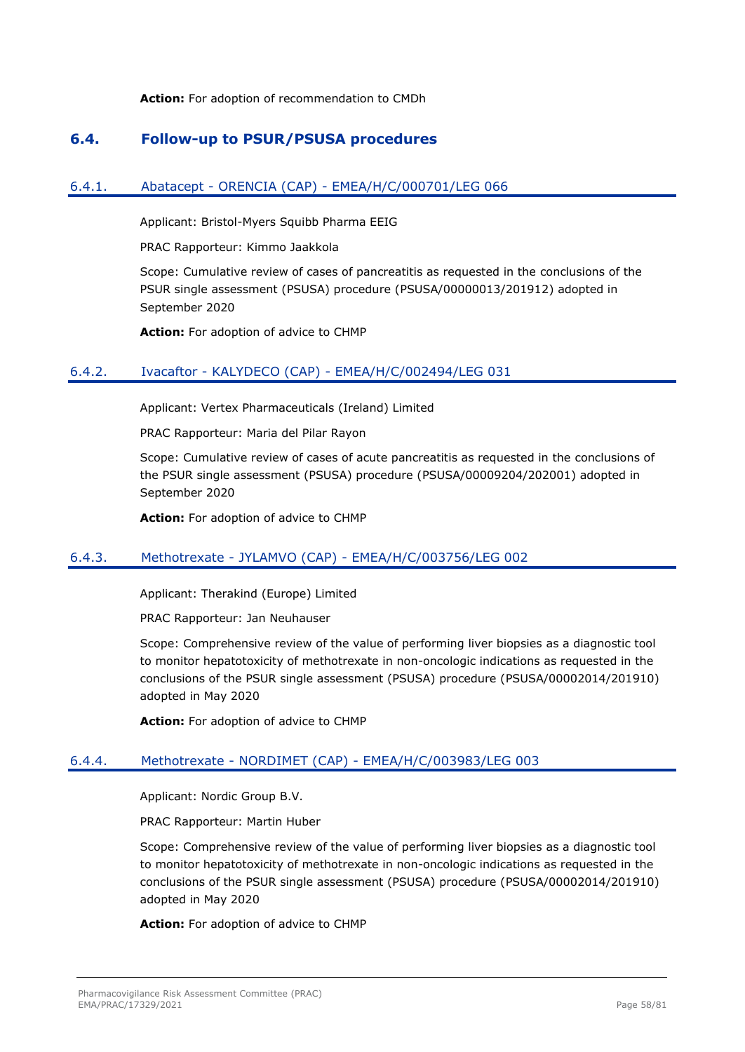**Action:** For adoption of recommendation to CMDh

# **6.4. Follow-up to PSUR/PSUSA procedures**

## 6.4.1. Abatacept - ORENCIA (CAP) - EMEA/H/C/000701/LEG 066

Applicant: Bristol-Myers Squibb Pharma EEIG

PRAC Rapporteur: Kimmo Jaakkola

Scope: Cumulative review of cases of pancreatitis as requested in the conclusions of the PSUR single assessment (PSUSA) procedure (PSUSA/00000013/201912) adopted in September 2020

**Action:** For adoption of advice to CHMP

## 6.4.2. Ivacaftor - KALYDECO (CAP) - EMEA/H/C/002494/LEG 031

Applicant: Vertex Pharmaceuticals (Ireland) Limited

PRAC Rapporteur: Maria del Pilar Rayon

Scope: Cumulative review of cases of acute pancreatitis as requested in the conclusions of the PSUR single assessment (PSUSA) procedure (PSUSA/00009204/202001) adopted in September 2020

**Action:** For adoption of advice to CHMP

## 6.4.3. Methotrexate - JYLAMVO (CAP) - EMEA/H/C/003756/LEG 002

Applicant: Therakind (Europe) Limited

PRAC Rapporteur: Jan Neuhauser

Scope: Comprehensive review of the value of performing liver biopsies as a diagnostic tool to monitor hepatotoxicity of methotrexate in non-oncologic indications as requested in the conclusions of the PSUR single assessment (PSUSA) procedure (PSUSA/00002014/201910) adopted in May 2020

**Action:** For adoption of advice to CHMP

## 6.4.4. Methotrexate - NORDIMET (CAP) - EMEA/H/C/003983/LEG 003

Applicant: Nordic Group B.V.

PRAC Rapporteur: Martin Huber

Scope: Comprehensive review of the value of performing liver biopsies as a diagnostic tool to monitor hepatotoxicity of methotrexate in non-oncologic indications as requested in the conclusions of the PSUR single assessment (PSUSA) procedure (PSUSA/00002014/201910) adopted in May 2020

**Action:** For adoption of advice to CHMP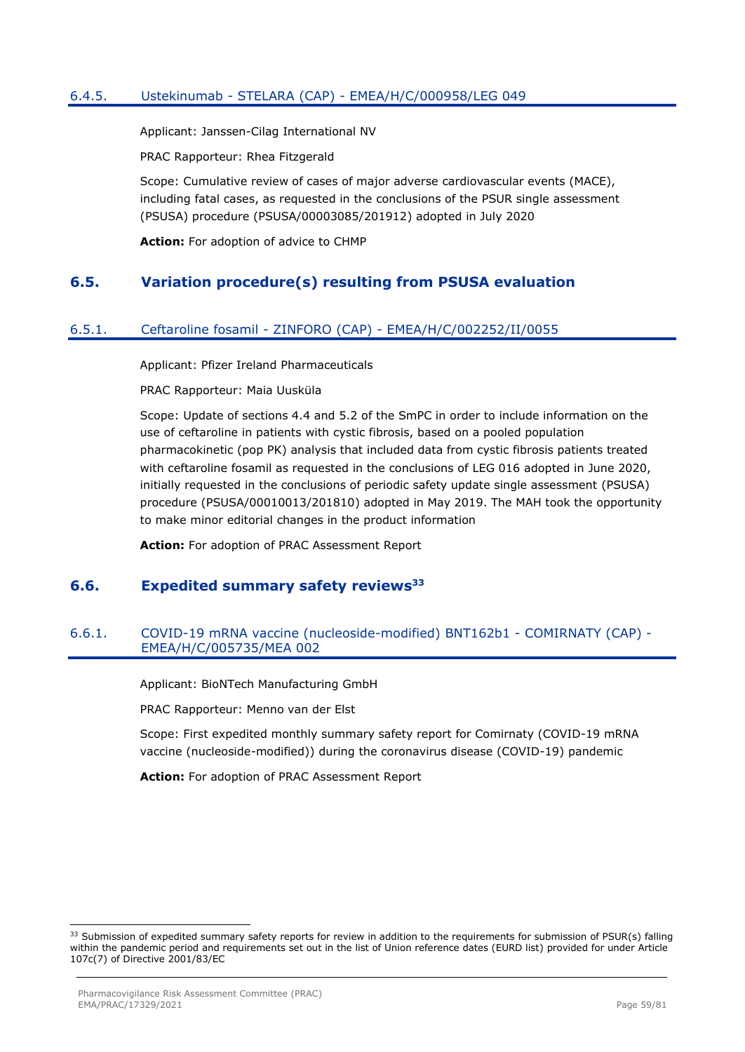## 6.4.5. Ustekinumab - STELARA (CAP) - EMEA/H/C/000958/LEG 049

Applicant: Janssen-Cilag International NV

PRAC Rapporteur: Rhea Fitzgerald

Scope: Cumulative review of cases of major adverse cardiovascular events (MACE), including fatal cases, as requested in the conclusions of the PSUR single assessment (PSUSA) procedure (PSUSA/00003085/201912) adopted in July 2020

**Action:** For adoption of advice to CHMP

# **6.5. Variation procedure(s) resulting from PSUSA evaluation**

## 6.5.1. Ceftaroline fosamil - ZINFORO (CAP) - EMEA/H/C/002252/II/0055

Applicant: Pfizer Ireland Pharmaceuticals

PRAC Rapporteur: Maia Uusküla

Scope: Update of sections 4.4 and 5.2 of the SmPC in order to include information on the use of ceftaroline in patients with cystic fibrosis, based on a pooled population pharmacokinetic (pop PK) analysis that included data from cystic fibrosis patients treated with ceftaroline fosamil as requested in the conclusions of LEG 016 adopted in June 2020, initially requested in the conclusions of periodic safety update single assessment (PSUSA) procedure (PSUSA/00010013/201810) adopted in May 2019. The MAH took the opportunity to make minor editorial changes in the product information

**Action:** For adoption of PRAC Assessment Report

# **6.6. Expedited summary safety reviews<sup>33</sup>**

## 6.6.1. COVID-19 mRNA vaccine (nucleoside-modified) BNT162b1 - COMIRNATY (CAP) - EMEA/H/C/005735/MEA 002

Applicant: BioNTech Manufacturing GmbH

PRAC Rapporteur: Menno van der Elst

Scope: First expedited monthly summary safety report for Comirnaty (COVID-19 mRNA vaccine (nucleoside-modified)) during the coronavirus disease (COVID-19) pandemic

**Action:** For adoption of PRAC Assessment Report

<sup>33</sup> Submission of expedited summary safety reports for review in addition to the requirements for submission of PSUR(s) falling within the pandemic period and requirements set out in the list of Union reference dates (EURD list) provided for under Article 107c(7) of Directive 2001/83/EC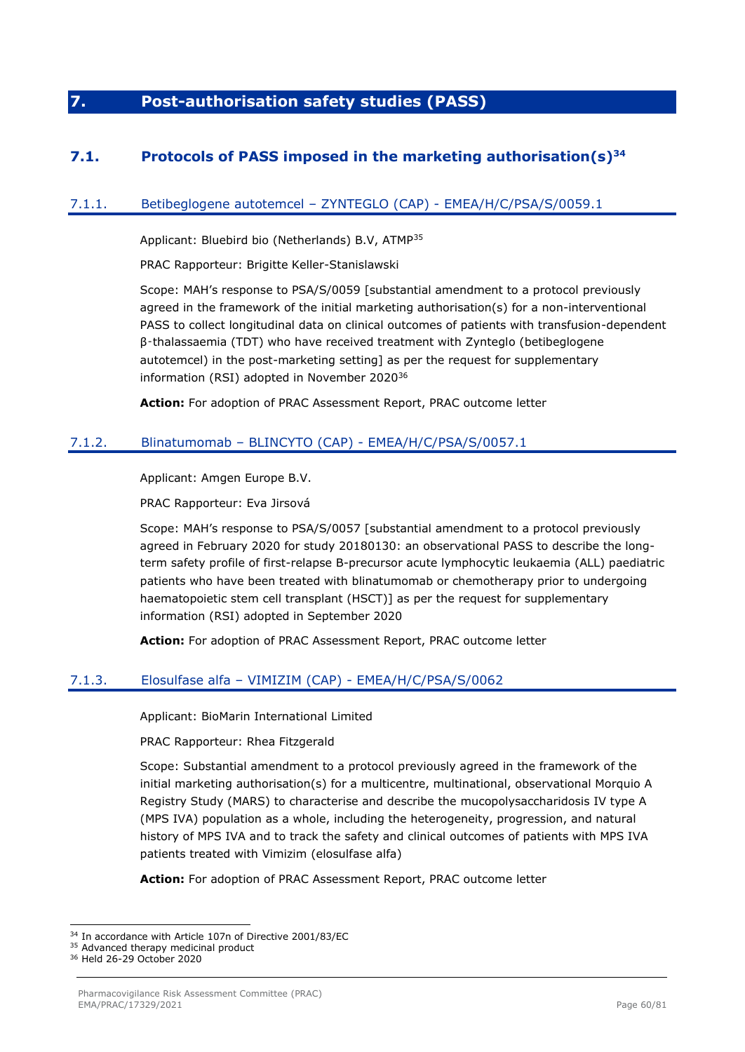# **7. Post-authorisation safety studies (PASS)**

# **7.1. Protocols of PASS imposed in the marketing authorisation(s)<sup>34</sup>**

# 7.1.1. Betibeglogene autotemcel – ZYNTEGLO (CAP) - EMEA/H/C/PSA/S/0059.1

Applicant: Bluebird bio (Netherlands) B.V, ATMP<sup>35</sup>

PRAC Rapporteur: Brigitte Keller-Stanislawski

Scope: MAH's response to PSA/S/0059 [substantial amendment to a protocol previously agreed in the framework of the initial marketing authorisation(s) for a non-interventional PASS to collect longitudinal data on clinical outcomes of patients with transfusion-dependent β‑thalassaemia (TDT) who have received treatment with Zynteglo (betibeglogene autotemcel) in the post-marketing setting] as per the request for supplementary information (RSI) adopted in November 2020<sup>36</sup>

**Action:** For adoption of PRAC Assessment Report, PRAC outcome letter

# 7.1.2. Blinatumomab – BLINCYTO (CAP) - EMEA/H/C/PSA/S/0057.1

Applicant: Amgen Europe B.V.

PRAC Rapporteur: Eva Jirsová

Scope: MAH's response to PSA/S/0057 [substantial amendment to a protocol previously agreed in February 2020 for study 20180130: an observational PASS to describe the longterm safety profile of first-relapse B-precursor acute lymphocytic leukaemia (ALL) paediatric patients who have been treated with blinatumomab or chemotherapy prior to undergoing haematopoietic stem cell transplant (HSCT)] as per the request for supplementary information (RSI) adopted in September 2020

**Action:** For adoption of PRAC Assessment Report, PRAC outcome letter

# 7.1.3. Elosulfase alfa – VIMIZIM (CAP) - EMEA/H/C/PSA/S/0062

Applicant: BioMarin International Limited

PRAC Rapporteur: Rhea Fitzgerald

Scope: Substantial amendment to a protocol previously agreed in the framework of the initial marketing authorisation(s) for a multicentre, multinational, observational Morquio A Registry Study (MARS) to characterise and describe the mucopolysaccharidosis IV type A (MPS IVA) population as a whole, including the heterogeneity, progression, and natural history of MPS IVA and to track the safety and clinical outcomes of patients with MPS IVA patients treated with Vimizim (elosulfase alfa)

**Action:** For adoption of PRAC Assessment Report, PRAC outcome letter

<sup>&</sup>lt;sup>34</sup> In accordance with Article 107n of Directive 2001/83/EC

<sup>35</sup> Advanced therapy medicinal product

<sup>36</sup> Held 26-29 October 2020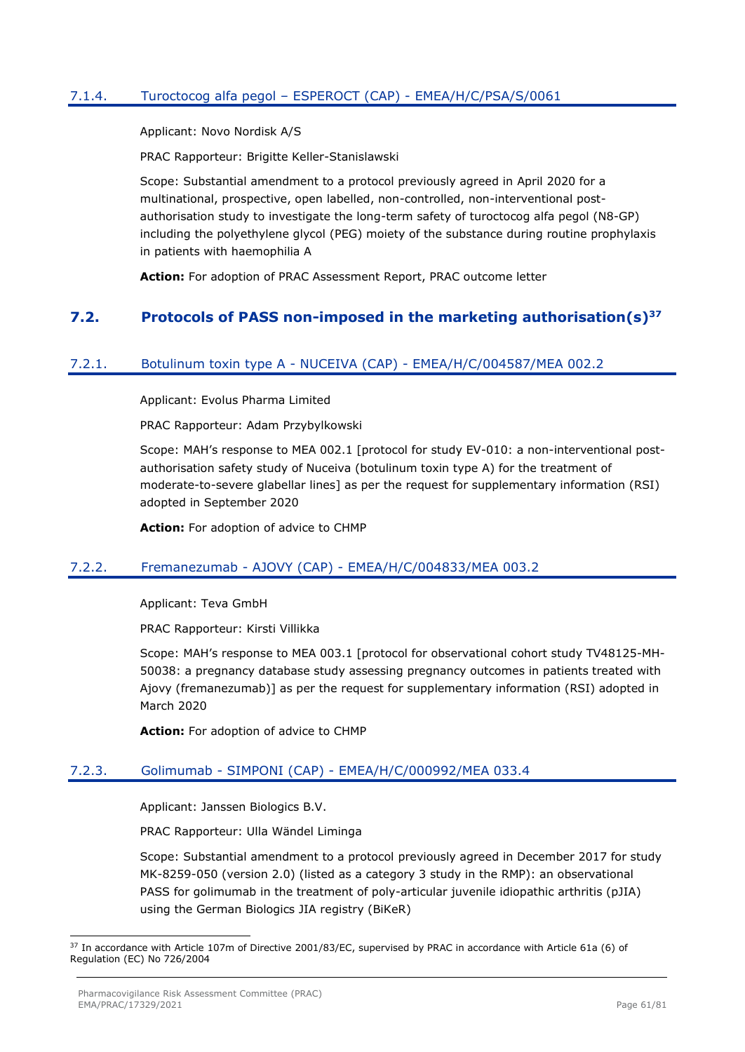# 7.1.4. Turoctocog alfa pegol – ESPEROCT (CAP) - EMEA/H/C/PSA/S/0061

Applicant: Novo Nordisk A/S

PRAC Rapporteur: Brigitte Keller-Stanislawski

Scope: Substantial amendment to a protocol previously agreed in April 2020 for a multinational, prospective, open labelled, non-controlled, non-interventional postauthorisation study to investigate the long-term safety of turoctocog alfa pegol (N8-GP) including the polyethylene glycol (PEG) moiety of the substance during routine prophylaxis in patients with haemophilia A

**Action:** For adoption of PRAC Assessment Report, PRAC outcome letter

# **7.2. Protocols of PASS non-imposed in the marketing authorisation(s)<sup>37</sup>**

## 7.2.1. Botulinum toxin type A - NUCEIVA (CAP) - EMEA/H/C/004587/MEA 002.2

Applicant: Evolus Pharma Limited

PRAC Rapporteur: Adam Przybylkowski

Scope: MAH's response to MEA 002.1 [protocol for study EV-010: a non-interventional postauthorisation safety study of Nuceiva (botulinum toxin type A) for the treatment of moderate-to-severe glabellar lines] as per the request for supplementary information (RSI) adopted in September 2020

**Action:** For adoption of advice to CHMP

## 7.2.2. Fremanezumab - AJOVY (CAP) - EMEA/H/C/004833/MEA 003.2

Applicant: Teva GmbH

PRAC Rapporteur: Kirsti Villikka

Scope: MAH's response to MEA 003.1 [protocol for observational cohort study TV48125-MH-50038: a pregnancy database study assessing pregnancy outcomes in patients treated with Ajovy (fremanezumab)] as per the request for supplementary information (RSI) adopted in March 2020

**Action:** For adoption of advice to CHMP

# 7.2.3. Golimumab - SIMPONI (CAP) - EMEA/H/C/000992/MEA 033.4

Applicant: Janssen Biologics B.V.

PRAC Rapporteur: Ulla Wändel Liminga

Scope: Substantial amendment to a protocol previously agreed in December 2017 for study MK-8259-050 (version 2.0) (listed as a category 3 study in the RMP): an observational PASS for golimumab in the treatment of poly-articular juvenile idiopathic arthritis (pJIA) using the German Biologics JIA registry (BiKeR)

<sup>37</sup> In accordance with Article 107m of Directive 2001/83/EC, supervised by PRAC in accordance with Article 61a (6) of Regulation (EC) No 726/2004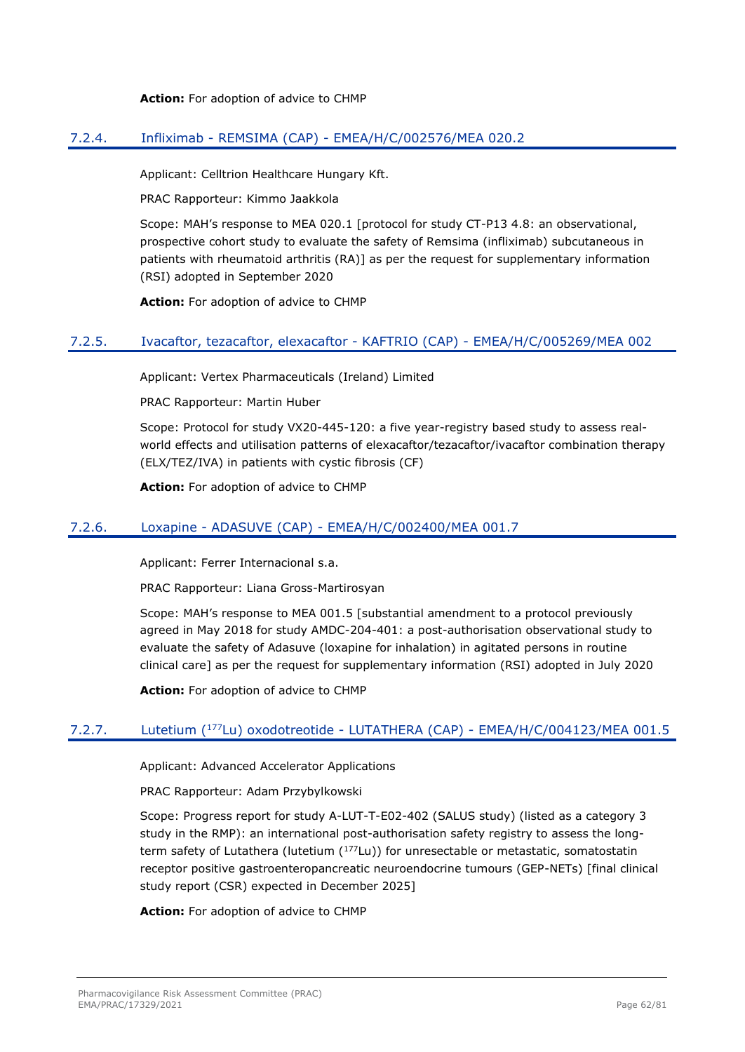**Action:** For adoption of advice to CHMP

## 7.2.4. Infliximab - REMSIMA (CAP) - EMEA/H/C/002576/MEA 020.2

Applicant: Celltrion Healthcare Hungary Kft.

PRAC Rapporteur: Kimmo Jaakkola

Scope: MAH's response to MEA 020.1 [protocol for study CT-P13 4.8: an observational, prospective cohort study to evaluate the safety of Remsima (infliximab) subcutaneous in patients with rheumatoid arthritis (RA)] as per the request for supplementary information (RSI) adopted in September 2020

**Action:** For adoption of advice to CHMP

## 7.2.5. Ivacaftor, tezacaftor, elexacaftor - KAFTRIO (CAP) - EMEA/H/C/005269/MEA 002

Applicant: Vertex Pharmaceuticals (Ireland) Limited

PRAC Rapporteur: Martin Huber

Scope: Protocol for study VX20-445-120: a five year-registry based study to assess realworld effects and utilisation patterns of elexacaftor/tezacaftor/ivacaftor combination therapy (ELX/TEZ/IVA) in patients with cystic fibrosis (CF)

**Action:** For adoption of advice to CHMP

## 7.2.6. Loxapine - ADASUVE (CAP) - EMEA/H/C/002400/MEA 001.7

Applicant: Ferrer Internacional s.a.

PRAC Rapporteur: Liana Gross-Martirosyan

Scope: MAH's response to MEA 001.5 [substantial amendment to a protocol previously agreed in May 2018 for study AMDC-204-401: a post-authorisation observational study to evaluate the safety of Adasuve (loxapine for inhalation) in agitated persons in routine clinical care] as per the request for supplementary information (RSI) adopted in July 2020

**Action:** For adoption of advice to CHMP

# 7.2.7. Lutetium (<sup>177</sup>Lu) oxodotreotide - LUTATHERA (CAP) - EMEA/H/C/004123/MEA 001.5

Applicant: Advanced Accelerator Applications

PRAC Rapporteur: Adam Przybylkowski

Scope: Progress report for study A-LUT-T-E02-402 (SALUS study) (listed as a category 3 study in the RMP): an international post-authorisation safety registry to assess the longterm safety of Lutathera (lutetium (177Lu)) for unresectable or metastatic, somatostatin receptor positive gastroenteropancreatic neuroendocrine tumours (GEP-NETs) [final clinical study report (CSR) expected in December 2025]

**Action:** For adoption of advice to CHMP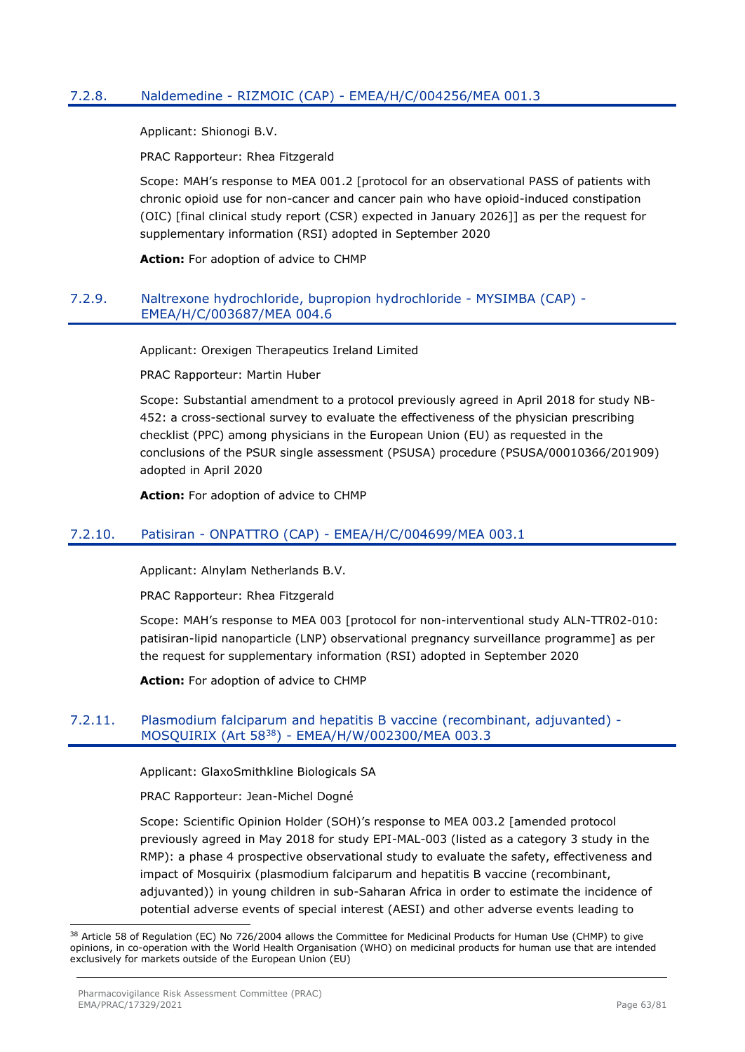# 7.2.8. Naldemedine - RIZMOIC (CAP) - EMEA/H/C/004256/MEA 001.3

Applicant: Shionogi B.V.

PRAC Rapporteur: Rhea Fitzgerald

Scope: MAH's response to MEA 001.2 [protocol for an observational PASS of patients with chronic opioid use for non-cancer and cancer pain who have opioid-induced constipation (OIC) [final clinical study report (CSR) expected in January 2026]] as per the request for supplementary information (RSI) adopted in September 2020

**Action:** For adoption of advice to CHMP

## 7.2.9. Naltrexone hydrochloride, bupropion hydrochloride - MYSIMBA (CAP) - EMEA/H/C/003687/MEA 004.6

Applicant: Orexigen Therapeutics Ireland Limited

PRAC Rapporteur: Martin Huber

Scope: Substantial amendment to a protocol previously agreed in April 2018 for study NB-452: a cross-sectional survey to evaluate the effectiveness of the physician prescribing checklist (PPC) among physicians in the European Union (EU) as requested in the conclusions of the PSUR single assessment (PSUSA) procedure (PSUSA/00010366/201909) adopted in April 2020

**Action:** For adoption of advice to CHMP

# 7.2.10. Patisiran - ONPATTRO (CAP) - EMEA/H/C/004699/MEA 003.1

Applicant: Alnylam Netherlands B.V.

PRAC Rapporteur: Rhea Fitzgerald

Scope: MAH's response to MEA 003 [protocol for non-interventional study ALN-TTR02-010: patisiran-lipid nanoparticle (LNP) observational pregnancy surveillance programme] as per the request for supplementary information (RSI) adopted in September 2020

**Action:** For adoption of advice to CHMP

## 7.2.11. Plasmodium falciparum and hepatitis B vaccine (recombinant, adjuvanted) - MOSQUIRIX (Art 58<sup>38</sup>) - EMEA/H/W/002300/MEA 003.3

Applicant: GlaxoSmithkline Biologicals SA

PRAC Rapporteur: Jean-Michel Dogné

Scope: Scientific Opinion Holder (SOH)'s response to MEA 003.2 [amended protocol previously agreed in May 2018 for study EPI-MAL-003 (listed as a category 3 study in the RMP): a phase 4 prospective observational study to evaluate the safety, effectiveness and impact of Mosquirix (plasmodium falciparum and hepatitis B vaccine (recombinant, adjuvanted)) in young children in sub-Saharan Africa in order to estimate the incidence of potential adverse events of special interest (AESI) and other adverse events leading to

<sup>38</sup> Article 58 of Regulation (EC) No 726/2004 allows the Committee for Medicinal Products for Human Use (CHMP) to give opinions, in co-operation with the World Health Organisation (WHO) on medicinal products for human use that are intended exclusively for markets outside of the European Union (EU)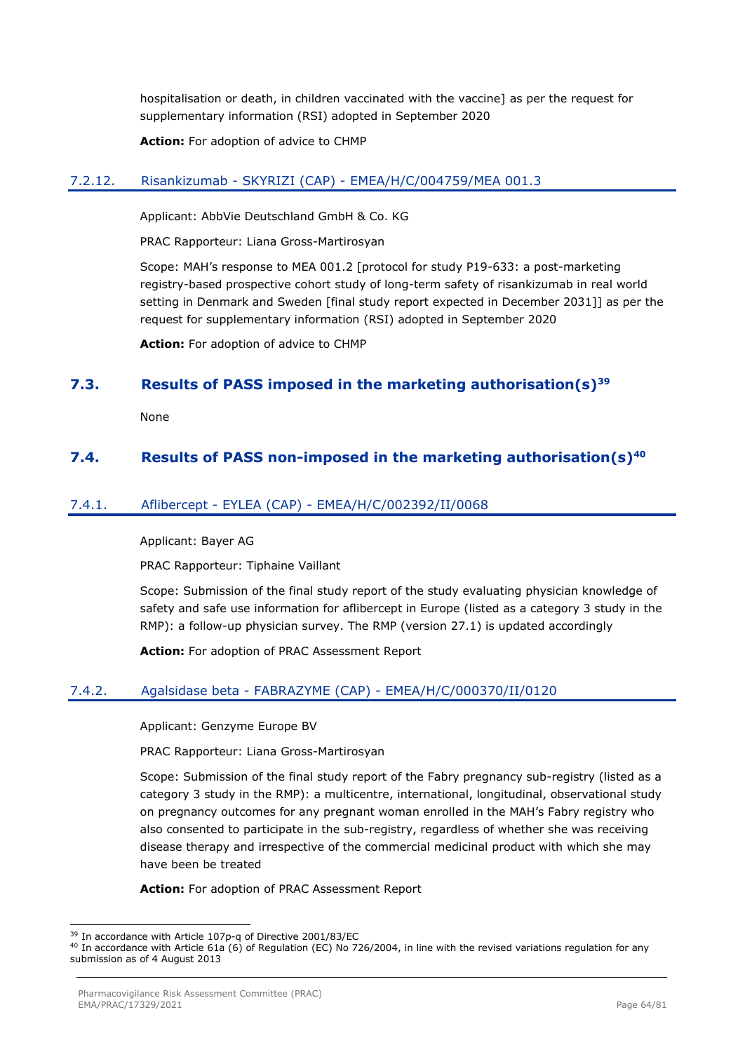hospitalisation or death, in children vaccinated with the vaccine] as per the request for supplementary information (RSI) adopted in September 2020

**Action:** For adoption of advice to CHMP

## 7.2.12. Risankizumab - SKYRIZI (CAP) - EMEA/H/C/004759/MEA 001.3

Applicant: AbbVie Deutschland GmbH & Co. KG

PRAC Rapporteur: Liana Gross-Martirosyan

Scope: MAH's response to MEA 001.2 [protocol for study P19-633: a post-marketing registry-based prospective cohort study of long-term safety of risankizumab in real world setting in Denmark and Sweden [final study report expected in December 2031]] as per the request for supplementary information (RSI) adopted in September 2020

**Action:** For adoption of advice to CHMP

# **7.3. Results of PASS imposed in the marketing authorisation(s)<sup>39</sup>**

None

# **7.4. Results of PASS non-imposed in the marketing authorisation(s)<sup>40</sup>**

## 7.4.1. Aflibercept - EYLEA (CAP) - EMEA/H/C/002392/II/0068

Applicant: Bayer AG

PRAC Rapporteur: Tiphaine Vaillant

Scope: Submission of the final study report of the study evaluating physician knowledge of safety and safe use information for aflibercept in Europe (listed as a category 3 study in the RMP): a follow-up physician survey. The RMP (version 27.1) is updated accordingly

**Action:** For adoption of PRAC Assessment Report

## 7.4.2. Agalsidase beta - FABRAZYME (CAP) - EMEA/H/C/000370/II/0120

Applicant: Genzyme Europe BV

PRAC Rapporteur: Liana Gross-Martirosyan

Scope: Submission of the final study report of the Fabry pregnancy sub-registry (listed as a category 3 study in the RMP): a multicentre, international, longitudinal, observational study on pregnancy outcomes for any pregnant woman enrolled in the MAH's Fabry registry who also consented to participate in the sub-registry, regardless of whether she was receiving disease therapy and irrespective of the commercial medicinal product with which she may have been be treated

**Action:** For adoption of PRAC Assessment Report

<sup>39</sup> In accordance with Article 107p-q of Directive 2001/83/EC

<sup>40</sup> In accordance with Article 61a (6) of Regulation (EC) No 726/2004, in line with the revised variations regulation for any submission as of 4 August 2013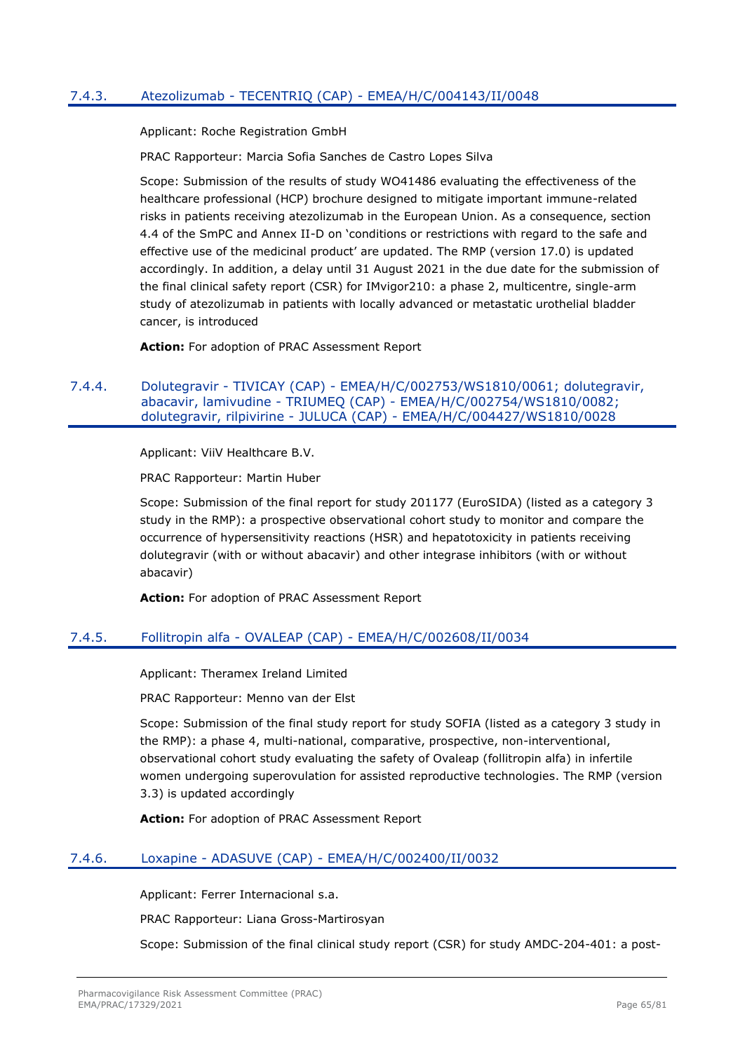# 7.4.3. Atezolizumab - TECENTRIQ (CAP) - EMEA/H/C/004143/II/0048

Applicant: Roche Registration GmbH

PRAC Rapporteur: Marcia Sofia Sanches de Castro Lopes Silva

Scope: Submission of the results of study WO41486 evaluating the effectiveness of the healthcare professional (HCP) brochure designed to mitigate important immune-related risks in patients receiving atezolizumab in the European Union. As a consequence, section 4.4 of the SmPC and Annex II-D on 'conditions or restrictions with regard to the safe and effective use of the medicinal product' are updated. The RMP (version 17.0) is updated accordingly. In addition, a delay until 31 August 2021 in the due date for the submission of the final clinical safety report (CSR) for IMvigor210: a phase 2, multicentre, single-arm study of atezolizumab in patients with locally advanced or metastatic urothelial bladder cancer, is introduced

**Action:** For adoption of PRAC Assessment Report

#### 7.4.4. Dolutegravir - TIVICAY (CAP) - EMEA/H/C/002753/WS1810/0061; dolutegravir, abacavir, lamivudine - TRIUMEQ (CAP) - EMEA/H/C/002754/WS1810/0082; dolutegravir, rilpivirine - JULUCA (CAP) - EMEA/H/C/004427/WS1810/0028

Applicant: ViiV Healthcare B.V.

PRAC Rapporteur: Martin Huber

Scope: Submission of the final report for study 201177 (EuroSIDA) (listed as a category 3 study in the RMP): a prospective observational cohort study to monitor and compare the occurrence of hypersensitivity reactions (HSR) and hepatotoxicity in patients receiving dolutegravir (with or without abacavir) and other integrase inhibitors (with or without abacavir)

**Action:** For adoption of PRAC Assessment Report

## 7.4.5. Follitropin alfa - OVALEAP (CAP) - EMEA/H/C/002608/II/0034

Applicant: Theramex Ireland Limited

PRAC Rapporteur: Menno van der Elst

Scope: Submission of the final study report for study SOFIA (listed as a category 3 study in the RMP): a phase 4, multi-national, comparative, prospective, non-interventional, observational cohort study evaluating the safety of Ovaleap (follitropin alfa) in infertile women undergoing superovulation for assisted reproductive technologies. The RMP (version 3.3) is updated accordingly

**Action:** For adoption of PRAC Assessment Report

## 7.4.6. Loxapine - ADASUVE (CAP) - EMEA/H/C/002400/II/0032

Applicant: Ferrer Internacional s.a.

PRAC Rapporteur: Liana Gross-Martirosyan

Scope: Submission of the final clinical study report (CSR) for study AMDC-204-401: a post-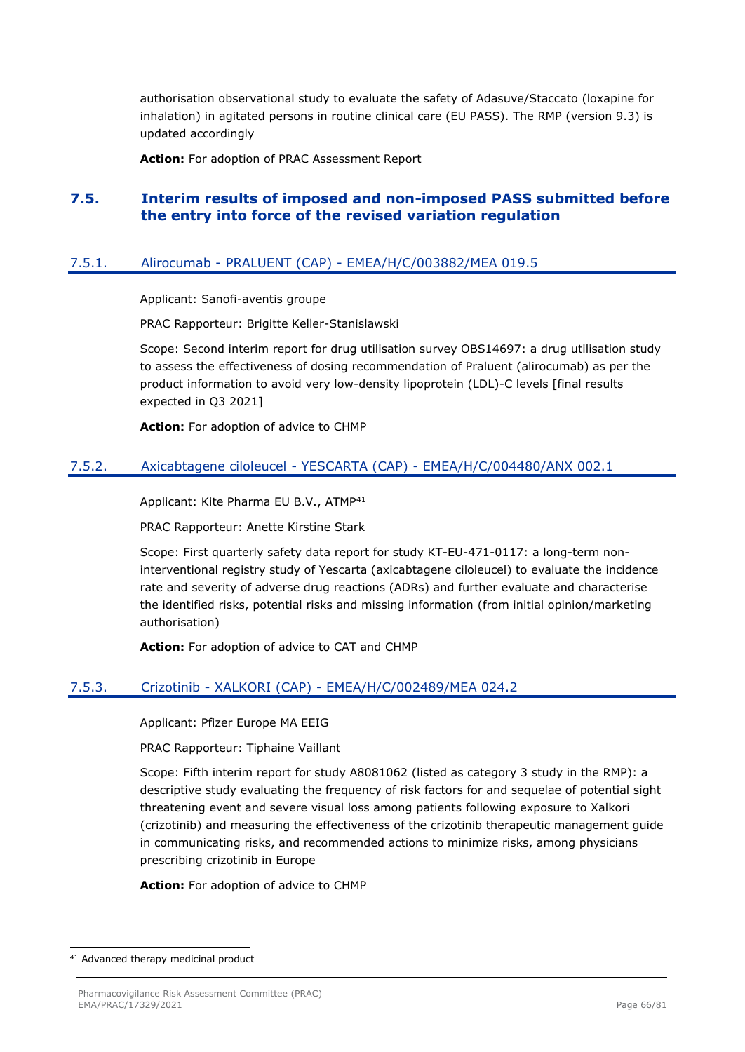authorisation observational study to evaluate the safety of Adasuve/Staccato (loxapine for inhalation) in agitated persons in routine clinical care (EU PASS). The RMP (version 9.3) is updated accordingly

**Action:** For adoption of PRAC Assessment Report

# **7.5. Interim results of imposed and non-imposed PASS submitted before the entry into force of the revised variation regulation**

#### 7.5.1. Alirocumab - PRALUENT (CAP) - EMEA/H/C/003882/MEA 019.5

Applicant: Sanofi-aventis groupe

PRAC Rapporteur: Brigitte Keller-Stanislawski

Scope: Second interim report for drug utilisation survey OBS14697: a drug utilisation study to assess the effectiveness of dosing recommendation of Praluent (alirocumab) as per the product information to avoid very low-density lipoprotein (LDL)-C levels [final results expected in Q3 2021]

**Action:** For adoption of advice to CHMP

#### 7.5.2. Axicabtagene ciloleucel - YESCARTA (CAP) - EMEA/H/C/004480/ANX 002.1

Applicant: Kite Pharma EU B.V., ATMP<sup>41</sup>

PRAC Rapporteur: Anette Kirstine Stark

Scope: First quarterly safety data report for study KT-EU-471-0117: a long-term noninterventional registry study of Yescarta (axicabtagene ciloleucel) to evaluate the incidence rate and severity of adverse drug reactions (ADRs) and further evaluate and characterise the identified risks, potential risks and missing information (from initial opinion/marketing authorisation)

**Action:** For adoption of advice to CAT and CHMP

## 7.5.3. Crizotinib - XALKORI (CAP) - EMEA/H/C/002489/MEA 024.2

Applicant: Pfizer Europe MA EEIG

PRAC Rapporteur: Tiphaine Vaillant

Scope: Fifth interim report for study A8081062 (listed as category 3 study in the RMP): a descriptive study evaluating the frequency of risk factors for and sequelae of potential sight threatening event and severe visual loss among patients following exposure to Xalkori (crizotinib) and measuring the effectiveness of the crizotinib therapeutic management guide in communicating risks, and recommended actions to minimize risks, among physicians prescribing crizotinib in Europe

**Action:** For adoption of advice to CHMP

<sup>41</sup> Advanced therapy medicinal product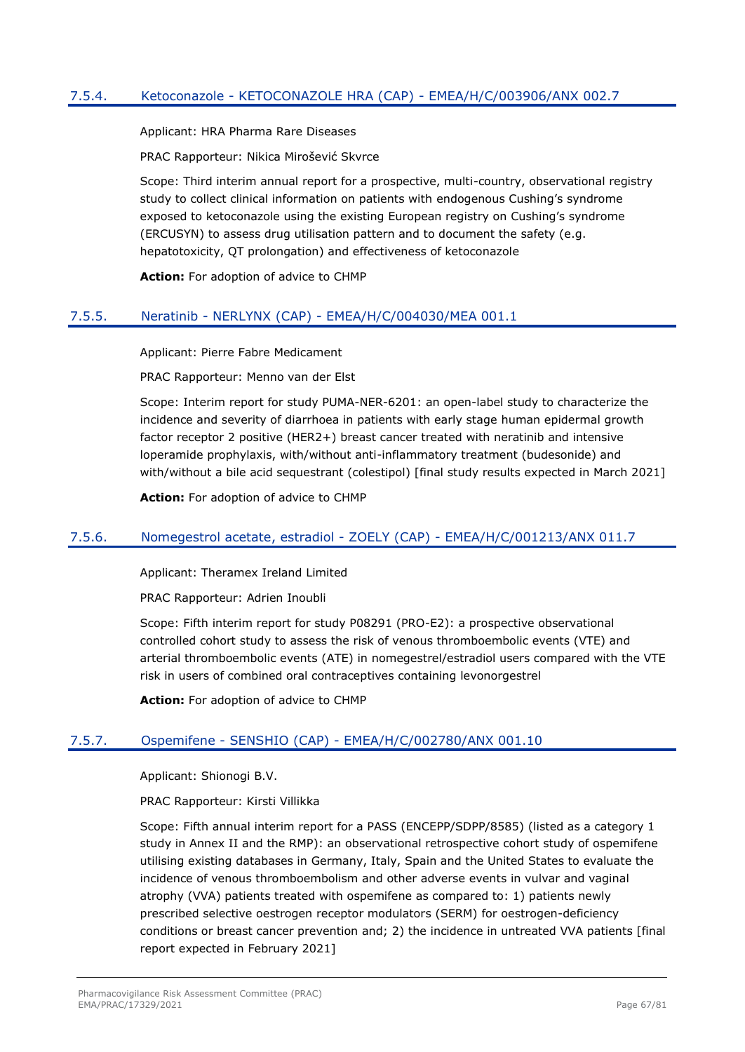## 7.5.4. Ketoconazole - KETOCONAZOLE HRA (CAP) - EMEA/H/C/003906/ANX 002.7

Applicant: HRA Pharma Rare Diseases

PRAC Rapporteur: Nikica Mirošević Skvrce

Scope: Third interim annual report for a prospective, multi-country, observational registry study to collect clinical information on patients with endogenous Cushing's syndrome exposed to ketoconazole using the existing European registry on Cushing's syndrome (ERCUSYN) to assess drug utilisation pattern and to document the safety (e.g. hepatotoxicity, QT prolongation) and effectiveness of ketoconazole

**Action:** For adoption of advice to CHMP

## 7.5.5. Neratinib - NERLYNX (CAP) - EMEA/H/C/004030/MEA 001.1

Applicant: Pierre Fabre Medicament

PRAC Rapporteur: Menno van der Elst

Scope: Interim report for study PUMA-NER-6201: an open-label study to characterize the incidence and severity of diarrhoea in patients with early stage human epidermal growth factor receptor 2 positive (HER2+) breast cancer treated with neratinib and intensive loperamide prophylaxis, with/without anti-inflammatory treatment (budesonide) and with/without a bile acid sequestrant (colestipol) [final study results expected in March 2021]

**Action:** For adoption of advice to CHMP

#### 7.5.6. Nomegestrol acetate, estradiol - ZOELY (CAP) - EMEA/H/C/001213/ANX 011.7

Applicant: Theramex Ireland Limited

PRAC Rapporteur: Adrien Inoubli

Scope: Fifth interim report for study P08291 (PRO-E2): a prospective observational controlled cohort study to assess the risk of venous thromboembolic events (VTE) and arterial thromboembolic events (ATE) in nomegestrel/estradiol users compared with the VTE risk in users of combined oral contraceptives containing levonorgestrel

**Action:** For adoption of advice to CHMP

## 7.5.7. Ospemifene - SENSHIO (CAP) - EMEA/H/C/002780/ANX 001.10

Applicant: Shionogi B.V.

PRAC Rapporteur: Kirsti Villikka

Scope: Fifth annual interim report for a PASS (ENCEPP/SDPP/8585) (listed as a category 1 study in Annex II and the RMP): an observational retrospective cohort study of ospemifene utilising existing databases in Germany, Italy, Spain and the United States to evaluate the incidence of venous thromboembolism and other adverse events in vulvar and vaginal atrophy (VVA) patients treated with ospemifene as compared to: 1) patients newly prescribed selective oestrogen receptor modulators (SERM) for oestrogen-deficiency conditions or breast cancer prevention and; 2) the incidence in untreated VVA patients [final report expected in February 2021]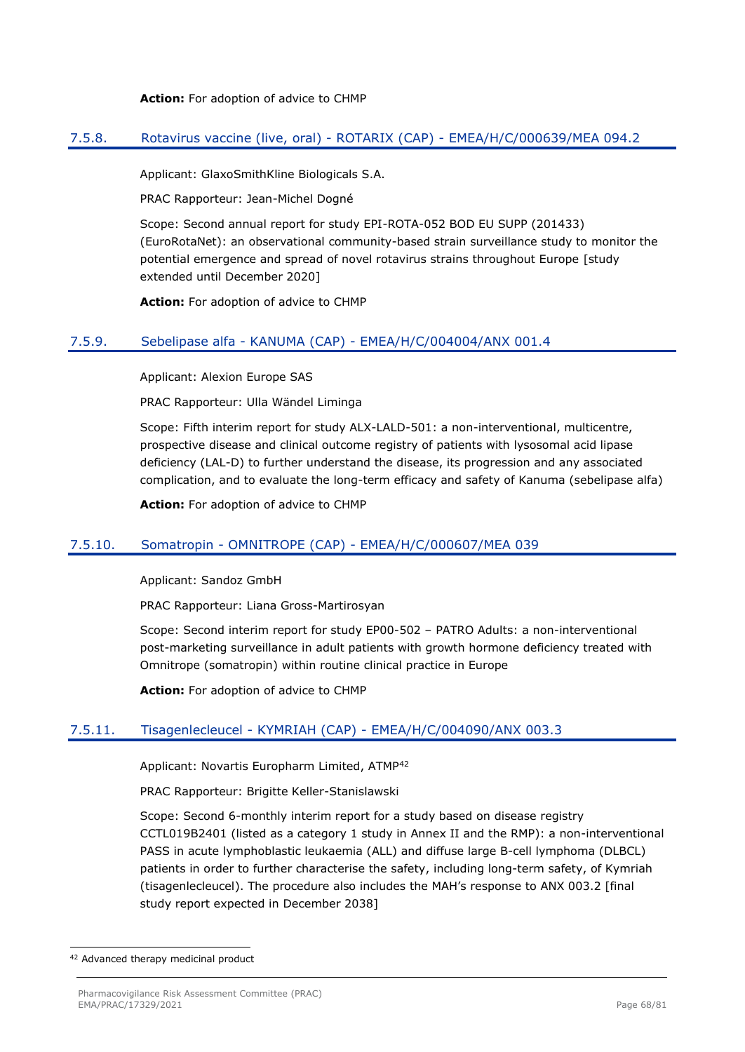#### **Action:** For adoption of advice to CHMP

## 7.5.8. Rotavirus vaccine (live, oral) - ROTARIX (CAP) - EMEA/H/C/000639/MEA 094.2

Applicant: GlaxoSmithKline Biologicals S.A.

PRAC Rapporteur: Jean-Michel Dogné

Scope: Second annual report for study EPI-ROTA-052 BOD EU SUPP (201433) (EuroRotaNet): an observational community-based strain surveillance study to monitor the potential emergence and spread of novel rotavirus strains throughout Europe [study extended until December 2020]

**Action:** For adoption of advice to CHMP

## 7.5.9. Sebelipase alfa - KANUMA (CAP) - EMEA/H/C/004004/ANX 001.4

Applicant: Alexion Europe SAS

PRAC Rapporteur: Ulla Wändel Liminga

Scope: Fifth interim report for study ALX-LALD-501: a non-interventional, multicentre, prospective disease and clinical outcome registry of patients with lysosomal acid lipase deficiency (LAL-D) to further understand the disease, its progression and any associated complication, and to evaluate the long-term efficacy and safety of Kanuma (sebelipase alfa)

**Action:** For adoption of advice to CHMP

## 7.5.10. Somatropin - OMNITROPE (CAP) - EMEA/H/C/000607/MEA 039

Applicant: Sandoz GmbH

PRAC Rapporteur: Liana Gross-Martirosyan

Scope: Second interim report for study EP00-502 – PATRO Adults: a non-interventional post-marketing surveillance in adult patients with growth hormone deficiency treated with Omnitrope (somatropin) within routine clinical practice in Europe

**Action:** For adoption of advice to CHMP

# 7.5.11. Tisagenlecleucel - KYMRIAH (CAP) - EMEA/H/C/004090/ANX 003.3

Applicant: Novartis Europharm Limited, ATMP<sup>42</sup>

PRAC Rapporteur: Brigitte Keller-Stanislawski

Scope: Second 6-monthly interim report for a study based on disease registry CCTL019B2401 (listed as a category 1 study in Annex II and the RMP): a non-interventional PASS in acute lymphoblastic leukaemia (ALL) and diffuse large B-cell lymphoma (DLBCL) patients in order to further characterise the safety, including long-term safety, of Kymriah (tisagenlecleucel). The procedure also includes the MAH's response to ANX 003.2 [final study report expected in December 2038]

<sup>42</sup> Advanced therapy medicinal product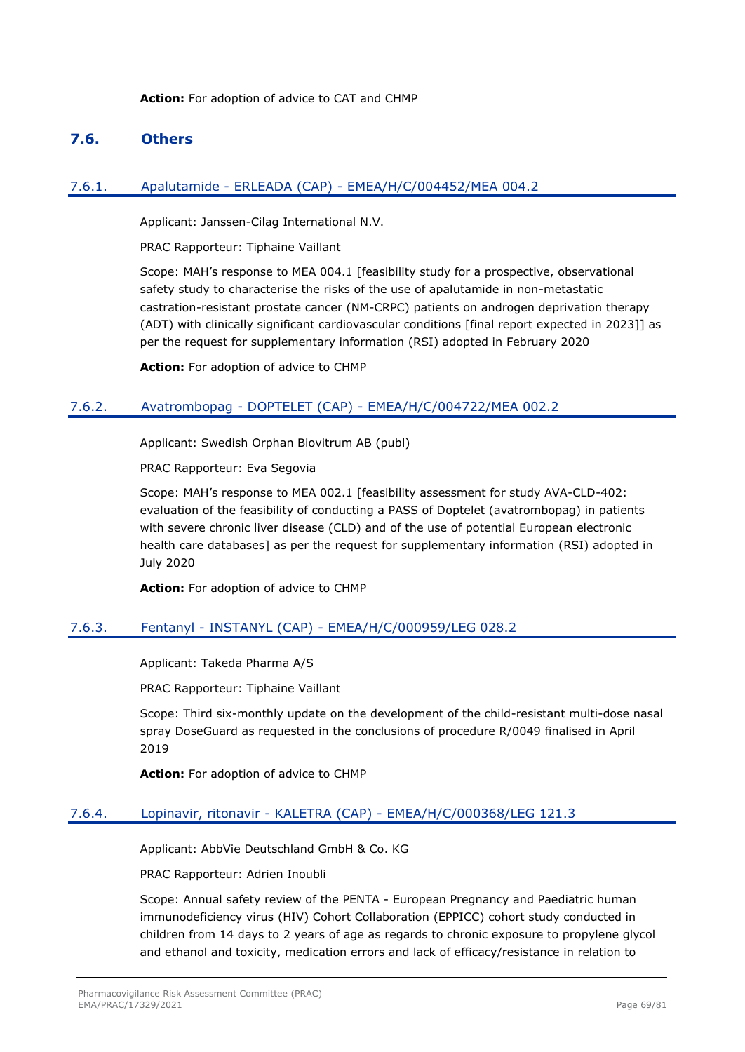## **7.6. Others**

## 7.6.1. Apalutamide - ERLEADA (CAP) - EMEA/H/C/004452/MEA 004.2

Applicant: Janssen-Cilag International N.V.

PRAC Rapporteur: Tiphaine Vaillant

Scope: MAH's response to MEA 004.1 [feasibility study for a prospective, observational safety study to characterise the risks of the use of apalutamide in non-metastatic castration-resistant prostate cancer (NM-CRPC) patients on androgen deprivation therapy (ADT) with clinically significant cardiovascular conditions [final report expected in 2023]] as per the request for supplementary information (RSI) adopted in February 2020

**Action:** For adoption of advice to CHMP

## 7.6.2. Avatrombopag - DOPTELET (CAP) - EMEA/H/C/004722/MEA 002.2

Applicant: Swedish Orphan Biovitrum AB (publ)

PRAC Rapporteur: Eva Segovia

Scope: MAH's response to MEA 002.1 [feasibility assessment for study AVA-CLD-402: evaluation of the feasibility of conducting a PASS of Doptelet (avatrombopag) in patients with severe chronic liver disease (CLD) and of the use of potential European electronic health care databases] as per the request for supplementary information (RSI) adopted in July 2020

**Action:** For adoption of advice to CHMP

# 7.6.3. Fentanyl - INSTANYL (CAP) - EMEA/H/C/000959/LEG 028.2

Applicant: Takeda Pharma A/S

PRAC Rapporteur: Tiphaine Vaillant

Scope: Third six-monthly update on the development of the child-resistant multi-dose nasal spray DoseGuard as requested in the conclusions of procedure R/0049 finalised in April 2019

**Action:** For adoption of advice to CHMP

## 7.6.4. Lopinavir, ritonavir - KALETRA (CAP) - EMEA/H/C/000368/LEG 121.3

Applicant: AbbVie Deutschland GmbH & Co. KG

PRAC Rapporteur: Adrien Inoubli

Scope: Annual safety review of the PENTA - European Pregnancy and Paediatric human immunodeficiency virus (HIV) Cohort Collaboration (EPPICC) cohort study conducted in children from 14 days to 2 years of age as regards to chronic exposure to propylene glycol and ethanol and toxicity, medication errors and lack of efficacy/resistance in relation to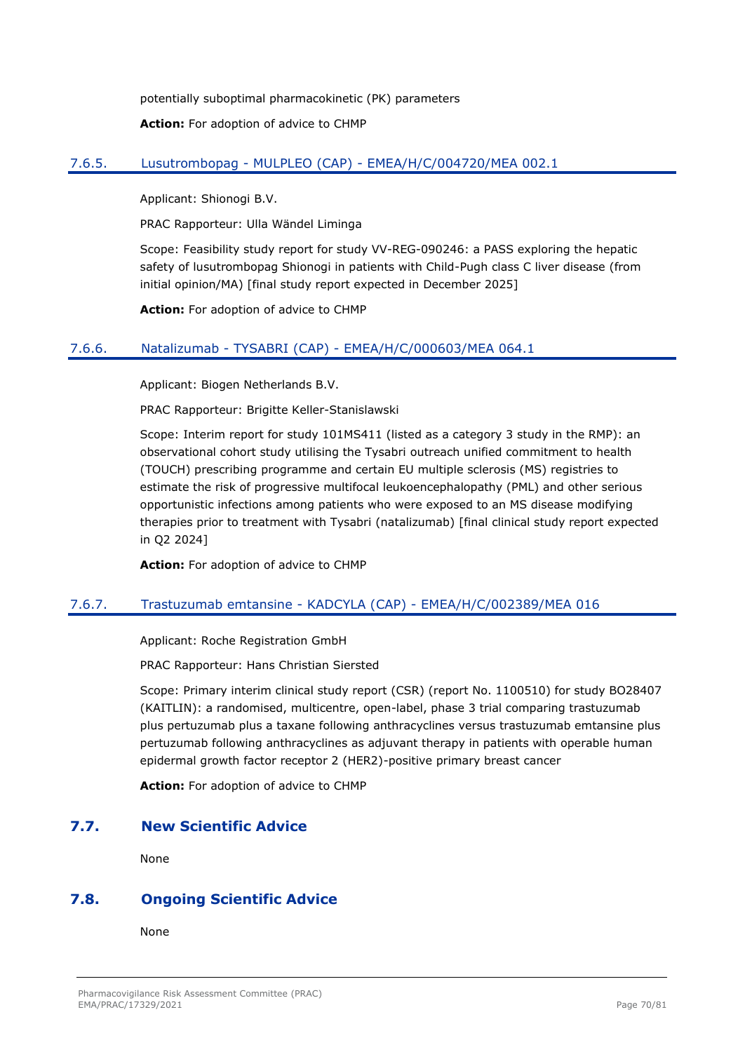potentially suboptimal pharmacokinetic (PK) parameters

**Action:** For adoption of advice to CHMP

# 7.6.5. Lusutrombopag - MULPLEO (CAP) - EMEA/H/C/004720/MEA 002.1

Applicant: Shionogi B.V.

PRAC Rapporteur: Ulla Wändel Liminga

Scope: Feasibility study report for study VV-REG-090246: a PASS exploring the hepatic safety of lusutrombopag Shionogi in patients with Child-Pugh class C liver disease (from initial opinion/MA) [final study report expected in December 2025]

**Action:** For adoption of advice to CHMP

## 7.6.6. Natalizumab - TYSABRI (CAP) - EMEA/H/C/000603/MEA 064.1

Applicant: Biogen Netherlands B.V.

PRAC Rapporteur: Brigitte Keller-Stanislawski

Scope: Interim report for study 101MS411 (listed as a category 3 study in the RMP): an observational cohort study utilising the Tysabri outreach unified commitment to health (TOUCH) prescribing programme and certain EU multiple sclerosis (MS) registries to estimate the risk of progressive multifocal leukoencephalopathy (PML) and other serious opportunistic infections among patients who were exposed to an MS disease modifying therapies prior to treatment with Tysabri (natalizumab) [final clinical study report expected in Q2 2024]

**Action:** For adoption of advice to CHMP

# 7.6.7. Trastuzumab emtansine - KADCYLA (CAP) - EMEA/H/C/002389/MEA 016

Applicant: Roche Registration GmbH

PRAC Rapporteur: Hans Christian Siersted

Scope: Primary interim clinical study report (CSR) (report No. 1100510) for study BO28407 (KAITLIN): a randomised, multicentre, open-label, phase 3 trial comparing trastuzumab plus pertuzumab plus a taxane following anthracyclines versus trastuzumab emtansine plus pertuzumab following anthracyclines as adjuvant therapy in patients with operable human epidermal growth factor receptor 2 (HER2)-positive primary breast cancer

**Action:** For adoption of advice to CHMP

# **7.7. New Scientific Advice**

None

# **7.8. Ongoing Scientific Advice**

None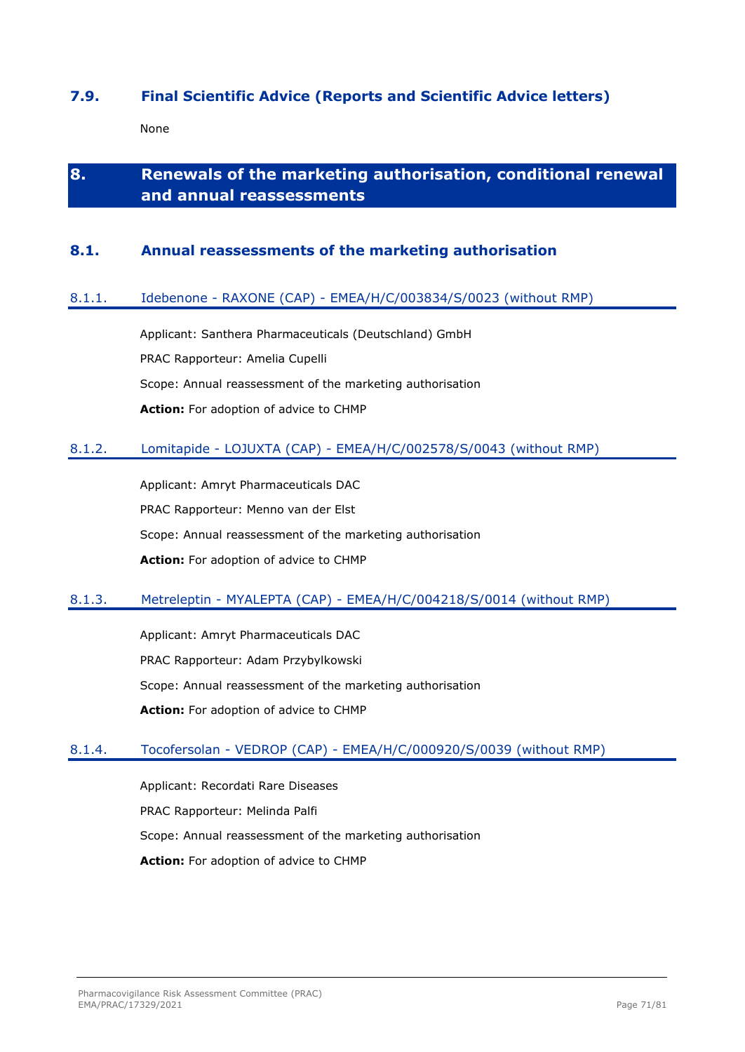# **7.9. Final Scientific Advice (Reports and Scientific Advice letters)**

None

# **8. Renewals of the marketing authorisation, conditional renewal and annual reassessments**

# **8.1. Annual reassessments of the marketing authorisation**

## 8.1.1. Idebenone - RAXONE (CAP) - EMEA/H/C/003834/S/0023 (without RMP)

Applicant: Santhera Pharmaceuticals (Deutschland) GmbH PRAC Rapporteur: Amelia Cupelli Scope: Annual reassessment of the marketing authorisation **Action:** For adoption of advice to CHMP

## 8.1.2. Lomitapide - LOJUXTA (CAP) - EMEA/H/C/002578/S/0043 (without RMP)

Applicant: Amryt Pharmaceuticals DAC PRAC Rapporteur: Menno van der Elst Scope: Annual reassessment of the marketing authorisation **Action:** For adoption of advice to CHMP

# 8.1.3. Metreleptin - MYALEPTA (CAP) - EMEA/H/C/004218/S/0014 (without RMP)

Applicant: Amryt Pharmaceuticals DAC PRAC Rapporteur: Adam Przybylkowski Scope: Annual reassessment of the marketing authorisation **Action:** For adoption of advice to CHMP

## 8.1.4. Tocofersolan - VEDROP (CAP) - EMEA/H/C/000920/S/0039 (without RMP)

Applicant: Recordati Rare Diseases PRAC Rapporteur: Melinda Palfi Scope: Annual reassessment of the marketing authorisation **Action:** For adoption of advice to CHMP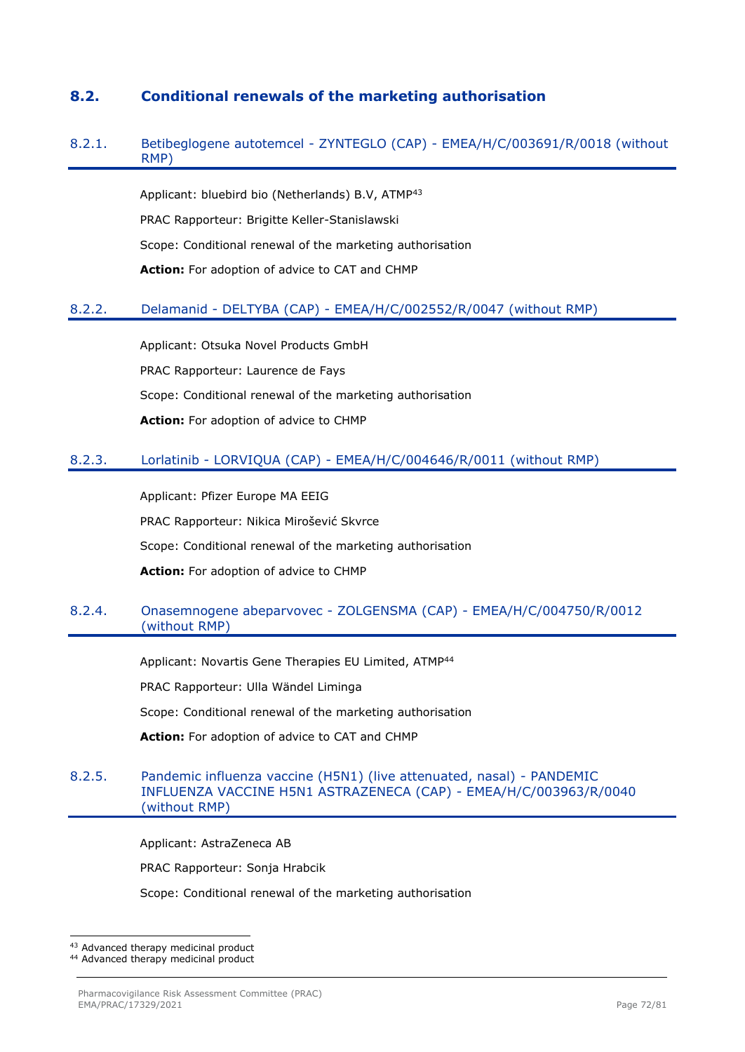# **8.2. Conditional renewals of the marketing authorisation**

## 8.2.1. Betibeglogene autotemcel - ZYNTEGLO (CAP) - EMEA/H/C/003691/R/0018 (without RMP)

Applicant: bluebird bio (Netherlands) B.V, ATMP<sup>43</sup> PRAC Rapporteur: Brigitte Keller-Stanislawski Scope: Conditional renewal of the marketing authorisation **Action:** For adoption of advice to CAT and CHMP

## 8.2.2. Delamanid - DELTYBA (CAP) - EMEA/H/C/002552/R/0047 (without RMP)

Applicant: Otsuka Novel Products GmbH PRAC Rapporteur: Laurence de Fays Scope: Conditional renewal of the marketing authorisation **Action:** For adoption of advice to CHMP

## 8.2.3. Lorlatinib - LORVIQUA (CAP) - EMEA/H/C/004646/R/0011 (without RMP)

Applicant: Pfizer Europe MA EEIG PRAC Rapporteur: Nikica Mirošević Skvrce Scope: Conditional renewal of the marketing authorisation **Action:** For adoption of advice to CHMP

## 8.2.4. Onasemnogene abeparvovec - ZOLGENSMA (CAP) - EMEA/H/C/004750/R/0012 (without RMP)

Applicant: Novartis Gene Therapies EU Limited, ATMP<sup>44</sup>

PRAC Rapporteur: Ulla Wändel Liminga

Scope: Conditional renewal of the marketing authorisation

**Action:** For adoption of advice to CAT and CHMP

## 8.2.5. Pandemic influenza vaccine (H5N1) (live attenuated, nasal) - PANDEMIC INFLUENZA VACCINE H5N1 ASTRAZENECA (CAP) - EMEA/H/C/003963/R/0040 (without RMP)

Applicant: AstraZeneca AB

PRAC Rapporteur: Sonja Hrabcik

Scope: Conditional renewal of the marketing authorisation

<sup>43</sup> Advanced therapy medicinal product

<sup>44</sup> Advanced therapy medicinal product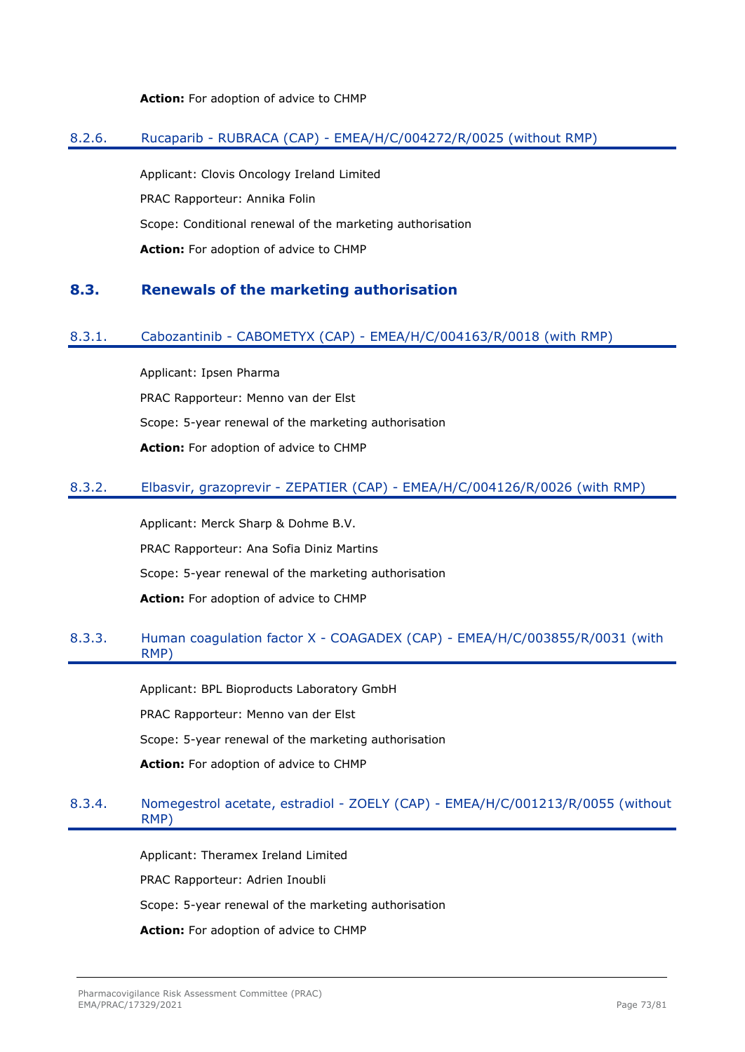#### **Action:** For adoption of advice to CHMP

#### 8.2.6. Rucaparib - RUBRACA (CAP) - EMEA/H/C/004272/R/0025 (without RMP)

Applicant: Clovis Oncology Ireland Limited PRAC Rapporteur: Annika Folin Scope: Conditional renewal of the marketing authorisation **Action:** For adoption of advice to CHMP

#### **8.3. Renewals of the marketing authorisation**

#### 8.3.1. Cabozantinib - CABOMETYX (CAP) - EMEA/H/C/004163/R/0018 (with RMP)

Applicant: Ipsen Pharma PRAC Rapporteur: Menno van der Elst Scope: 5-year renewal of the marketing authorisation **Action:** For adoption of advice to CHMP

#### 8.3.2. Elbasvir, grazoprevir - ZEPATIER (CAP) - EMEA/H/C/004126/R/0026 (with RMP)

Applicant: Merck Sharp & Dohme B.V. PRAC Rapporteur: Ana Sofia Diniz Martins Scope: 5-year renewal of the marketing authorisation **Action:** For adoption of advice to CHMP

### 8.3.3. Human coagulation factor X - COAGADEX (CAP) - EMEA/H/C/003855/R/0031 (with RMP)

Applicant: BPL Bioproducts Laboratory GmbH PRAC Rapporteur: Menno van der Elst Scope: 5-year renewal of the marketing authorisation **Action:** For adoption of advice to CHMP

#### 8.3.4. Nomegestrol acetate, estradiol - ZOELY (CAP) - EMEA/H/C/001213/R/0055 (without RMP)

Applicant: Theramex Ireland Limited PRAC Rapporteur: Adrien Inoubli Scope: 5-year renewal of the marketing authorisation **Action:** For adoption of advice to CHMP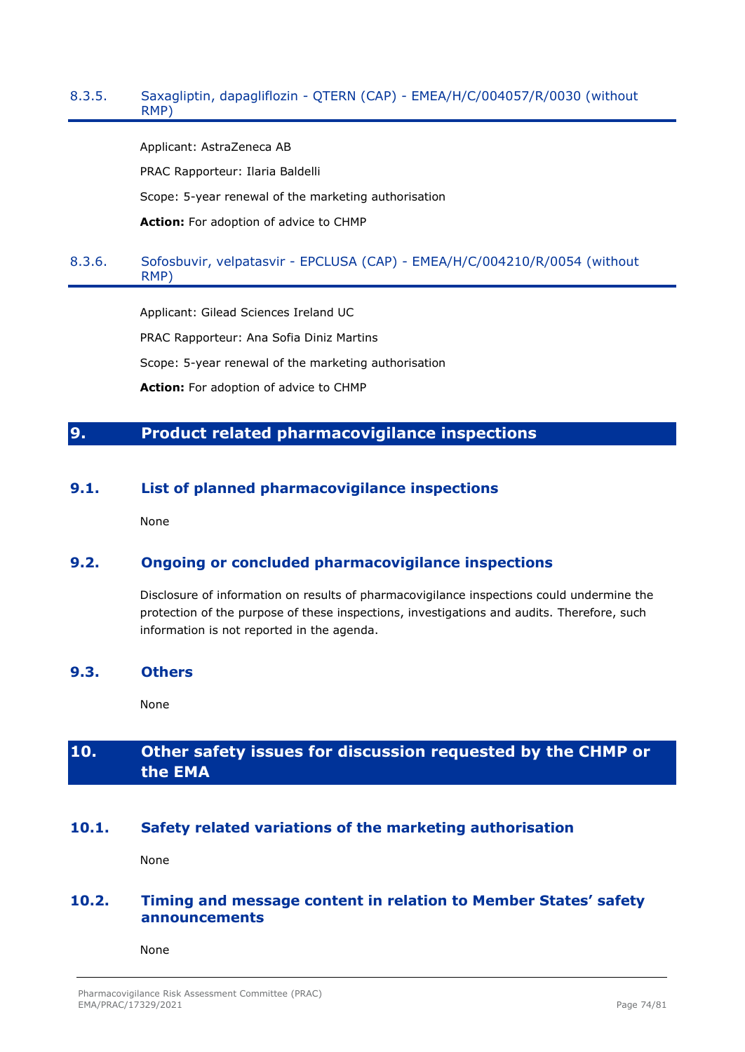#### 8.3.5. Saxagliptin, dapagliflozin - QTERN (CAP) - EMEA/H/C/004057/R/0030 (without RMP)

Applicant: AstraZeneca AB

PRAC Rapporteur: Ilaria Baldelli

Scope: 5-year renewal of the marketing authorisation

**Action:** For adoption of advice to CHMP

# 8.3.6. Sofosbuvir, velpatasvir - EPCLUSA (CAP) - EMEA/H/C/004210/R/0054 (without RMP)

Applicant: Gilead Sciences Ireland UC PRAC Rapporteur: Ana Sofia Diniz Martins Scope: 5-year renewal of the marketing authorisation **Action:** For adoption of advice to CHMP

# **9. Product related pharmacovigilance inspections**

# **9.1. List of planned pharmacovigilance inspections**

None

# **9.2. Ongoing or concluded pharmacovigilance inspections**

Disclosure of information on results of pharmacovigilance inspections could undermine the protection of the purpose of these inspections, investigations and audits. Therefore, such information is not reported in the agenda.

#### **9.3. Others**

None

# **10. Other safety issues for discussion requested by the CHMP or the EMA**

# **10.1. Safety related variations of the marketing authorisation**

None

# **10.2. Timing and message content in relation to Member States' safety announcements**

None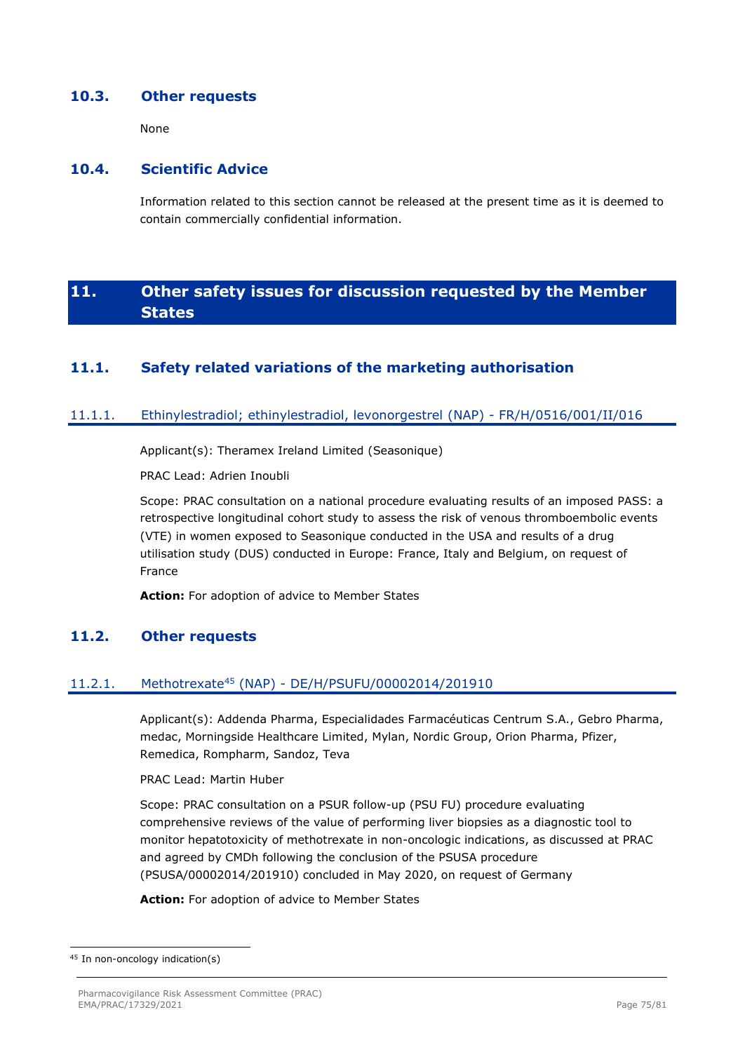### **10.3. Other requests**

None

# **10.4. Scientific Advice**

Information related to this section cannot be released at the present time as it is deemed to contain commercially confidential information.

# **11. Other safety issues for discussion requested by the Member States**

# **11.1. Safety related variations of the marketing authorisation**

#### 11.1.1. Ethinylestradiol; ethinylestradiol, levonorgestrel (NAP) - FR/H/0516/001/II/016

Applicant(s): Theramex Ireland Limited (Seasonique)

PRAC Lead: Adrien Inoubli

Scope: PRAC consultation on a national procedure evaluating results of an imposed PASS: a retrospective longitudinal cohort study to assess the risk of venous thromboembolic events (VTE) in women exposed to Seasonique conducted in the USA and results of a drug utilisation study (DUS) conducted in Europe: France, Italy and Belgium, on request of France

**Action:** For adoption of advice to Member States

# **11.2. Other requests**

# 11.2.1. Methotrexate<sup>45</sup> (NAP) - DE/H/PSUFU/00002014/201910

Applicant(s): Addenda Pharma, Especialidades Farmacéuticas Centrum S.A., Gebro Pharma, medac, Morningside Healthcare Limited, Mylan, Nordic Group, Orion Pharma, Pfizer, Remedica, Rompharm, Sandoz, Teva

PRAC Lead: Martin Huber

Scope: PRAC consultation on a PSUR follow-up (PSU FU) procedure evaluating comprehensive reviews of the value of performing liver biopsies as a diagnostic tool to monitor hepatotoxicity of methotrexate in non-oncologic indications, as discussed at PRAC and agreed by CMDh following the conclusion of the PSUSA procedure (PSUSA/00002014/201910) concluded in May 2020, on request of Germany

**Action:** For adoption of advice to Member States

<sup>45</sup> In non-oncology indication(s)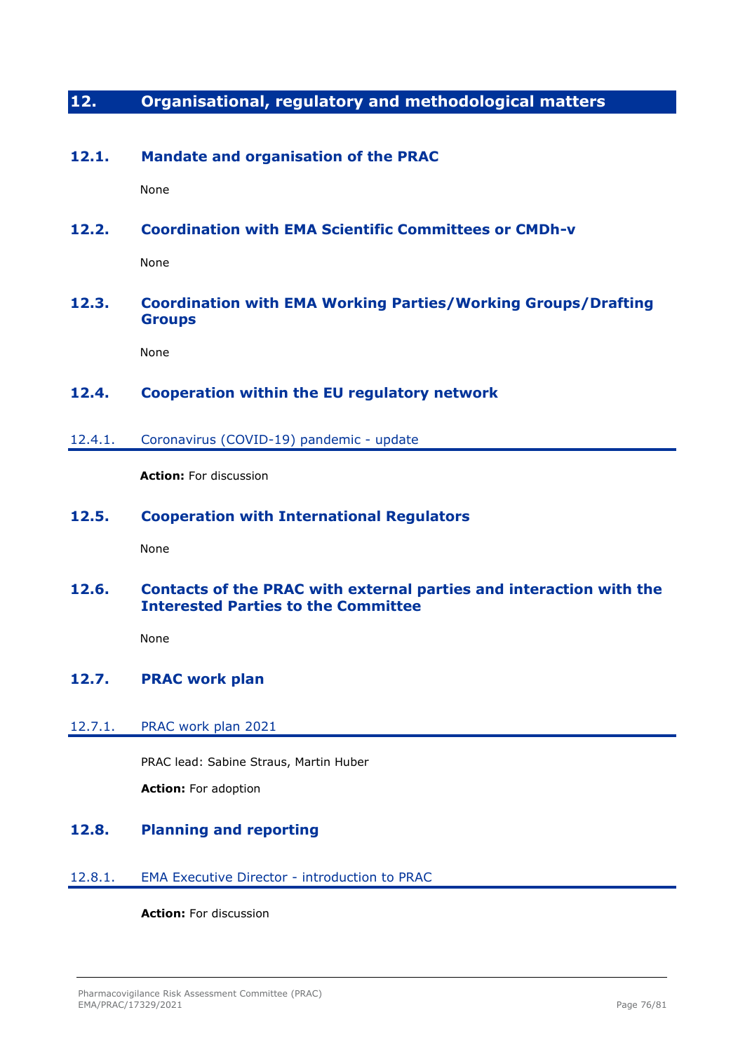# **12. Organisational, regulatory and methodological matters**

# **12.1. Mandate and organisation of the PRAC**

None

# **12.2. Coordination with EMA Scientific Committees or CMDh-v**

None

# **12.3. Coordination with EMA Working Parties/Working Groups/Drafting Groups**

None

# **12.4. Cooperation within the EU regulatory network**

12.4.1. Coronavirus (COVID-19) pandemic - update

**Action:** For discussion

### **12.5. Cooperation with International Regulators**

None

# **12.6. Contacts of the PRAC with external parties and interaction with the Interested Parties to the Committee**

None

### **12.7. PRAC work plan**

#### 12.7.1. PRAC work plan 2021

PRAC lead: Sabine Straus, Martin Huber

**Action:** For adoption

# **12.8. Planning and reporting**

#### 12.8.1. EMA Executive Director - introduction to PRAC

**Action:** For discussion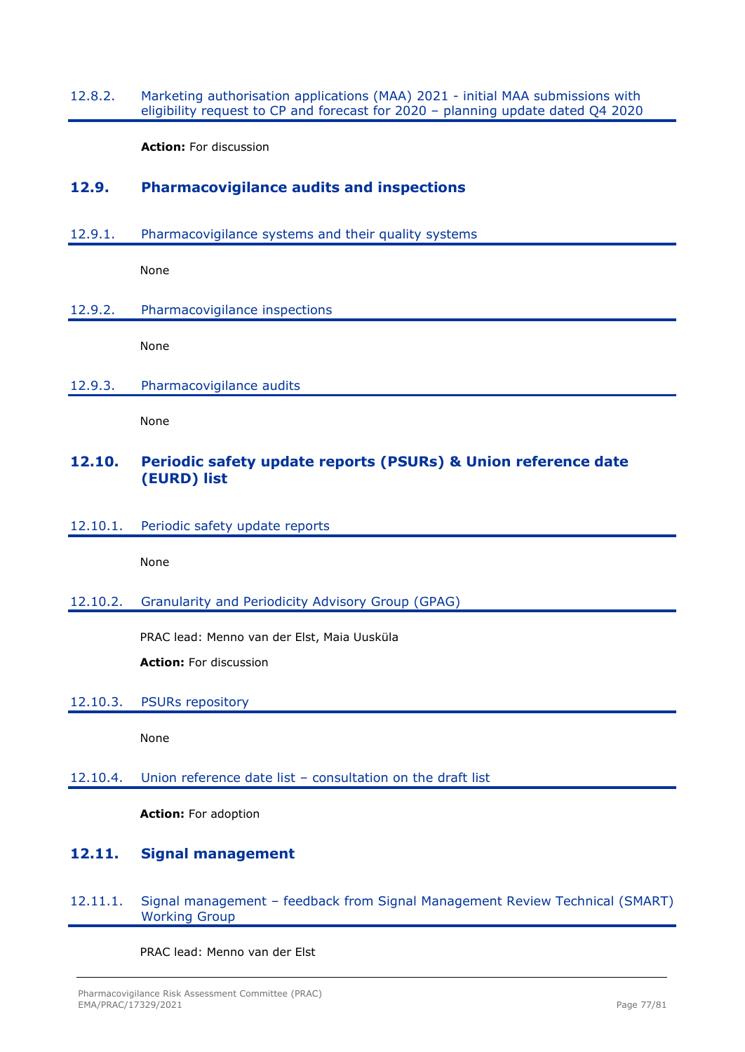#### 12.8.2. Marketing authorisation applications (MAA) 2021 - initial MAA submissions with eligibility request to CP and forecast for 2020 – planning update dated Q4 2020

**Action:** For discussion

# **12.9. Pharmacovigilance audits and inspections**

12.9.1. Pharmacovigilance systems and their quality systems

None

12.9.2. Pharmacovigilance inspections

None

12.9.3. Pharmacovigilance audits

None

# **12.10. Periodic safety update reports (PSURs) & Union reference date (EURD) list**

12.10.1. Periodic safety update reports

None

#### 12.10.2. Granularity and Periodicity Advisory Group (GPAG)

PRAC lead: Menno van der Elst, Maia Uusküla

**Action:** For discussion

#### 12.10.3. PSURs repository

None

#### 12.10.4. Union reference date list – consultation on the draft list

**Action:** For adoption

# **12.11. Signal management**

12.11.1. Signal management – feedback from Signal Management Review Technical (SMART) Working Group

PRAC lead: Menno van der Elst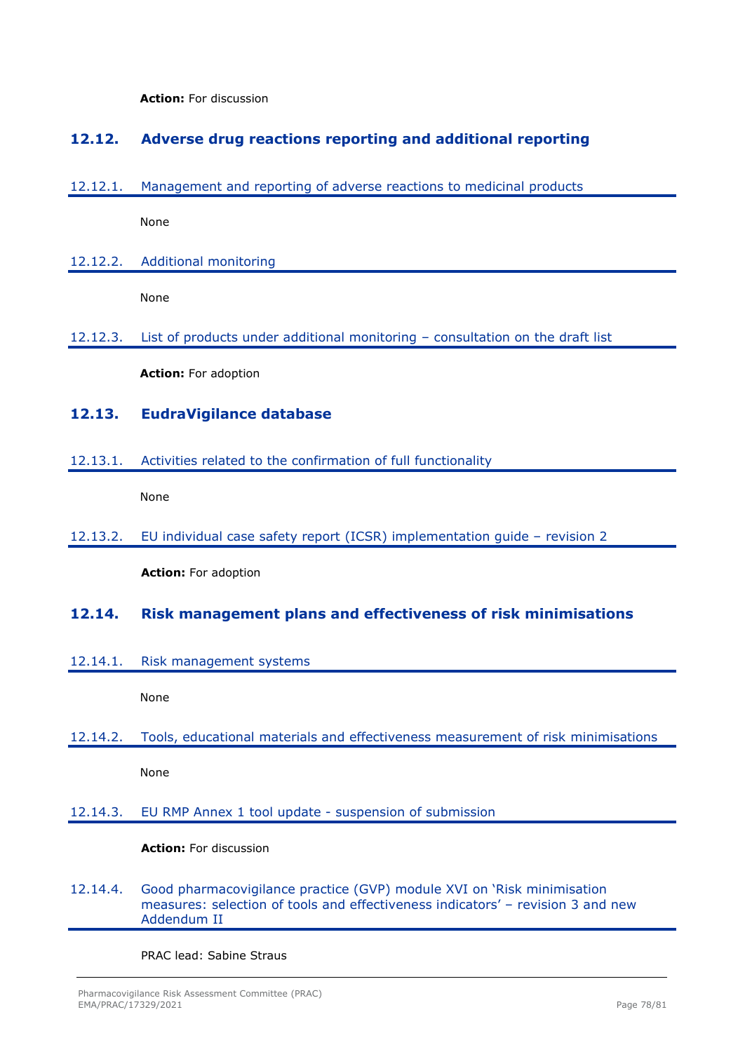**Action:** For discussion

# **12.12. Adverse drug reactions reporting and additional reporting**

12.12.1. Management and reporting of adverse reactions to medicinal products

None

12.12.2. Additional monitoring

None

12.12.3. List of products under additional monitoring – consultation on the draft list

**Action:** For adoption

# **12.13. EudraVigilance database**

12.13.1. Activities related to the confirmation of full functionality

None

12.13.2. EU individual case safety report (ICSR) implementation guide – revision 2

**Action:** For adoption

### **12.14. Risk management plans and effectiveness of risk minimisations**

12.14.1. Risk management systems

None

12.14.2. Tools, educational materials and effectiveness measurement of risk minimisations

None

### 12.14.3. EU RMP Annex 1 tool update - suspension of submission

#### **Action:** For discussion

12.14.4. Good pharmacovigilance practice (GVP) module XVI on 'Risk minimisation measures: selection of tools and effectiveness indicators' – revision 3 and new Addendum II

PRAC lead: Sabine Straus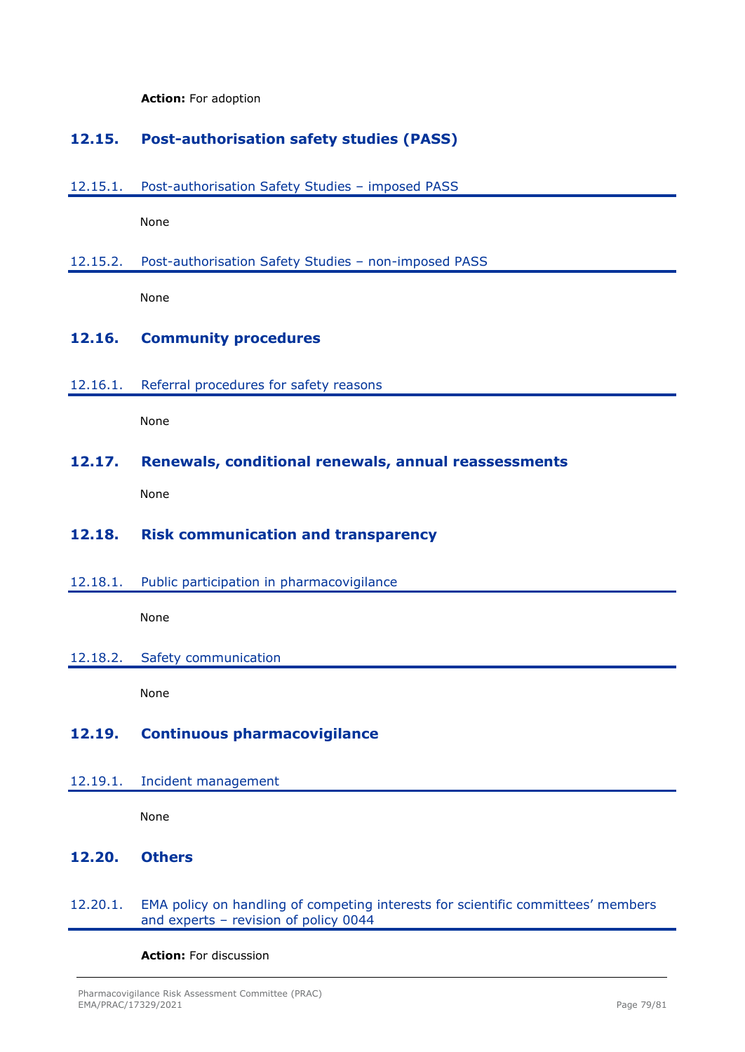**Action:** For adoption

# **12.15. Post-authorisation safety studies (PASS)**

12.15.1. Post-authorisation Safety Studies – imposed PASS

None

12.15.2. Post-authorisation Safety Studies – non-imposed PASS

None

# **12.16. Community procedures**

#### 12.16.1. Referral procedures for safety reasons

None

### **12.17. Renewals, conditional renewals, annual reassessments**

None

### **12.18. Risk communication and transparency**

12.18.1. Public participation in pharmacovigilance

None

### 12.18.2. Safety communication

None

# **12.19. Continuous pharmacovigilance**

#### 12.19.1. Incident management

None

# **12.20. Others**

#### 12.20.1. EMA policy on handling of competing interests for scientific committees' members and experts – revision of policy 0044

**Action:** For discussion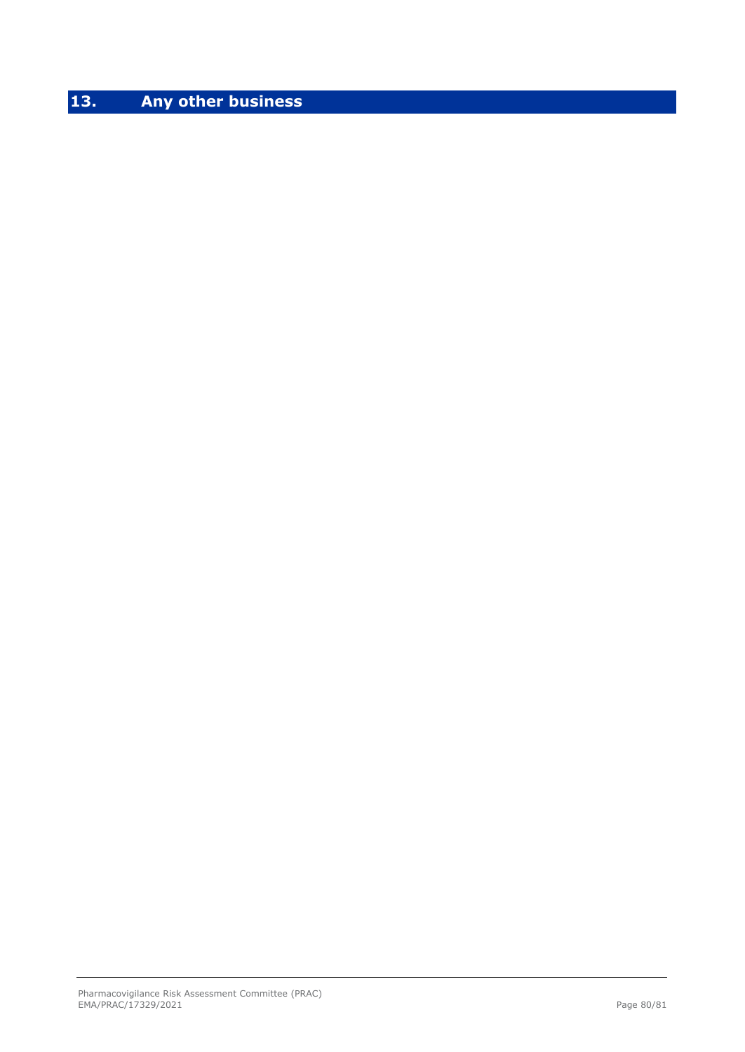# **13. Any other business**